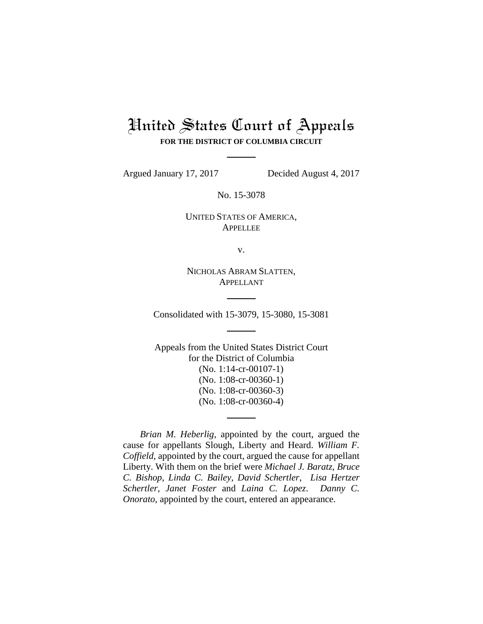# United States Court of Appeals **FOR THE DISTRICT OF COLUMBIA CIRCUIT**

Argued January 17, 2017 Decided August 4, 2017

No. 15-3078

UNITED STATES OF AMERICA, APPELLEE

v.

NICHOLAS ABRAM SLATTEN, APPELLANT

Consolidated with 15-3079, 15-3080, 15-3081

Appeals from the United States District Court for the District of Columbia (No. 1:14-cr-00107-1) (No. 1:08-cr-00360-1) (No. 1:08-cr-00360-3) (No. 1:08-cr-00360-4)

*Brian M. Heberlig*, appointed by the court, argued the cause for appellants Slough, Liberty and Heard. *William F. Coffield*, appointed by the court, argued the cause for appellant Liberty. With them on the brief were *Michael J. Baratz*, *Bruce C. Bishop*, *Linda C. Bailey*, *David Schertler*, *Lisa Hertzer Schertler*, *Janet Foster* and *Laina C. Lopez*. *Danny C. Onorato*, appointed by the court, entered an appearance.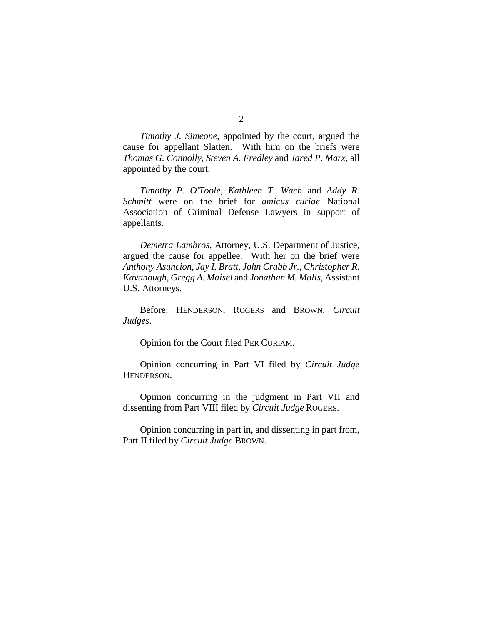*Timothy J. Simeone*, appointed by the court, argued the cause for appellant Slatten. With him on the briefs were *Thomas G. Connolly*, *Steven A. Fredley* and *Jared P. Marx*, all appointed by the court.

*Timothy P. O'Toole*, *Kathleen T. Wach* and *Addy R. Schmitt* were on the brief for *amicus curiae* National Association of Criminal Defense Lawyers in support of appellants.

*Demetra Lambros*, Attorney, U.S. Department of Justice, argued the cause for appellee. With her on the brief were *Anthony Asuncion*, *Jay I. Bratt*, *John Crabb Jr.*, *Christopher R. Kavanaugh*, *Gregg A. Maisel* and *Jonathan M. Malis*, Assistant U.S. Attorneys.

Before: HENDERSON, ROGERS and BROWN, *Circuit Judges*.

Opinion for the Court filed PER CURIAM.

Opinion concurring in Part VI filed by *Circuit Judge*  HENDERSON.

Opinion concurring in the judgment in Part VII and dissenting from Part VIII filed by *Circuit Judge* ROGERS.

Opinion concurring in part in, and dissenting in part from, Part II filed by *Circuit Judge* BROWN.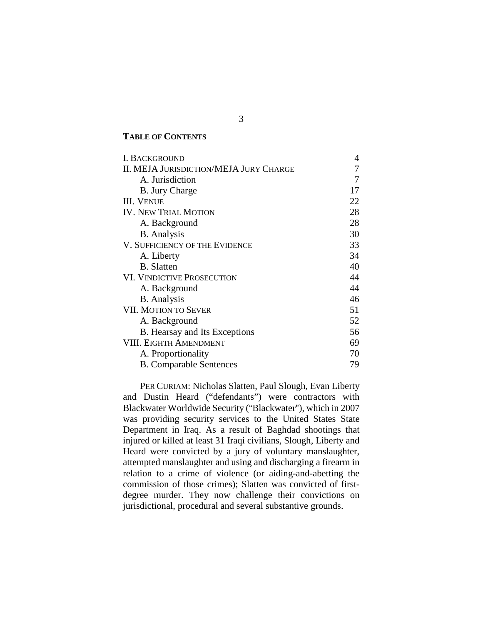## **TABLE OF CONTENTS**

| <b>I. BACKGROUND</b>                          | 4  |
|-----------------------------------------------|----|
| <b>II. MEJA JURISDICTION/MEJA JURY CHARGE</b> |    |
| A. Jurisdiction                               |    |
| <b>B.</b> Jury Charge                         | 17 |
| <b>III. VENUE</b>                             | 22 |
| <b>IV. NEW TRIAL MOTION</b>                   | 28 |
| A. Background                                 | 28 |
| <b>B.</b> Analysis                            | 30 |
| V. SUFFICIENCY OF THE EVIDENCE                | 33 |
| A. Liberty                                    | 34 |
| <b>B.</b> Slatten                             | 40 |
| VI. VINDICTIVE PROSECUTION                    | 44 |
| A. Background                                 | 44 |
| <b>B.</b> Analysis                            | 46 |
| <b>VII. MOTION TO SEVER</b>                   | 51 |
| A. Background                                 | 52 |
| B. Hearsay and Its Exceptions                 | 56 |
| <b>VIII. EIGHTH AMENDMENT</b>                 | 69 |
| A. Proportionality                            | 70 |
| <b>B.</b> Comparable Sentences                | 79 |

PER CURIAM: Nicholas Slatten, Paul Slough, Evan Liberty and Dustin Heard ("defendants") were contractors with Blackwater Worldwide Security ("Blackwater"), which in 2007 was providing security services to the United States State Department in Iraq. As a result of Baghdad shootings that injured or killed at least 31 Iraqi civilians, Slough, Liberty and Heard were convicted by a jury of voluntary manslaughter, attempted manslaughter and using and discharging a firearm in relation to a crime of violence (or aiding-and-abetting the commission of those crimes); Slatten was convicted of firstdegree murder. They now challenge their convictions on jurisdictional, procedural and several substantive grounds.

3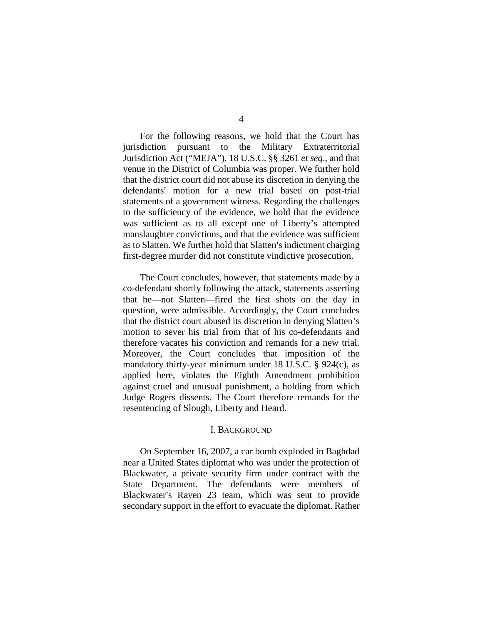For the following reasons, we hold that the Court has jurisdiction pursuant to the Military Extraterritorial Jurisdiction Act ("MEJA"), 18 U.S.C. §§ 3261 *et seq*., and that venue in the District of Columbia was proper. We further hold that the district court did not abuse its discretion in denying the defendants' motion for a new trial based on post-trial statements of a government witness. Regarding the challenges to the sufficiency of the evidence, we hold that the evidence was sufficient as to all except one of Liberty's attempted manslaughter convictions, and that the evidence was sufficient as to Slatten. We further hold that Slatten's indictment charging first-degree murder did not constitute vindictive prosecution.

The Court concludes, however, that statements made by a co-defendant shortly following the attack, statements asserting that he—not Slatten—fired the first shots on the day in question, were admissible. Accordingly, the Court concludes that the district court abused its discretion in denying Slatten's motion to sever his trial from that of his co-defendants and therefore vacates his conviction and remands for a new trial. Moreover, the Court concludes that imposition of the mandatory thirty-year minimum under 18 U.S.C. § 924(c), as applied here, violates the Eighth Amendment prohibition against cruel and unusual punishment, a holding from which Judge Rogers dissents. The Court therefore remands for the resentencing of Slough, Liberty and Heard.

### I. BACKGROUND

<span id="page-3-0"></span>On September 16, 2007, a car bomb exploded in Baghdad near a United States diplomat who was under the protection of Blackwater, a private security firm under contract with the State Department. The defendants were members of Blackwater's Raven 23 team, which was sent to provide secondary support in the effort to evacuate the diplomat. Rather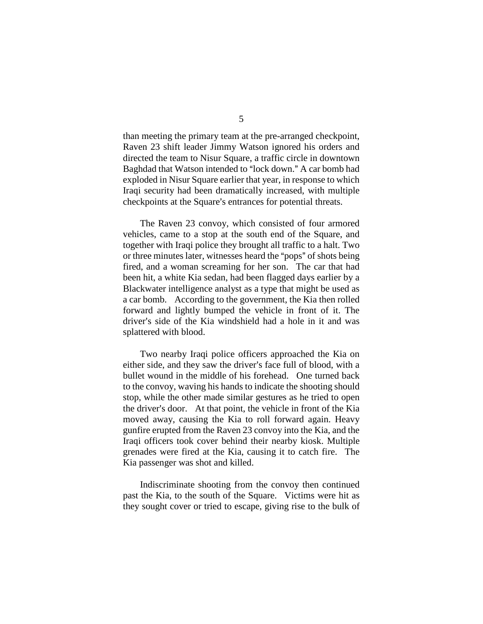than meeting the primary team at the pre-arranged checkpoint, Raven 23 shift leader Jimmy Watson ignored his orders and directed the team to Nisur Square, a traffic circle in downtown Baghdad that Watson intended to "lock down." A car bomb had exploded in Nisur Square earlier that year, in response to which Iraqi security had been dramatically increased, with multiple checkpoints at the Square's entrances for potential threats.

The Raven 23 convoy, which consisted of four armored vehicles, came to a stop at the south end of the Square, and together with Iraqi police they brought all traffic to a halt. Two or three minutes later, witnesses heard the "pops" of shots being fired, and a woman screaming for her son. The car that had been hit, a white Kia sedan, had been flagged days earlier by a Blackwater intelligence analyst as a type that might be used as a car bomb. According to the government, the Kia then rolled forward and lightly bumped the vehicle in front of it. The driver's side of the Kia windshield had a hole in it and was splattered with blood.

Two nearby Iraqi police officers approached the Kia on either side, and they saw the driver's face full of blood, with a bullet wound in the middle of his forehead. One turned back to the convoy, waving his hands to indicate the shooting should stop, while the other made similar gestures as he tried to open the driver's door. At that point, the vehicle in front of the Kia moved away, causing the Kia to roll forward again. Heavy gunfire erupted from the Raven 23 convoy into the Kia, and the Iraqi officers took cover behind their nearby kiosk. Multiple grenades were fired at the Kia, causing it to catch fire. The Kia passenger was shot and killed.

Indiscriminate shooting from the convoy then continued past the Kia, to the south of the Square. Victims were hit as they sought cover or tried to escape, giving rise to the bulk of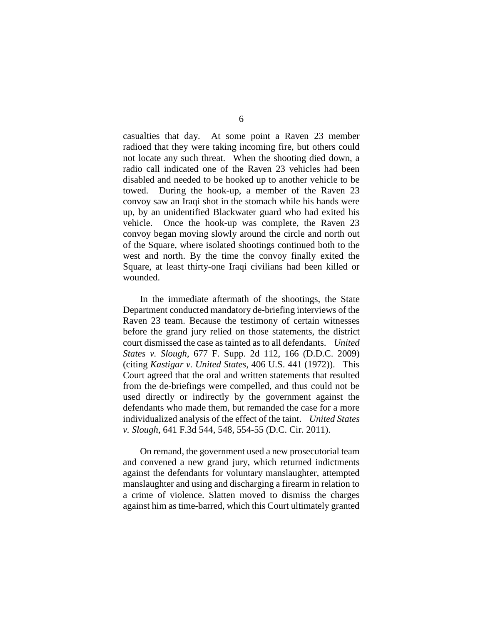casualties that day. At some point a Raven 23 member radioed that they were taking incoming fire, but others could not locate any such threat. When the shooting died down, a radio call indicated one of the Raven 23 vehicles had been disabled and needed to be hooked up to another vehicle to be towed. During the hook-up, a member of the Raven 23 convoy saw an Iraqi shot in the stomach while his hands were up, by an unidentified Blackwater guard who had exited his vehicle. Once the hook-up was complete, the Raven 23 convoy began moving slowly around the circle and north out of the Square, where isolated shootings continued both to the west and north. By the time the convoy finally exited the Square, at least thirty-one Iraqi civilians had been killed or wounded.

In the immediate aftermath of the shootings, the State Department conducted mandatory de-briefing interviews of the Raven 23 team. Because the testimony of certain witnesses before the grand jury relied on those statements, the district court dismissed the case as tainted as to all defendants. *United States v. Slough*, 677 F. Supp. 2d 112, 166 (D.D.C. 2009) (citing *Kastigar v. United States*, 406 U.S. 441 (1972)). This Court agreed that the oral and written statements that resulted from the de-briefings were compelled, and thus could not be used directly or indirectly by the government against the defendants who made them, but remanded the case for a more individualized analysis of the effect of the taint. *United States v. Slough*, 641 F.3d 544, 548, 554-55 (D.C. Cir. 2011).

On remand, the government used a new prosecutorial team and convened a new grand jury, which returned indictments against the defendants for voluntary manslaughter, attempted manslaughter and using and discharging a firearm in relation to a crime of violence. Slatten moved to dismiss the charges against him as time-barred, which this Court ultimately granted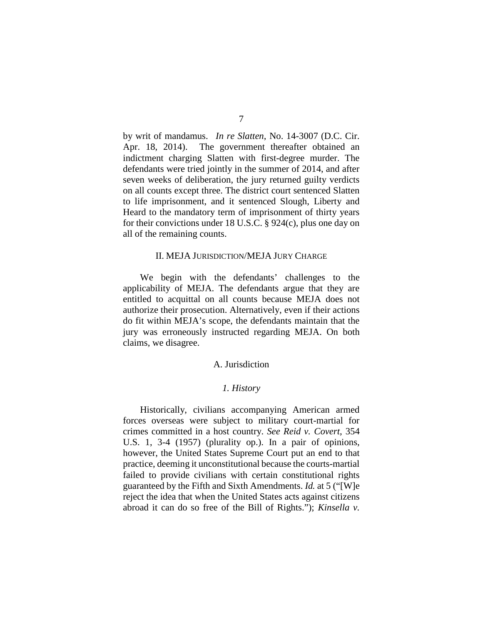by writ of mandamus. *In re Slatten*, No. 14-3007 (D.C. Cir. Apr. 18, 2014). The government thereafter obtained an indictment charging Slatten with first-degree murder. The defendants were tried jointly in the summer of 2014, and after seven weeks of deliberation, the jury returned guilty verdicts on all counts except three. The district court sentenced Slatten to life imprisonment, and it sentenced Slough, Liberty and Heard to the mandatory term of imprisonment of thirty years for their convictions under 18 U.S.C. § 924(c), plus one day on all of the remaining counts.

#### II. MEJA JURISDICTION/MEJA JURY CHARGE

<span id="page-6-0"></span>We begin with the defendants' challenges to the applicability of MEJA. The defendants argue that they are entitled to acquittal on all counts because MEJA does not authorize their prosecution. Alternatively, even if their actions do fit within MEJA's scope, the defendants maintain that the jury was erroneously instructed regarding MEJA. On both claims, we disagree.

## A. Jurisdiction

#### *1. History*

<span id="page-6-1"></span>Historically, civilians accompanying American armed forces overseas were subject to military court-martial for crimes committed in a host country. *See Reid v. Covert*, 354 U.S. 1, 3-4 (1957) (plurality op.). In a pair of opinions, however, the United States Supreme Court put an end to that practice, deeming it unconstitutional because the courts-martial failed to provide civilians with certain constitutional rights guaranteed by the Fifth and Sixth Amendments. *Id.* at 5 ("[W]e reject the idea that when the United States acts against citizens abroad it can do so free of the Bill of Rights."); *Kinsella v.*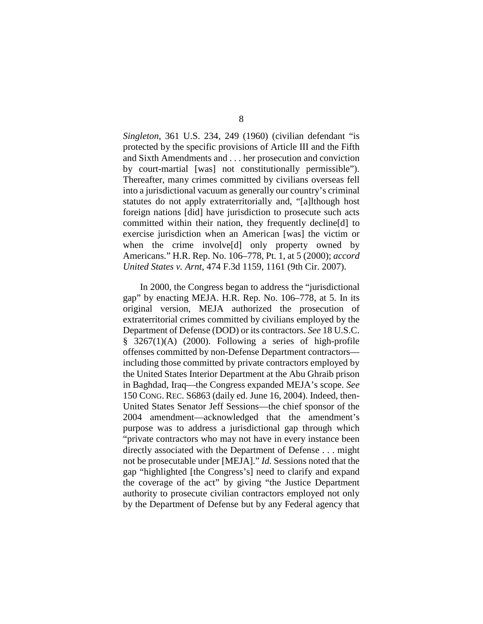*Singleton*, 361 U.S. 234, 249 (1960) (civilian defendant "is protected by the specific provisions of Article III and the Fifth and Sixth Amendments and . . . her prosecution and conviction by court-martial [was] not constitutionally permissible"). Thereafter, many crimes committed by civilians overseas fell into a jurisdictional vacuum as generally our country's criminal statutes do not apply extraterritorially and, "[a]lthough host foreign nations [did] have jurisdiction to prosecute such acts committed within their nation, they frequently decline[d] to exercise jurisdiction when an American [was] the victim or when the crime involve[d] only property owned by Americans." H.R. Rep. No. 106–778, Pt. 1, at 5 (2000); *accord United States v. Arnt*, 474 F.3d 1159, 1161 (9th Cir. 2007).

In 2000, the Congress began to address the "jurisdictional gap" by enacting MEJA. H.R. Rep. No. 106–778, at 5. In its original version, MEJA authorized the prosecution of extraterritorial crimes committed by civilians employed by the Department of Defense (DOD) or its contractors. *See* 18 U.S.C. § 3267(1)(A) (2000). Following a series of high-profile offenses committed by non-Defense Department contractors including those committed by private contractors employed by the United States Interior Department at the Abu Ghraib prison in Baghdad, Iraq—the Congress expanded MEJA's scope. *See*  150 CONG. REC. S6863 (daily ed. June 16, 2004). Indeed, then-United States Senator Jeff Sessions—the chief sponsor of the 2004 amendment—acknowledged that the amendment's purpose was to address a jurisdictional gap through which "private contractors who may not have in every instance been directly associated with the Department of Defense . . . might not be prosecutable under [MEJA]." *Id.* Sessions noted that the gap "highlighted [the Congress's] need to clarify and expand the coverage of the act" by giving "the Justice Department authority to prosecute civilian contractors employed not only by the Department of Defense but by any Federal agency that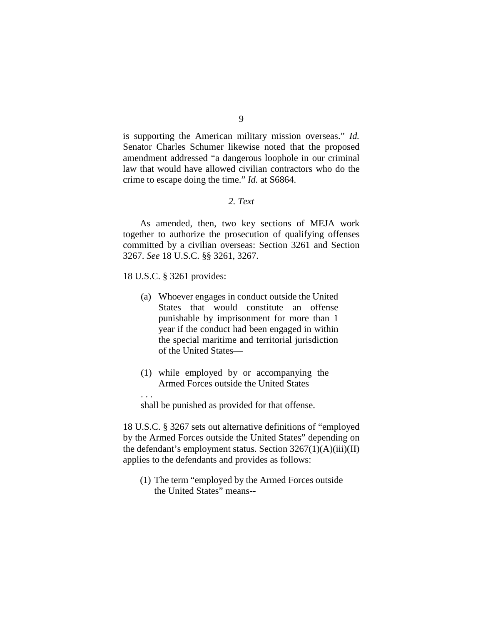is supporting the American military mission overseas." *Id.*  Senator Charles Schumer likewise noted that the proposed amendment addressed "a dangerous loophole in our criminal law that would have allowed civilian contractors who do the crime to escape doing the time." *Id.* at S6864.

# *2. Text*

As amended, then, two key sections of MEJA work together to authorize the prosecution of qualifying offenses committed by a civilian overseas: Section 3261 and Section 3267. *See* 18 U.S.C. §§ 3261, 3267.

18 U.S.C. § 3261 provides:

. . .

- (a) Whoever engages in conduct outside the United States that would constitute an offense punishable by imprisonment for more than 1 year if the conduct had been engaged in within the special maritime and territorial jurisdiction of the United States—
- (1) while employed by or accompanying the Armed Forces outside the United States

shall be punished as provided for that offense.

18 U.S.C. § 3267 sets out alternative definitions of "employed by the Armed Forces outside the United States" depending on the defendant's employment status. Section  $3267(1)(A)(iii)(II)$ applies to the defendants and provides as follows:

(1) The term "employed by the Armed Forces outside the United States" means--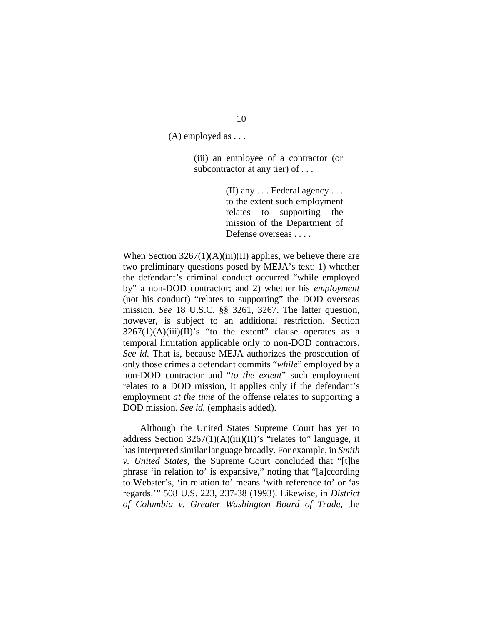(A) employed as . . .

(iii) an employee of a contractor (or subcontractor at any tier) of ...

> (II) any . . . Federal agency . . . to the extent such employment relates to supporting the mission of the Department of Defense overseas . . . .

When Section  $3267(1)(A)(iii)(II)$  applies, we believe there are two preliminary questions posed by MEJA's text: 1) whether the defendant's criminal conduct occurred "while employed by" a non-DOD contractor; and 2) whether his *employment* (not his conduct) "relates to supporting" the DOD overseas mission. *See* 18 U.S.C. §§ 3261, 3267. The latter question, however, is subject to an additional restriction. Section  $3267(1)(A)(iii)(II)'s$  "to the extent" clause operates as a temporal limitation applicable only to non-DOD contractors. *See id*. That is, because MEJA authorizes the prosecution of only those crimes a defendant commits "*while*" employed by a non-DOD contractor and "*to the extent*" such employment relates to a DOD mission, it applies only if the defendant's employment *at the time* of the offense relates to supporting a DOD mission. *See id.* (emphasis added).

Although the United States Supreme Court has yet to address Section  $3267(1)(A)(iii)(II)$ 's "relates to" language, it has interpreted similar language broadly. For example, in *Smith v. United States*, the Supreme Court concluded that "[t]he phrase 'in relation to' is expansive," noting that "[a]ccording to Webster's, 'in relation to' means 'with reference to' or 'as regards.'" 508 U.S. 223, 237-38 (1993). Likewise, in *District of Columbia v. Greater Washington Board of Trade*, the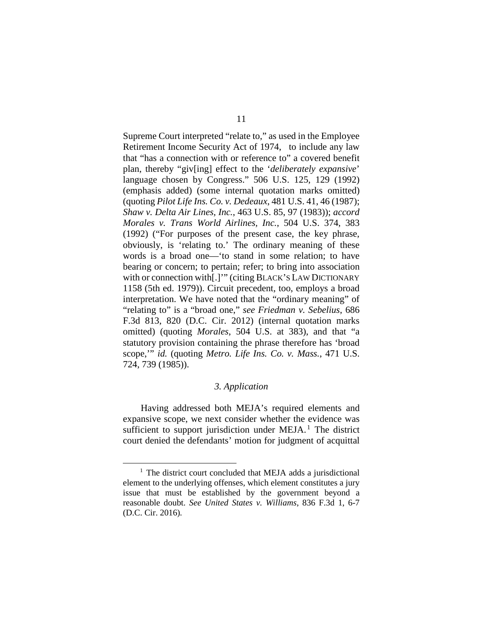Supreme Court interpreted "relate to," as used in the Employee Retirement Income Security Act of 1974, to include any law that "has a connection with or reference to" a covered benefit plan, thereby "giv[ing] effect to the '*deliberately expansive*' language chosen by Congress." 506 U.S. 125, 129 (1992) (emphasis added) (some internal quotation marks omitted) (quoting *Pilot Life Ins. Co. v. Dedeaux*, 481 U.S. 41, 46 (1987); *Shaw v. Delta Air Lines, Inc.*, 463 U.S. 85, 97 (1983)); *accord Morales v. Trans World Airlines, Inc.*, 504 U.S. 374, 383 (1992) ("For purposes of the present case, the key phrase, obviously, is 'relating to.' The ordinary meaning of these words is a broad one—'to stand in some relation; to have bearing or concern; to pertain; refer; to bring into association with or connection with[.]'" (citing BLACK'S LAW DICTIONARY 1158 (5th ed. 1979)). Circuit precedent, too, employs a broad interpretation. We have noted that the "ordinary meaning" of "relating to" is a "broad one," *see Friedman v. Sebelius*, 686 F.3d 813, 820 (D.C. Cir. 2012) (internal quotation marks omitted) (quoting *Morales*, 504 U.S. at 383), and that "a statutory provision containing the phrase therefore has 'broad scope,'" *id.* (quoting *Metro. Life Ins. Co. v. Mass.*, 471 U.S. 724, 739 (1985)).

## *3. Application*

Having addressed both MEJA's required elements and expansive scope, we next consider whether the evidence was sufficient to support jurisdiction under  $MEJA<sup>1</sup>$  $MEJA<sup>1</sup>$  $MEJA<sup>1</sup>$ . The district court denied the defendants' motion for judgment of acquittal

<span id="page-10-0"></span><sup>&</sup>lt;sup>1</sup> The district court concluded that MEJA adds a jurisdictional element to the underlying offenses, which element constitutes a jury issue that must be established by the government beyond a reasonable doubt. *See United States v. Williams*, 836 F.3d 1, 6-7 (D.C. Cir. 2016)*.*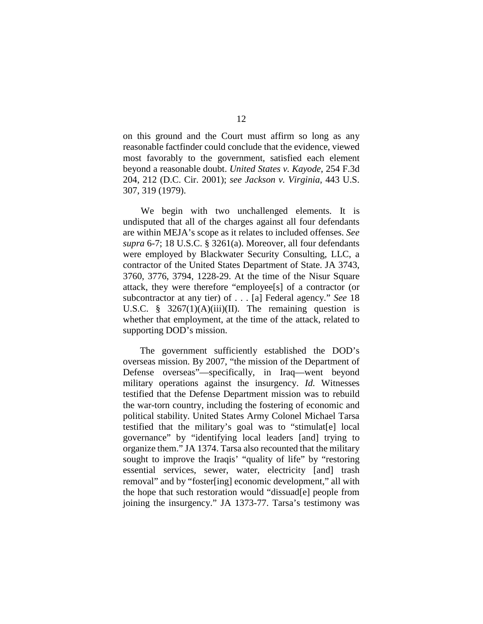on this ground and the Court must affirm so long as any reasonable factfinder could conclude that the evidence, viewed most favorably to the government, satisfied each element beyond a reasonable doubt. *United States v. Kayode*, 254 F.3d 204, 212 (D.C. Cir. 2001); *see Jackson v. Virginia*, 443 U.S. 307, 319 (1979).

We begin with two unchallenged elements. It is undisputed that all of the charges against all four defendants are within MEJA's scope as it relates to included offenses. *See supra* 6-7; 18 U.S.C. § 3261(a). Moreover, all four defendants were employed by Blackwater Security Consulting, LLC, a contractor of the United States Department of State. JA 3743, 3760, 3776, 3794, 1228-29. At the time of the Nisur Square attack, they were therefore "employee[s] of a contractor (or subcontractor at any tier) of . . . [a] Federal agency." *See* 18 U.S.C. §  $3267(1)(A)(iii)(II)$ . The remaining question is whether that employment, at the time of the attack, related to supporting DOD's mission.

The government sufficiently established the DOD's overseas mission. By 2007, "the mission of the Department of Defense overseas"—specifically, in Iraq—went beyond military operations against the insurgency. *Id.* Witnesses testified that the Defense Department mission was to rebuild the war-torn country, including the fostering of economic and political stability. United States Army Colonel Michael Tarsa testified that the military's goal was to "stimulat[e] local governance" by "identifying local leaders [and] trying to organize them." JA 1374. Tarsa also recounted that the military sought to improve the Iraqis' "quality of life" by "restoring essential services, sewer, water, electricity [and] trash removal" and by "foster[ing] economic development," all with the hope that such restoration would "dissuad[e] people from joining the insurgency." JA 1373-77. Tarsa's testimony was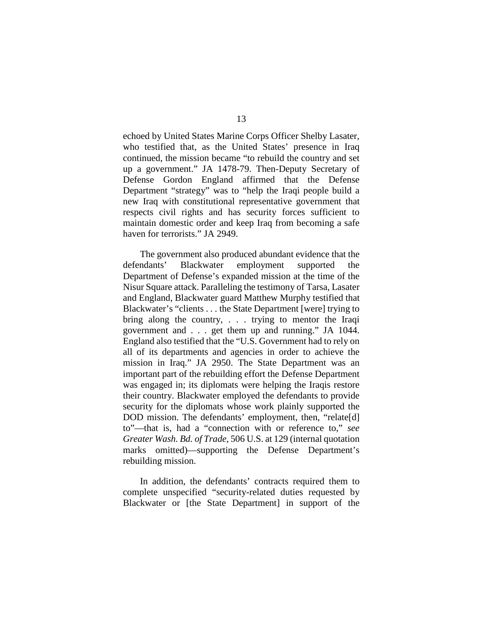echoed by United States Marine Corps Officer Shelby Lasater, who testified that, as the United States' presence in Iraq continued, the mission became "to rebuild the country and set up a government." JA 1478-79. Then-Deputy Secretary of Defense Gordon England affirmed that the Defense Department "strategy" was to "help the Iraqi people build a new Iraq with constitutional representative government that respects civil rights and has security forces sufficient to maintain domestic order and keep Iraq from becoming a safe haven for terrorists." JA 2949.

The government also produced abundant evidence that the defendants' Blackwater employment supported the Department of Defense's expanded mission at the time of the Nisur Square attack. Paralleling the testimony of Tarsa, Lasater and England, Blackwater guard Matthew Murphy testified that Blackwater's "clients . . . the State Department [were] trying to bring along the country, . . . trying to mentor the Iraqi government and . . . get them up and running." JA 1044. England also testified that the "U.S. Government had to rely on all of its departments and agencies in order to achieve the mission in Iraq." JA 2950. The State Department was an important part of the rebuilding effort the Defense Department was engaged in; its diplomats were helping the Iraqis restore their country. Blackwater employed the defendants to provide security for the diplomats whose work plainly supported the DOD mission. The defendants' employment, then, "relate[d] to"—that is, had a "connection with or reference to," *see Greater Wash. Bd. of Trade*, 506 U.S. at 129 (internal quotation marks omitted)—supporting the Defense Department's rebuilding mission.

In addition, the defendants' contracts required them to complete unspecified "security-related duties requested by Blackwater or [the State Department] in support of the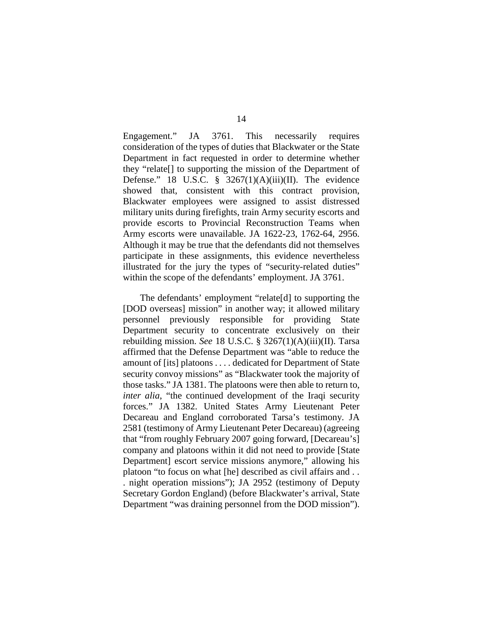Engagement." JA 3761. This necessarily requires consideration of the types of duties that Blackwater or the State Department in fact requested in order to determine whether they "relate[] to supporting the mission of the Department of Defense." 18 U.S.C.  $\frac{8}{9}$  3267(1)(A)(iii)(II). The evidence showed that, consistent with this contract provision, Blackwater employees were assigned to assist distressed military units during firefights, train Army security escorts and provide escorts to Provincial Reconstruction Teams when Army escorts were unavailable. JA 1622-23, 1762-64, 2956. Although it may be true that the defendants did not themselves participate in these assignments, this evidence nevertheless illustrated for the jury the types of "security-related duties" within the scope of the defendants' employment. JA 3761.

The defendants' employment "relate[d] to supporting the [DOD overseas] mission" in another way; it allowed military personnel previously responsible for providing State Department security to concentrate exclusively on their rebuilding mission. *See* 18 U.S.C. § 3267(1)(A)(iii)(II). Tarsa affirmed that the Defense Department was "able to reduce the amount of [its] platoons . . . . dedicated for Department of State security convoy missions" as "Blackwater took the majority of those tasks." JA 1381. The platoons were then able to return to, *inter alia*, "the continued development of the Iraqi security forces." JA 1382. United States Army Lieutenant Peter Decareau and England corroborated Tarsa's testimony. JA 2581 (testimony of Army Lieutenant Peter Decareau) (agreeing that "from roughly February 2007 going forward, [Decareau's] company and platoons within it did not need to provide [State Department escort service missions anymore," allowing his platoon "to focus on what [he] described as civil affairs and . . . night operation missions"); JA 2952 (testimony of Deputy Secretary Gordon England) (before Blackwater's arrival, State Department "was draining personnel from the DOD mission").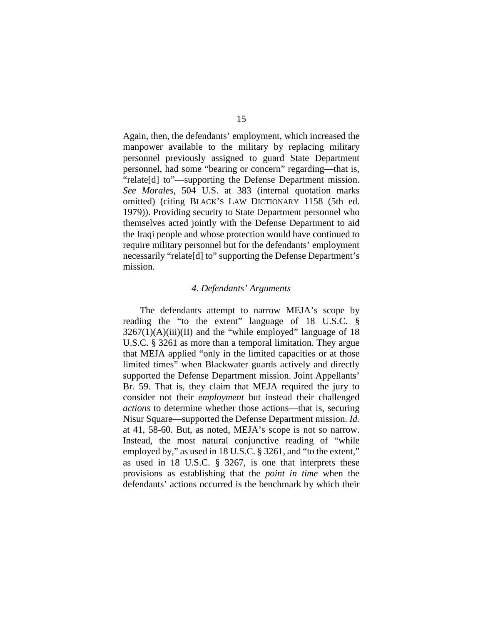Again, then, the defendants' employment, which increased the manpower available to the military by replacing military personnel previously assigned to guard State Department personnel, had some "bearing or concern" regarding—that is, "relate[d] to"—supporting the Defense Department mission. *See Morales*, 504 U.S. at 383 (internal quotation marks omitted) (citing BLACK'S LAW DICTIONARY 1158 (5th ed. 1979)). Providing security to State Department personnel who themselves acted jointly with the Defense Department to aid the Iraqi people and whose protection would have continued to require military personnel but for the defendants' employment necessarily "relate[d] to" supporting the Defense Department's mission.

## *4. Defendants' Arguments*

The defendants attempt to narrow MEJA's scope by reading the "to the extent" language of 18 U.S.C. §  $3267(1)(A)(iii)(II)$  and the "while employed" language of 18 U.S.C. § 3261 as more than a temporal limitation. They argue that MEJA applied "only in the limited capacities or at those limited times" when Blackwater guards actively and directly supported the Defense Department mission. Joint Appellants' Br. 59. That is, they claim that MEJA required the jury to consider not their *employment* but instead their challenged *actions* to determine whether those actions—that is, securing Nisur Square—supported the Defense Department mission. *Id.*  at 41, 58-60. But, as noted, MEJA's scope is not so narrow. Instead, the most natural conjunctive reading of "while employed by," as used in 18 U.S.C. § 3261, and "to the extent," as used in 18 U.S.C. § 3267, is one that interprets these provisions as establishing that the *point in time* when the defendants' actions occurred is the benchmark by which their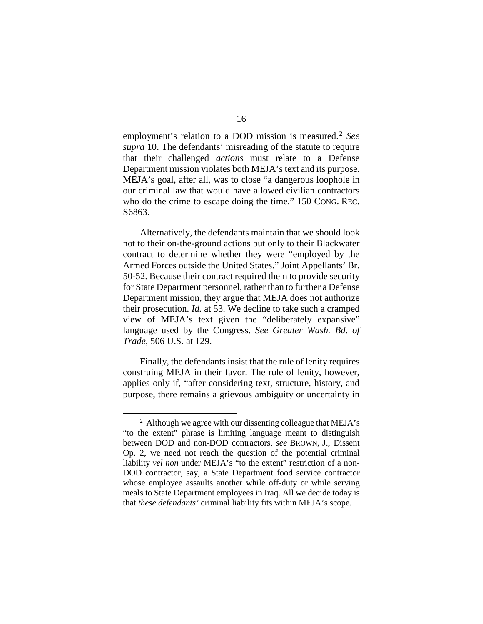employment's relation to a DOD mission is measured. [2](#page-15-0) *See supra* 10. The defendants' misreading of the statute to require that their challenged *actions* must relate to a Defense Department mission violates both MEJA's text and its purpose. MEJA's goal, after all, was to close "a dangerous loophole in our criminal law that would have allowed civilian contractors who do the crime to escape doing the time." 150 CONG. REC. S<sub>6863</sub>.

Alternatively, the defendants maintain that we should look not to their on-the-ground actions but only to their Blackwater contract to determine whether they were "employed by the Armed Forces outside the United States." Joint Appellants' Br. 50-52. Because their contract required them to provide security for State Department personnel, rather than to further a Defense Department mission, they argue that MEJA does not authorize their prosecution. *Id.* at 53. We decline to take such a cramped view of MEJA's text given the "deliberately expansive" language used by the Congress. *See Greater Wash. Bd. of Trade*, 506 U.S. at 129.

Finally, the defendants insist that the rule of lenity requires construing MEJA in their favor. The rule of lenity, however, applies only if, "after considering text, structure, history, and purpose, there remains a grievous ambiguity or uncertainty in

<span id="page-15-0"></span><sup>&</sup>lt;sup>2</sup> Although we agree with our dissenting colleague that MEJA's "to the extent" phrase is limiting language meant to distinguish between DOD and non-DOD contractors, *see* BROWN, J., Dissent Op. 2, we need not reach the question of the potential criminal liability *vel non* under MEJA's "to the extent" restriction of a non-DOD contractor, say, a State Department food service contractor whose employee assaults another while off-duty or while serving meals to State Department employees in Iraq. All we decide today is that *these defendants'* criminal liability fits within MEJA's scope.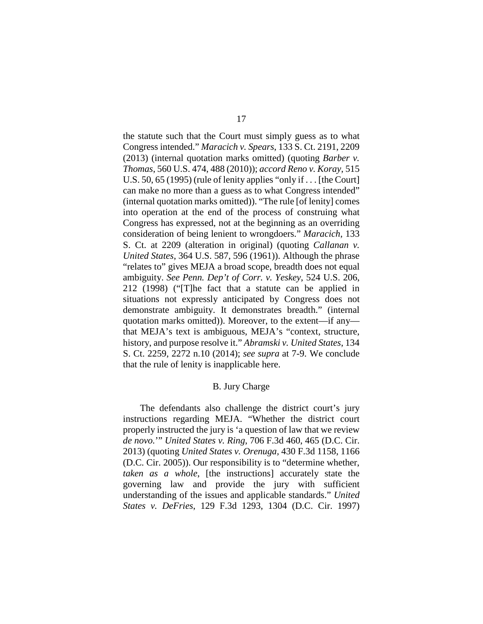the statute such that the Court must simply guess as to what Congress intended." *Maracich v. Spears*, 133 S. Ct. 2191, 2209 (2013) (internal quotation marks omitted) (quoting *Barber v. Thomas*, 560 U.S. 474, 488 (2010)); *accord Reno v. Koray*, 515 U.S. 50, 65 (1995) (rule of lenity applies "only if . . . [the Court] can make no more than a guess as to what Congress intended" (internal quotation marks omitted)). "The rule [of lenity] comes into operation at the end of the process of construing what Congress has expressed, not at the beginning as an overriding consideration of being lenient to wrongdoers." *Maracich*, 133 S. Ct. at 2209 (alteration in original) (quoting *Callanan v. United States*, 364 U.S. 587, 596 (1961)). Although the phrase "relates to" gives MEJA a broad scope, breadth does not equal ambiguity. *See Penn. Dep't of Corr. v. Yeskey*, 524 U.S. 206, 212 (1998) ("[T]he fact that a statute can be applied in situations not expressly anticipated by Congress does not demonstrate ambiguity. It demonstrates breadth." (internal quotation marks omitted)). Moreover, to the extent—if any that MEJA's text is ambiguous, MEJA's "context, structure, history, and purpose resolve it." *Abramski v. United States*, 134 S. Ct. 2259, 2272 n.10 (2014); *see supra* at 7-9. We conclude that the rule of lenity is inapplicable here.

# B. Jury Charge

<span id="page-16-0"></span>The defendants also challenge the district court's jury instructions regarding MEJA. "Whether the district court properly instructed the jury is 'a question of law that we review *de novo.*'" *United States v. Ring*, 706 F.3d 460, 465 (D.C. Cir. 2013) (quoting *United States v. Orenuga,* 430 F.3d 1158, 1166 (D.C. Cir. 2005)). Our responsibility is to "determine whether, *taken as a whole*, [the instructions] accurately state the governing law and provide the jury with sufficient understanding of the issues and applicable standards." *United States v. DeFries*, 129 F.3d 1293, 1304 (D.C. Cir. 1997)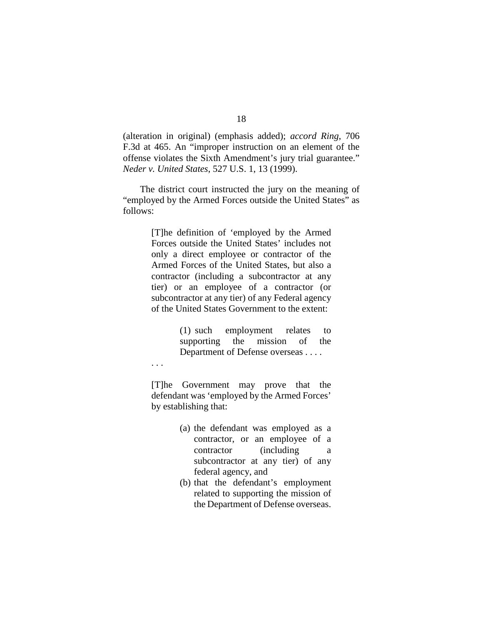(alteration in original) (emphasis added); *accord Ring*, 706 F.3d at 465. An "improper instruction on an element of the offense violates the Sixth Amendment's jury trial guarantee." *Neder v. United States*, 527 U.S. 1, 13 (1999).

The district court instructed the jury on the meaning of "employed by the Armed Forces outside the United States" as follows:

> [T]he definition of 'employed by the Armed Forces outside the United States' includes not only a direct employee or contractor of the Armed Forces of the United States, but also a contractor (including a subcontractor at any tier) or an employee of a contractor (or subcontractor at any tier) of any Federal agency of the United States Government to the extent:

> > (1) such employment relates to supporting the mission of the Department of Defense overseas . . . .

. . .

[T]he Government may prove that the defendant was 'employed by the Armed Forces' by establishing that:

- (a) the defendant was employed as a contractor, or an employee of a contractor (including a subcontractor at any tier) of any federal agency, and
- (b) that the defendant's employment related to supporting the mission of the Department of Defense overseas.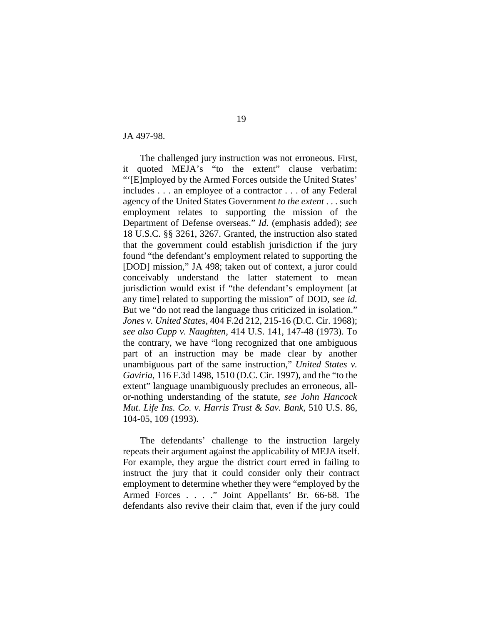JA 497-98.

The challenged jury instruction was not erroneous. First, it quoted MEJA's "to the extent" clause verbatim: "'[E]mployed by the Armed Forces outside the United States' includes . . . an employee of a contractor . . . of any Federal agency of the United States Government *to the extent* . . . such employment relates to supporting the mission of the Department of Defense overseas." *Id.* (emphasis added); *see*  18 U.S.C. §§ 3261, 3267. Granted, the instruction also stated that the government could establish jurisdiction if the jury found "the defendant's employment related to supporting the [DOD] mission," JA 498; taken out of context, a juror could conceivably understand the latter statement to mean jurisdiction would exist if "the defendant's employment [at any time] related to supporting the mission" of DOD, *see id.* But we "do not read the language thus criticized in isolation." *Jones v. United States*, 404 F.2d 212, 215-16 (D.C. Cir. 1968); *see also Cupp v. Naughten*, 414 U.S. 141, 147-48 (1973). To the contrary, we have "long recognized that one ambiguous part of an instruction may be made clear by another unambiguous part of the same instruction," *United States v. Gaviria*, 116 F.3d 1498, 1510 (D.C. Cir. 1997), and the "to the extent" language unambiguously precludes an erroneous, allor-nothing understanding of the statute, *see John Hancock Mut. Life Ins. Co. v. Harris Trust & Sav. Bank*, 510 U.S. 86, 104-05, 109 (1993).

The defendants' challenge to the instruction largely repeats their argument against the applicability of MEJA itself. For example, they argue the district court erred in failing to instruct the jury that it could consider only their contract employment to determine whether they were "employed by the Armed Forces . . . ." Joint Appellants' Br. 66-68. The defendants also revive their claim that, even if the jury could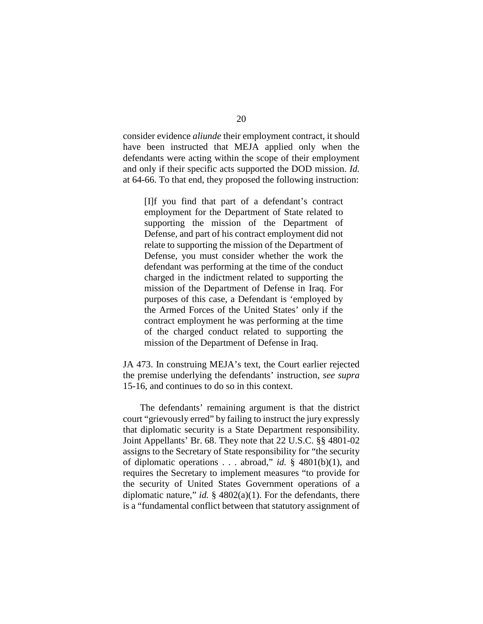consider evidence *aliunde* their employment contract, it should have been instructed that MEJA applied only when the defendants were acting within the scope of their employment and only if their specific acts supported the DOD mission. *Id.*  at 64-66. To that end, they proposed the following instruction:

[I]f you find that part of a defendant's contract employment for the Department of State related to supporting the mission of the Department of Defense, and part of his contract employment did not relate to supporting the mission of the Department of Defense, you must consider whether the work the defendant was performing at the time of the conduct charged in the indictment related to supporting the mission of the Department of Defense in Iraq. For purposes of this case, a Defendant is 'employed by the Armed Forces of the United States' only if the contract employment he was performing at the time of the charged conduct related to supporting the mission of the Department of Defense in Iraq.

JA 473. In construing MEJA's text, the Court earlier rejected the premise underlying the defendants' instruction, *see supra*  15-16, and continues to do so in this context.

The defendants' remaining argument is that the district court "grievously erred" by failing to instruct the jury expressly that diplomatic security is a State Department responsibility. Joint Appellants' Br. 68. They note that 22 U.S.C. §§ 4801-02 assigns to the Secretary of State responsibility for "the security of diplomatic operations . . . abroad," *id.* § 4801(b)(1), and requires the Secretary to implement measures "to provide for the security of United States Government operations of a diplomatic nature," *id.* § 4802(a)(1). For the defendants, there is a "fundamental conflict between that statutory assignment of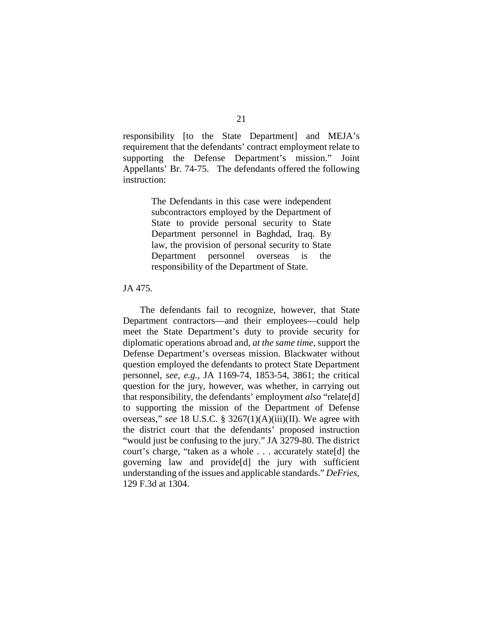responsibility [to the State Department] and MEJA's requirement that the defendants' contract employment relate to supporting the Defense Department's mission." Joint Appellants' Br. 74-75. The defendants offered the following instruction:

> The Defendants in this case were independent subcontractors employed by the Department of State to provide personal security to State Department personnel in Baghdad, Iraq. By law, the provision of personal security to State Department personnel overseas is the responsibility of the Department of State.

## JA 475.

The defendants fail to recognize, however, that State Department contractors—and their employees—could help meet the State Department's duty to provide security for diplomatic operations abroad and, *at the same time*, support the Defense Department's overseas mission. Blackwater without question employed the defendants to protect State Department personnel, *see, e.g.*, JA 1169-74, 1853-54, 3861; the critical question for the jury, however, was whether, in carrying out that responsibility, the defendants' employment *also* "relate[d] to supporting the mission of the Department of Defense overseas," *see* 18 U.S.C. § 3267(1)(A)(iii)(II). We agree with the district court that the defendants' proposed instruction "would just be confusing to the jury." JA 3279-80. The district court's charge, "taken as a whole . . . accurately state[d] the governing law and provide[d] the jury with sufficient understanding of the issues and applicable standards." *DeFries*, 129 F.3d at 1304.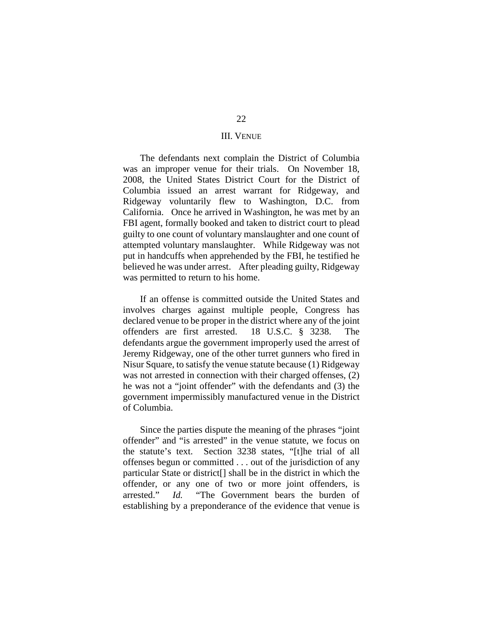## III. VENUE

<span id="page-21-0"></span>The defendants next complain the District of Columbia was an improper venue for their trials. On November 18, 2008, the United States District Court for the District of Columbia issued an arrest warrant for Ridgeway, and Ridgeway voluntarily flew to Washington, D.C. from California. Once he arrived in Washington, he was met by an FBI agent, formally booked and taken to district court to plead guilty to one count of voluntary manslaughter and one count of attempted voluntary manslaughter. While Ridgeway was not put in handcuffs when apprehended by the FBI, he testified he believed he was under arrest. After pleading guilty, Ridgeway was permitted to return to his home.

If an offense is committed outside the United States and involves charges against multiple people, Congress has declared venue to be proper in the district where any of the joint offenders are first arrested. 18 U.S.C. § 3238. The defendants argue the government improperly used the arrest of Jeremy Ridgeway, one of the other turret gunners who fired in Nisur Square, to satisfy the venue statute because (1) Ridgeway was not arrested in connection with their charged offenses, (2) he was not a "joint offender" with the defendants and (3) the government impermissibly manufactured venue in the District of Columbia.

Since the parties dispute the meaning of the phrases "joint offender" and "is arrested" in the venue statute, we focus on the statute's text. Section 3238 states, "[t]he trial of all offenses begun or committed . . . out of the jurisdiction of any particular State or district[] shall be in the district in which the offender, or any one of two or more joint offenders, is arrested." *Id.* "The Government bears the burden of establishing by a preponderance of the evidence that venue is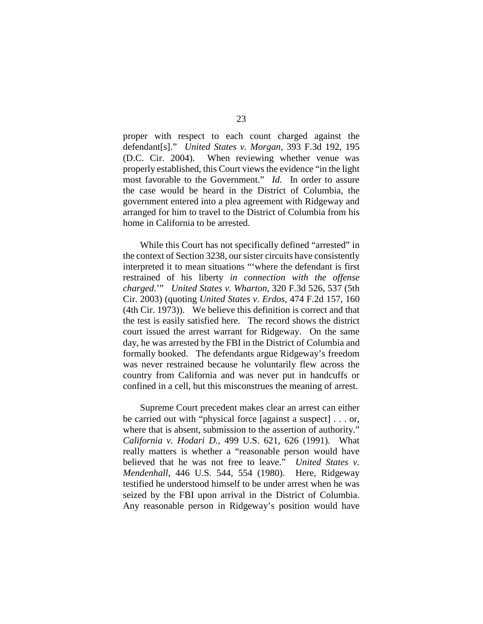proper with respect to each count charged against the defendant[s]." *United States v. Morgan*, 393 F.3d 192, 195 (D.C. Cir. 2004). When reviewing whether venue was properly established, this Court views the evidence "in the light most favorable to the Government." *Id.* In order to assure the case would be heard in the District of Columbia, the government entered into a plea agreement with Ridgeway and arranged for him to travel to the District of Columbia from his home in California to be arrested.

While this Court has not specifically defined "arrested" in the context of Section 3238, our sister circuits have consistently interpreted it to mean situations "'where the defendant is first restrained of his liberty *in connection with the offense charged.*'" *United States v. Wharton*, 320 F.3d 526, 537 (5th Cir. 2003) (quoting *United States v. Erdos*, 474 F.2d 157, 160 (4th Cir. 1973)). We believe this definition is correct and that the test is easily satisfied here. The record shows the district court issued the arrest warrant for Ridgeway. On the same day, he was arrested by the FBI in the District of Columbia and formally booked. The defendants argue Ridgeway's freedom was never restrained because he voluntarily flew across the country from California and was never put in handcuffs or confined in a cell, but this misconstrues the meaning of arrest.

Supreme Court precedent makes clear an arrest can either be carried out with "physical force [against a suspect] . . . or, where that is absent, submission to the assertion of authority." *California v. Hodari D.*, 499 U.S. 621, 626 (1991). What really matters is whether a "reasonable person would have believed that he was not free to leave." *United States v. Mendenhall*, 446 U.S. 544, 554 (1980). Here, Ridgeway testified he understood himself to be under arrest when he was seized by the FBI upon arrival in the District of Columbia. Any reasonable person in Ridgeway's position would have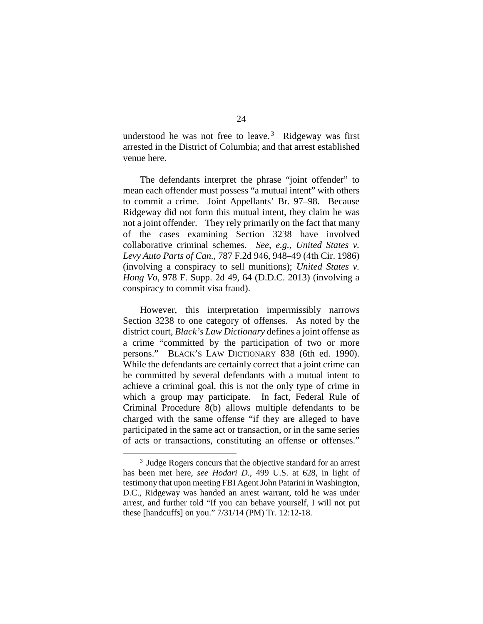understood he was not free to leave. [3](#page-23-0) Ridgeway was first arrested in the District of Columbia; and that arrest established venue here.

The defendants interpret the phrase "joint offender" to mean each offender must possess "a mutual intent" with others to commit a crime. Joint Appellants' Br. 97–98. Because Ridgeway did not form this mutual intent, they claim he was not a joint offender. They rely primarily on the fact that many of the cases examining Section 3238 have involved collaborative criminal schemes. *See, e.g.*, *United States v. Levy Auto Parts of Can.*, 787 F.2d 946, 948–49 (4th Cir. 1986) (involving a conspiracy to sell munitions); *United States v. Hong Vo*, 978 F. Supp. 2d 49, 64 (D.D.C. 2013) (involving a conspiracy to commit visa fraud).

However, this interpretation impermissibly narrows Section 3238 to one category of offenses. As noted by the district court, *Black's Law Dictionary* defines a joint offense as a crime "committed by the participation of two or more persons." BLACK'S LAW DICTIONARY 838 (6th ed. 1990). While the defendants are certainly correct that a joint crime can be committed by several defendants with a mutual intent to achieve a criminal goal, this is not the only type of crime in which a group may participate. In fact, Federal Rule of Criminal Procedure 8(b) allows multiple defendants to be charged with the same offense "if they are alleged to have participated in the same act or transaction, or in the same series of acts or transactions, constituting an offense or offenses."

<span id="page-23-0"></span><sup>&</sup>lt;sup>3</sup> Judge Rogers concurs that the objective standard for an arrest has been met here, *see Hodari D.*, 499 U.S. at 628, in light of testimony that upon meeting FBI Agent John Patarini in Washington, D.C., Ridgeway was handed an arrest warrant, told he was under arrest, and further told "If you can behave yourself, I will not put these [handcuffs] on you." 7/31/14 (PM) Tr. 12:12-18.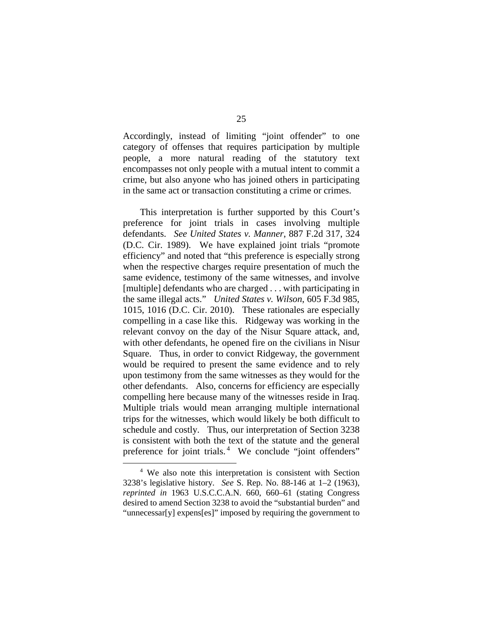Accordingly, instead of limiting "joint offender" to one category of offenses that requires participation by multiple people, a more natural reading of the statutory text encompasses not only people with a mutual intent to commit a crime, but also anyone who has joined others in participating in the same act or transaction constituting a crime or crimes.

This interpretation is further supported by this Court's preference for joint trials in cases involving multiple defendants. *See United States v. Manner*, 887 F.2d 317, 324 (D.C. Cir. 1989). We have explained joint trials "promote efficiency" and noted that "this preference is especially strong when the respective charges require presentation of much the same evidence, testimony of the same witnesses, and involve [multiple] defendants who are charged . . . with participating in the same illegal acts." *United States v. Wilson*, 605 F.3d 985, 1015, 1016 (D.C. Cir. 2010). These rationales are especially compelling in a case like this. Ridgeway was working in the relevant convoy on the day of the Nisur Square attack, and, with other defendants, he opened fire on the civilians in Nisur Square. Thus, in order to convict Ridgeway, the government would be required to present the same evidence and to rely upon testimony from the same witnesses as they would for the other defendants. Also, concerns for efficiency are especially compelling here because many of the witnesses reside in Iraq. Multiple trials would mean arranging multiple international trips for the witnesses, which would likely be both difficult to schedule and costly. Thus, our interpretation of Section 3238 is consistent with both the text of the statute and the general preference for joint trials. [4](#page-24-0) We conclude "joint offenders"

<span id="page-24-0"></span> <sup>4</sup> We also note this interpretation is consistent with Section 3238's legislative history. *See* S. Rep. No. 88-146 at 1–2 (1963), *reprinted in* 1963 U.S.C.C.A.N. 660, 660–61 (stating Congress desired to amend Section 3238 to avoid the "substantial burden" and "unnecessar[y] expens[es]" imposed by requiring the government to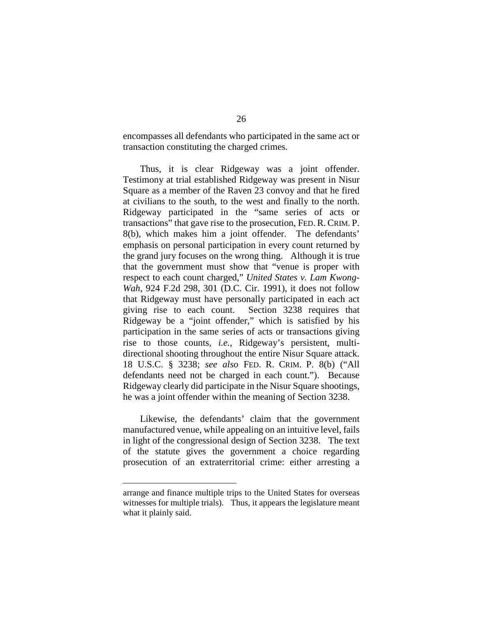encompasses all defendants who participated in the same act or transaction constituting the charged crimes.

Thus, it is clear Ridgeway was a joint offender. Testimony at trial established Ridgeway was present in Nisur Square as a member of the Raven 23 convoy and that he fired at civilians to the south, to the west and finally to the north. Ridgeway participated in the "same series of acts or transactions" that gave rise to the prosecution, FED. R. CRIM. P. 8(b), which makes him a joint offender. The defendants' emphasis on personal participation in every count returned by the grand jury focuses on the wrong thing. Although it is true that the government must show that "venue is proper with respect to each count charged," *United States v. Lam Kwong-Wah*, 924 F.2d 298, 301 (D.C. Cir. 1991), it does not follow that Ridgeway must have personally participated in each act giving rise to each count. Section 3238 requires that Ridgeway be a "joint offender," which is satisfied by his participation in the same series of acts or transactions giving rise to those counts, *i.e.*, Ridgeway's persistent, multidirectional shooting throughout the entire Nisur Square attack. 18 U.S.C. § 3238; *see also* FED. R. CRIM. P. 8(b) ("All defendants need not be charged in each count."). Because Ridgeway clearly did participate in the Nisur Square shootings, he was a joint offender within the meaning of Section 3238.

Likewise, the defendants' claim that the government manufactured venue, while appealing on an intuitive level, fails in light of the congressional design of Section 3238. The text of the statute gives the government a choice regarding prosecution of an extraterritorial crime: either arresting a

 $\overline{a}$ 

arrange and finance multiple trips to the United States for overseas witnesses for multiple trials). Thus, it appears the legislature meant what it plainly said.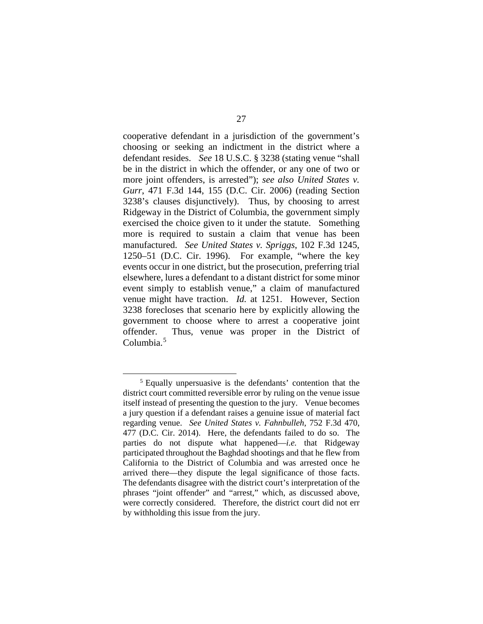cooperative defendant in a jurisdiction of the government's choosing or seeking an indictment in the district where a defendant resides. *See* 18 U.S.C. § 3238 (stating venue "shall be in the district in which the offender, or any one of two or more joint offenders, is arrested"); *see also United States v. Gurr*, 471 F.3d 144, 155 (D.C. Cir. 2006) (reading Section 3238's clauses disjunctively). Thus, by choosing to arrest Ridgeway in the District of Columbia, the government simply exercised the choice given to it under the statute. Something more is required to sustain a claim that venue has been manufactured. *See United States v. Spriggs*, 102 F.3d 1245, 1250–51 (D.C. Cir. 1996). For example, "where the key events occur in one district, but the prosecution, preferring trial elsewhere, lures a defendant to a distant district for some minor event simply to establish venue," a claim of manufactured venue might have traction. *Id.* at 1251. However, Section 3238 forecloses that scenario here by explicitly allowing the government to choose where to arrest a cooperative joint offender. Thus, venue was proper in the District of Columbia. [5](#page-26-0)

<span id="page-26-0"></span> <sup>5</sup> Equally unpersuasive is the defendants' contention that the district court committed reversible error by ruling on the venue issue itself instead of presenting the question to the jury. Venue becomes a jury question if a defendant raises a genuine issue of material fact regarding venue. *See United States v. Fahnbulleh*, 752 F.3d 470, 477 (D.C. Cir. 2014). Here, the defendants failed to do so. The parties do not dispute what happened—*i.e.* that Ridgeway participated throughout the Baghdad shootings and that he flew from California to the District of Columbia and was arrested once he arrived there—they dispute the legal significance of those facts. The defendants disagree with the district court's interpretation of the phrases "joint offender" and "arrest," which, as discussed above, were correctly considered. Therefore, the district court did not err by withholding this issue from the jury.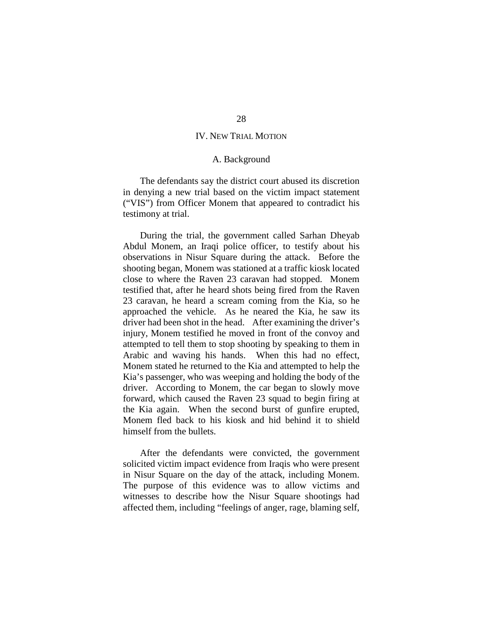# IV. NEW TRIAL MOTION

#### A. Background

<span id="page-27-1"></span><span id="page-27-0"></span>The defendants say the district court abused its discretion in denying a new trial based on the victim impact statement ("VIS") from Officer Monem that appeared to contradict his testimony at trial.

During the trial, the government called Sarhan Dheyab Abdul Monem, an Iraqi police officer, to testify about his observations in Nisur Square during the attack. Before the shooting began, Monem was stationed at a traffic kiosk located close to where the Raven 23 caravan had stopped. Monem testified that, after he heard shots being fired from the Raven 23 caravan, he heard a scream coming from the Kia, so he approached the vehicle. As he neared the Kia, he saw its driver had been shot in the head. After examining the driver's injury, Monem testified he moved in front of the convoy and attempted to tell them to stop shooting by speaking to them in Arabic and waving his hands. When this had no effect, Monem stated he returned to the Kia and attempted to help the Kia's passenger, who was weeping and holding the body of the driver. According to Monem, the car began to slowly move forward, which caused the Raven 23 squad to begin firing at the Kia again. When the second burst of gunfire erupted, Monem fled back to his kiosk and hid behind it to shield himself from the bullets.

After the defendants were convicted, the government solicited victim impact evidence from Iraqis who were present in Nisur Square on the day of the attack, including Monem. The purpose of this evidence was to allow victims and witnesses to describe how the Nisur Square shootings had affected them, including "feelings of anger, rage, blaming self,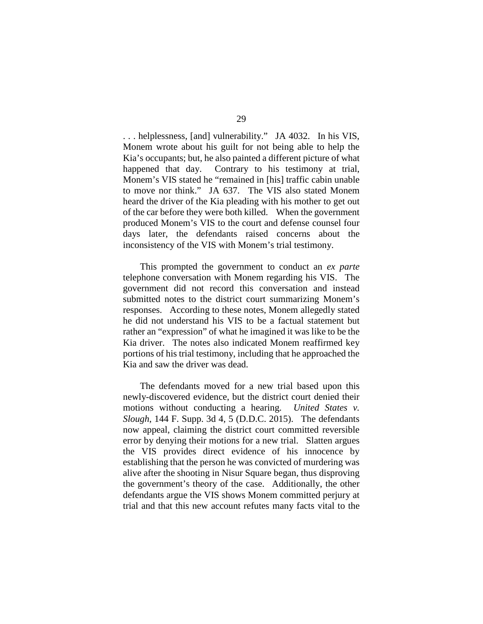. . . helplessness, [and] vulnerability." JA 4032. In his VIS, Monem wrote about his guilt for not being able to help the Kia's occupants; but, he also painted a different picture of what happened that day. Contrary to his testimony at trial, Monem's VIS stated he "remained in [his] traffic cabin unable to move nor think." JA 637.The VIS also stated Monem heard the driver of the Kia pleading with his mother to get out of the car before they were both killed.When the government produced Monem's VIS to the court and defense counsel four days later, the defendants raised concerns about the inconsistency of the VIS with Monem's trial testimony.

This prompted the government to conduct an *ex parte*  telephone conversation with Monem regarding his VIS. The government did not record this conversation and instead submitted notes to the district court summarizing Monem's responses. According to these notes, Monem allegedly stated he did not understand his VIS to be a factual statement but rather an "expression" of what he imagined it was like to be the Kia driver. The notes also indicated Monem reaffirmed key portions of his trial testimony, including that he approached the Kia and saw the driver was dead.

The defendants moved for a new trial based upon this newly-discovered evidence, but the district court denied their motions without conducting a hearing. *United States v. Slough*, 144 F. Supp. 3d 4, 5 (D.D.C. 2015). The defendants now appeal, claiming the district court committed reversible error by denying their motions for a new trial. Slatten argues the VIS provides direct evidence of his innocence by establishing that the person he was convicted of murdering was alive after the shooting in Nisur Square began, thus disproving the government's theory of the case. Additionally, the other defendants argue the VIS shows Monem committed perjury at trial and that this new account refutes many facts vital to the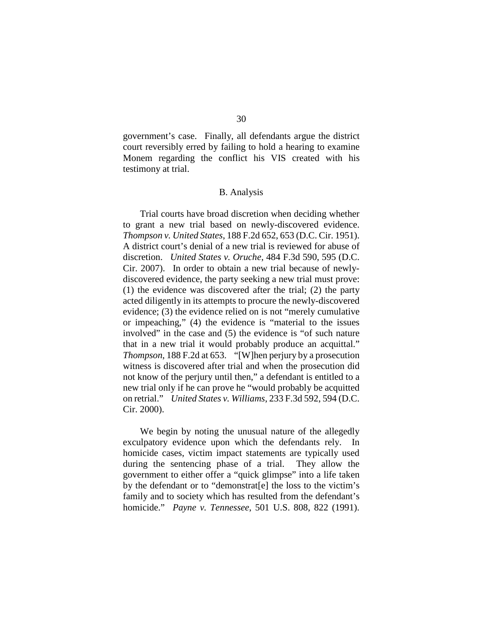government's case. Finally, all defendants argue the district court reversibly erred by failing to hold a hearing to examine Monem regarding the conflict his VIS created with his testimony at trial.

## B. Analysis

<span id="page-29-0"></span>Trial courts have broad discretion when deciding whether to grant a new trial based on newly-discovered evidence. *Thompson v. United States*, 188 F.2d 652, 653 (D.C. Cir. 1951). A district court's denial of a new trial is reviewed for abuse of discretion. *United States v. Oruche*, 484 F.3d 590, 595 (D.C. Cir. 2007). In order to obtain a new trial because of newlydiscovered evidence, the party seeking a new trial must prove: (1) the evidence was discovered after the trial; (2) the party acted diligently in its attempts to procure the newly-discovered evidence; (3) the evidence relied on is not "merely cumulative or impeaching," (4) the evidence is "material to the issues involved" in the case and (5) the evidence is "of such nature that in a new trial it would probably produce an acquittal." *Thompson*, 188 F.2d at 653. "[W]hen perjury by a prosecution witness is discovered after trial and when the prosecution did not know of the perjury until then," a defendant is entitled to a new trial only if he can prove he "would probably be acquitted on retrial." *United States v. Williams*, 233 F.3d 592, 594 (D.C. Cir. 2000).

We begin by noting the unusual nature of the allegedly exculpatory evidence upon which the defendants rely. In homicide cases, victim impact statements are typically used during the sentencing phase of a trial. They allow the government to either offer a "quick glimpse" into a life taken by the defendant or to "demonstrat[e] the loss to the victim's family and to society which has resulted from the defendant's homicide." *Payne v. Tennessee*, 501 U.S. 808, 822 (1991).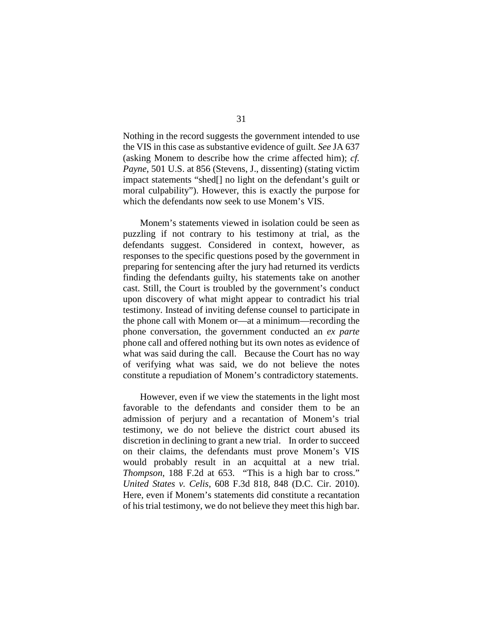Nothing in the record suggests the government intended to use the VIS in this case as substantive evidence of guilt. *See* JA 637 (asking Monem to describe how the crime affected him); *cf. Payne*, 501 U.S. at 856 (Stevens, J., dissenting) (stating victim impact statements "shed[] no light on the defendant's guilt or moral culpability"). However, this is exactly the purpose for which the defendants now seek to use Monem's VIS.

Monem's statements viewed in isolation could be seen as puzzling if not contrary to his testimony at trial, as the defendants suggest. Considered in context, however, as responses to the specific questions posed by the government in preparing for sentencing after the jury had returned its verdicts finding the defendants guilty, his statements take on another cast. Still, the Court is troubled by the government's conduct upon discovery of what might appear to contradict his trial testimony. Instead of inviting defense counsel to participate in the phone call with Monem or—at a minimum—recording the phone conversation, the government conducted an *ex parte*  phone call and offered nothing but its own notes as evidence of what was said during the call. Because the Court has no way of verifying what was said, we do not believe the notes constitute a repudiation of Monem's contradictory statements.

However, even if we view the statements in the light most favorable to the defendants and consider them to be an admission of perjury and a recantation of Monem's trial testimony, we do not believe the district court abused its discretion in declining to grant a new trial. In order to succeed on their claims, the defendants must prove Monem's VIS would probably result in an acquittal at a new trial. *Thompson*, 188 F.2d at 653. "This is a high bar to cross." *United States v. Celis*, 608 F.3d 818, 848 (D.C. Cir. 2010). Here, even if Monem's statements did constitute a recantation of his trial testimony, we do not believe they meet this high bar.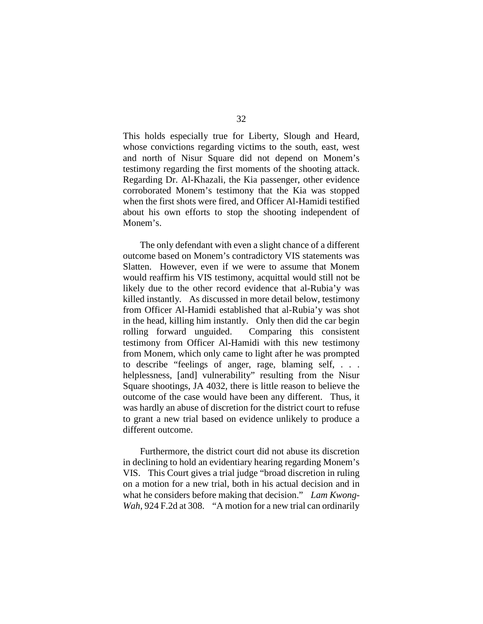This holds especially true for Liberty, Slough and Heard, whose convictions regarding victims to the south, east, west and north of Nisur Square did not depend on Monem's testimony regarding the first moments of the shooting attack. Regarding Dr. Al-Khazali, the Kia passenger, other evidence corroborated Monem's testimony that the Kia was stopped when the first shots were fired, and Officer Al-Hamidi testified about his own efforts to stop the shooting independent of Monem's.

The only defendant with even a slight chance of a different outcome based on Monem's contradictory VIS statements was Slatten. However, even if we were to assume that Monem would reaffirm his VIS testimony, acquittal would still not be likely due to the other record evidence that al-Rubia'y was killed instantly. As discussed in more detail below, testimony from Officer Al-Hamidi established that al-Rubia'y was shot in the head, killing him instantly. Only then did the car begin rolling forward unguided. Comparing this consistent testimony from Officer Al-Hamidi with this new testimony from Monem, which only came to light after he was prompted to describe "feelings of anger, rage, blaming self, . . . helplessness, [and] vulnerability" resulting from the Nisur Square shootings, JA 4032, there is little reason to believe the outcome of the case would have been any different. Thus, it was hardly an abuse of discretion for the district court to refuse to grant a new trial based on evidence unlikely to produce a different outcome.

Furthermore, the district court did not abuse its discretion in declining to hold an evidentiary hearing regarding Monem's VIS. This Court gives a trial judge "broad discretion in ruling on a motion for a new trial, both in his actual decision and in what he considers before making that decision." *Lam Kwong-Wah*, 924 F.2d at 308. "A motion for a new trial can ordinarily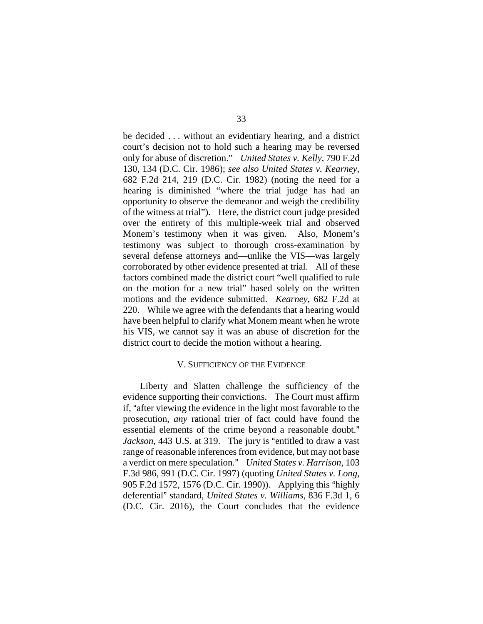be decided . . . without an evidentiary hearing, and a district court's decision not to hold such a hearing may be reversed only for abuse of discretion." *United States v. Kelly*, 790 F.2d 130, 134 (D.C. Cir. 1986); *see also United States v. Kearney*, 682 F.2d 214, 219 (D.C. Cir. 1982) (noting the need for a hearing is diminished "where the trial judge has had an opportunity to observe the demeanor and weigh the credibility of the witness at trial"). Here, the district court judge presided over the entirety of this multiple-week trial and observed Monem's testimony when it was given. Also, Monem's testimony was subject to thorough cross-examination by several defense attorneys and—unlike the VIS—was largely corroborated by other evidence presented at trial. All of these factors combined made the district court "well qualified to rule on the motion for a new trial" based solely on the written motions and the evidence submitted. *Kearney*, 682 F.2d at 220. While we agree with the defendants that a hearing would have been helpful to clarify what Monem meant when he wrote his VIS, we cannot say it was an abuse of discretion for the district court to decide the motion without a hearing.

## V. SUFFICIENCY OF THE EVIDENCE

<span id="page-32-0"></span>Liberty and Slatten challenge the sufficiency of the evidence supporting their convictions. The Court must affirm if, "after viewing the evidence in the light most favorable to the prosecution, *any* rational trier of fact could have found the essential elements of the crime beyond a reasonable doubt." *Jackson*, 443 U.S. at 319. The jury is "entitled to draw a vast range of reasonable inferences from evidence, but may not base a verdict on mere speculation." *United States v. Harrison*, 103 F.3d 986, 991 (D.C. Cir. 1997) (quoting *United States v. Long*, 905 F.2d 1572, 1576 (D.C. Cir. 1990)). Applying this "highly deferential" standard, *United States v. Williams*, 836 F.3d 1, 6 (D.C. Cir. 2016), the Court concludes that the evidence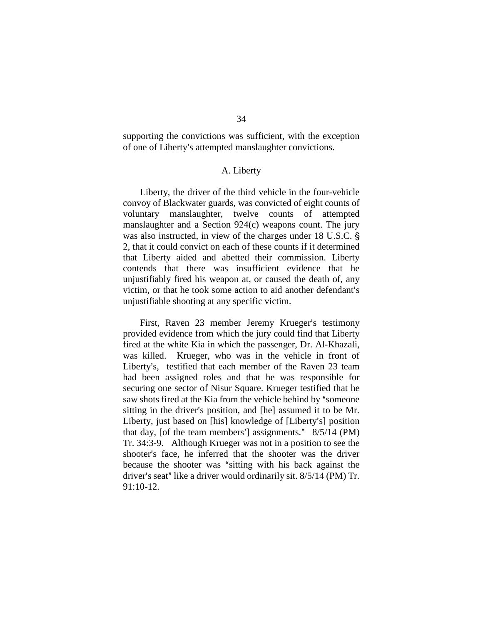supporting the convictions was sufficient, with the exception of one of Liberty's attempted manslaughter convictions.

#### A. Liberty

<span id="page-33-0"></span>Liberty, the driver of the third vehicle in the four-vehicle convoy of Blackwater guards, was convicted of eight counts of voluntary manslaughter, twelve counts of attempted manslaughter and a Section 924(c) weapons count. The jury was also instructed, in view of the charges under 18 U.S.C. § 2, that it could convict on each of these counts if it determined that Liberty aided and abetted their commission. Liberty contends that there was insufficient evidence that he unjustifiably fired his weapon at, or caused the death of, any victim, or that he took some action to aid another defendant's unjustifiable shooting at any specific victim.

First, Raven 23 member Jeremy Krueger's testimony provided evidence from which the jury could find that Liberty fired at the white Kia in which the passenger, Dr. Al-Khazali, was killed. Krueger, who was in the vehicle in front of Liberty's, testified that each member of the Raven 23 team had been assigned roles and that he was responsible for securing one sector of Nisur Square. Krueger testified that he saw shots fired at the Kia from the vehicle behind by "someone" sitting in the driver's position, and [he] assumed it to be Mr. Liberty, just based on [his] knowledge of [Liberty's] position that day, [of the team members'] assignments."  $8/5/14$  (PM) Tr. 34:3-9. Although Krueger was not in a position to see the shooter's face, he inferred that the shooter was the driver because the shooter was "sitting with his back against the driver's seat" like a driver would ordinarily sit.  $8/5/14$  (PM) Tr. 91:10-12.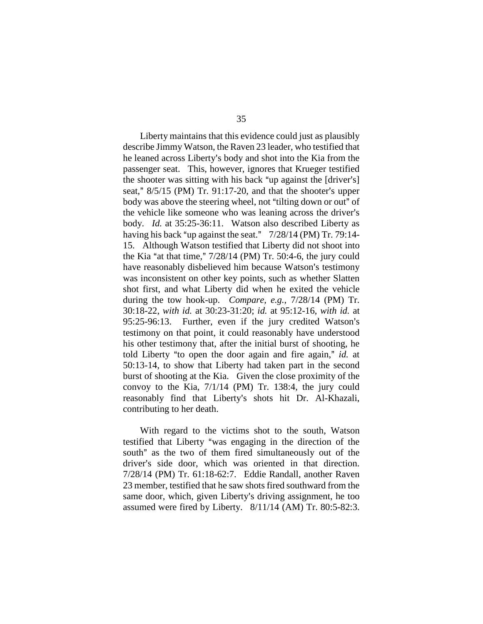Liberty maintains that this evidence could just as plausibly describe Jimmy Watson, the Raven 23 leader, who testified that he leaned across Liberty's body and shot into the Kia from the passenger seat. This, however, ignores that Krueger testified the shooter was sitting with his back "up against the  $[driver's]$ seat,"  $8/5/15$  (PM) Tr. 91:17-20, and that the shooter's upper body was above the steering wheel, not "tilting down or out" of the vehicle like someone who was leaning across the driver's body. *Id.* at 35:25-36:11. Watson also described Liberty as having his back "up against the seat."  $7/28/14$  (PM) Tr. 79:14-15. Although Watson testified that Liberty did not shoot into the Kia "at that time,"  $7/28/14$  (PM) Tr. 50:4-6, the jury could have reasonably disbelieved him because Watson's testimony was inconsistent on other key points, such as whether Slatten shot first, and what Liberty did when he exited the vehicle during the tow hook-up. *Compare, e.g.*, 7/28/14 (PM) Tr. 30:18-22, *with id.* at 30:23-31:20; *id.* at 95:12-16, *with id.* at 95:25-96:13. Further, even if the jury credited Watson's testimony on that point, it could reasonably have understood his other testimony that, after the initial burst of shooting, he told Liberty "to open the door again and fire again," *id.* at 50:13-14, to show that Liberty had taken part in the second burst of shooting at the Kia. Given the close proximity of the convoy to the Kia, 7/1/14 (PM) Tr. 138:4, the jury could reasonably find that Liberty's shots hit Dr. Al-Khazali, contributing to her death.

With regard to the victims shot to the south, Watson testified that Liberty "was engaging in the direction of the south" as the two of them fired simultaneously out of the driver's side door, which was oriented in that direction. 7/28/14 (PM) Tr. 61:18-62:7. Eddie Randall, another Raven 23 member, testified that he saw shots fired southward from the same door, which, given Liberty's driving assignment, he too assumed were fired by Liberty. 8/11/14 (AM) Tr. 80:5-82:3.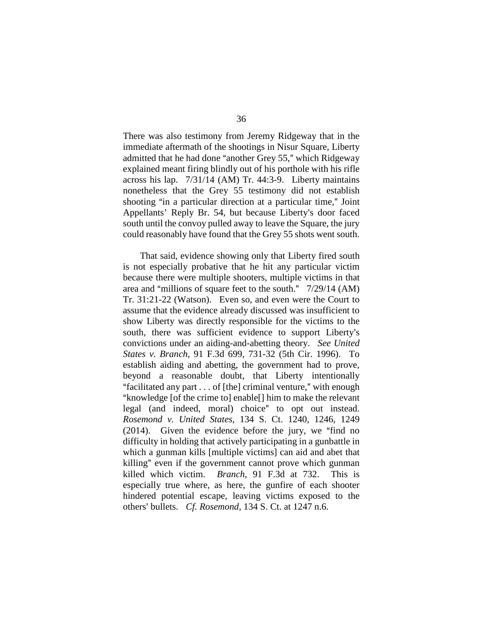There was also testimony from Jeremy Ridgeway that in the immediate aftermath of the shootings in Nisur Square, Liberty admitted that he had done "another Grey 55," which Ridgeway explained meant firing blindly out of his porthole with his rifle across his lap. 7/31/14 (AM) Tr. 44:3-9. Liberty maintains nonetheless that the Grey 55 testimony did not establish shooting "in a particular direction at a particular time," Joint Appellants' Reply Br. 54, but because Liberty's door faced south until the convoy pulled away to leave the Square, the jury could reasonably have found that the Grey 55 shots went south.

That said, evidence showing only that Liberty fired south is not especially probative that he hit any particular victim because there were multiple shooters, multiple victims in that area and "millions of square feet to the south."  $7/29/14$  (AM) Tr. 31:21-22 (Watson). Even so, and even were the Court to assume that the evidence already discussed was insufficient to show Liberty was directly responsible for the victims to the south, there was sufficient evidence to support Liberty's convictions under an aiding-and-abetting theory. *See United States v. Branch*, 91 F.3d 699, 731-32 (5th Cir. 1996). To establish aiding and abetting, the government had to prove, beyond a reasonable doubt, that Liberty intentionally "facilitated any part  $\dots$  of [the] criminal venture," with enough "knowledge [of the crime to] enable[] him to make the relevant legal (and indeed, moral) choice" to opt out instead. *Rosemond v. United States*, 134 S. Ct. 1240, 1246, 1249  $(2014)$ . Given the evidence before the jury, we "find no difficulty in holding that actively participating in a gunbattle in which a gunman kills [multiple victims] can aid and abet that killing" even if the government cannot prove which gunman killed which victim. *Branch*, 91 F.3d at 732. This is especially true where, as here, the gunfire of each shooter hindered potential escape, leaving victims exposed to the others' bullets. *Cf. Rosemond*, 134 S. Ct. at 1247 n.6.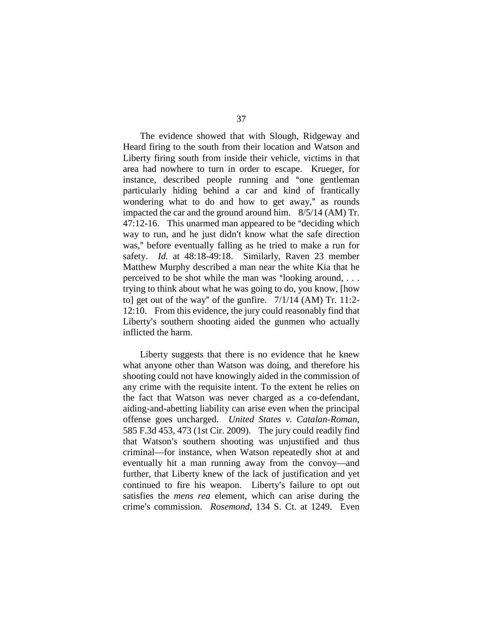The evidence showed that with Slough, Ridgeway and Heard firing to the south from their location and Watson and Liberty firing south from inside their vehicle, victims in that area had nowhere to turn in order to escape. Krueger, for instance, described people running and "one gentleman particularly hiding behind a car and kind of frantically wondering what to do and how to get away," as rounds impacted the car and the ground around him. 8/5/14 (AM) Tr.  $47:12-16$ . This unarmed man appeared to be "deciding which way to run, and he just didn't know what the safe direction was," before eventually falling as he tried to make a run for safety. *Id.* at 48:18-49:18. Similarly, Raven 23 member Matthew Murphy described a man near the white Kia that he perceived to be shot while the man was "looking around,  $\ldots$ trying to think about what he was going to do, you know, [how to] get out of the way" of the gunfire.  $7/1/14$  (AM) Tr. 11:2-12:10. From this evidence, the jury could reasonably find that Liberty's southern shooting aided the gunmen who actually inflicted the harm.

Liberty suggests that there is no evidence that he knew what anyone other than Watson was doing, and therefore his shooting could not have knowingly aided in the commission of any crime with the requisite intent. To the extent he relies on the fact that Watson was never charged as a co-defendant, aiding-and-abetting liability can arise even when the principal offense goes uncharged. *United States v. Catalan-Roman*, 585 F.3d 453, 473 (1st Cir. 2009). The jury could readily find that Watson's southern shooting was unjustified and thus criminal—for instance, when Watson repeatedly shot at and eventually hit a man running away from the convoy—and further, that Liberty knew of the lack of justification and yet continued to fire his weapon. Liberty's failure to opt out satisfies the *mens rea* element, which can arise during the crime's commission. *Rosemond*, 134 S. Ct. at 1249. Even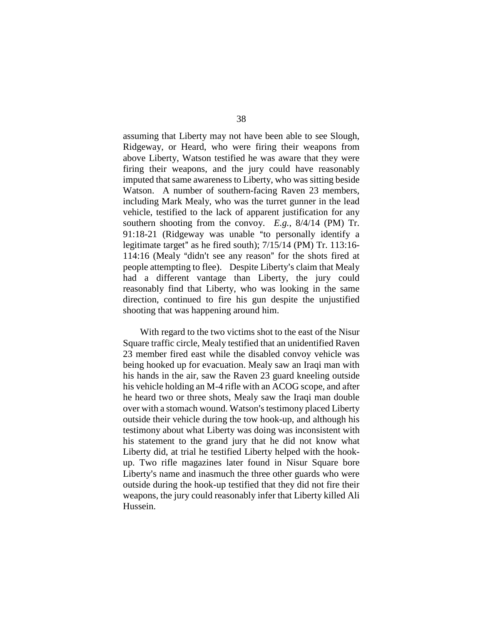assuming that Liberty may not have been able to see Slough, Ridgeway, or Heard, who were firing their weapons from above Liberty, Watson testified he was aware that they were firing their weapons, and the jury could have reasonably imputed that same awareness to Liberty, who was sitting beside Watson. A number of southern-facing Raven 23 members, including Mark Mealy, who was the turret gunner in the lead vehicle, testified to the lack of apparent justification for any southern shooting from the convoy. *E.g.*, 8/4/14 (PM) Tr.  $91:18-21$  (Ridgeway was unable "to personally identify a legitimate target" as he fired south);  $7/15/14$  (PM) Tr. 113:16- $114:16$  (Mealy "didn't see any reason" for the shots fired at people attempting to flee). Despite Liberty's claim that Mealy had a different vantage than Liberty, the jury could reasonably find that Liberty, who was looking in the same direction, continued to fire his gun despite the unjustified shooting that was happening around him.

With regard to the two victims shot to the east of the Nisur Square traffic circle, Mealy testified that an unidentified Raven 23 member fired east while the disabled convoy vehicle was being hooked up for evacuation. Mealy saw an Iraqi man with his hands in the air, saw the Raven 23 guard kneeling outside his vehicle holding an M-4 rifle with an ACOG scope, and after he heard two or three shots, Mealy saw the Iraqi man double over with a stomach wound. Watson's testimony placed Liberty outside their vehicle during the tow hook-up, and although his testimony about what Liberty was doing was inconsistent with his statement to the grand jury that he did not know what Liberty did, at trial he testified Liberty helped with the hookup. Two rifle magazines later found in Nisur Square bore Liberty's name and inasmuch the three other guards who were outside during the hook-up testified that they did not fire their weapons, the jury could reasonably infer that Liberty killed Ali Hussein.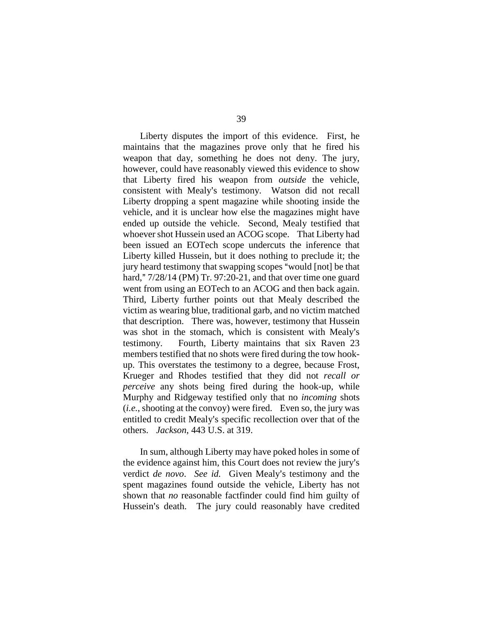Liberty disputes the import of this evidence. First, he maintains that the magazines prove only that he fired his weapon that day, something he does not deny. The jury, however, could have reasonably viewed this evidence to show that Liberty fired his weapon from *outside* the vehicle, consistent with Mealy's testimony. Watson did not recall Liberty dropping a spent magazine while shooting inside the vehicle, and it is unclear how else the magazines might have ended up outside the vehicle. Second, Mealy testified that whoever shot Hussein used an ACOG scope. That Liberty had been issued an EOTech scope undercuts the inference that Liberty killed Hussein, but it does nothing to preclude it; the jury heard testimony that swapping scopes "would [not] be that hard,"  $7/28/14$  (PM) Tr. 97:20-21, and that over time one guard went from using an EOTech to an ACOG and then back again. Third, Liberty further points out that Mealy described the victim as wearing blue, traditional garb, and no victim matched that description. There was, however, testimony that Hussein was shot in the stomach, which is consistent with Mealy's testimony. Fourth, Liberty maintains that six Raven 23 members testified that no shots were fired during the tow hookup. This overstates the testimony to a degree, because Frost, Krueger and Rhodes testified that they did not *recall or perceive* any shots being fired during the hook-up, while Murphy and Ridgeway testified only that no *incoming* shots (*i.e.*, shooting at the convoy) were fired. Even so, the jury was entitled to credit Mealy's specific recollection over that of the others. *Jackson*, 443 U.S. at 319.

In sum, although Liberty may have poked holes in some of the evidence against him, this Court does not review the jury's verdict *de novo. See id.* Given Mealy's testimony and the spent magazines found outside the vehicle, Liberty has not shown that *no* reasonable factfinder could find him guilty of Hussein's death. The jury could reasonably have credited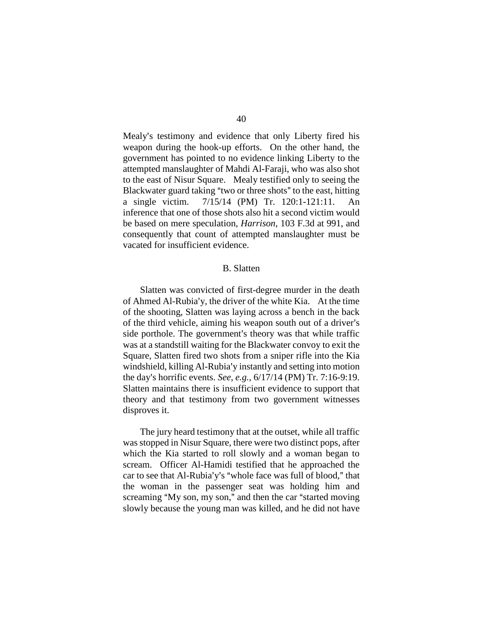Mealy's testimony and evidence that only Liberty fired his weapon during the hook-up efforts. On the other hand, the government has pointed to no evidence linking Liberty to the attempted manslaughter of Mahdi Al-Faraji, who was also shot to the east of Nisur Square. Mealy testified only to seeing the Blackwater guard taking "two or three shots" to the east, hitting a single victim. 7/15/14 (PM) Tr. 120:1-121:11. An inference that one of those shots also hit a second victim would be based on mere speculation, *Harrison*, 103 F.3d at 991, and consequently that count of attempted manslaughter must be vacated for insufficient evidence.

# B. Slatten

Slatten was convicted of first-degree murder in the death of Ahmed Al-Rubia'y, the driver of the white Kia. At the time of the shooting, Slatten was laying across a bench in the back of the third vehicle, aiming his weapon south out of a driver's side porthole. The government's theory was that while traffic was at a standstill waiting for the Blackwater convoy to exit the Square, Slatten fired two shots from a sniper rifle into the Kia windshield, killing Al-Rubia'y instantly and setting into motion the day's horrific events. *See, e.g.*,  $6/17/14$  (PM) Tr. 7:16-9:19. Slatten maintains there is insufficient evidence to support that theory and that testimony from two government witnesses disproves it.

The jury heard testimony that at the outset, while all traffic was stopped in Nisur Square, there were two distinct pops, after which the Kia started to roll slowly and a woman began to scream. Officer Al-Hamidi testified that he approached the car to see that Al-Rubia'y's "whole face was full of blood," that the woman in the passenger seat was holding him and screaming "My son, my son," and then the car "started moving slowly because the young man was killed, and he did not have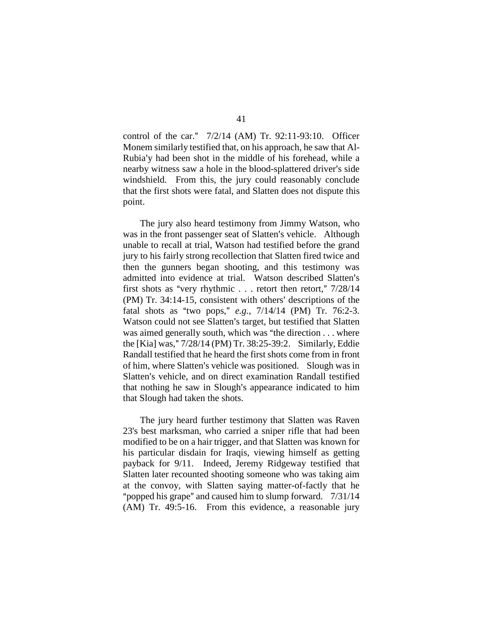control of the car."  $7/2/14$  (AM) Tr. 92:11-93:10. Officer Monem similarly testified that, on his approach, he saw that Al-Rubia'y had been shot in the middle of his forehead, while a nearby witness saw a hole in the blood-splattered driver's side windshield. From this, the jury could reasonably conclude that the first shots were fatal, and Slatten does not dispute this point.

The jury also heard testimony from Jimmy Watson, who was in the front passenger seat of Slatten's vehicle. Although unable to recall at trial, Watson had testified before the grand jury to his fairly strong recollection that Slatten fired twice and then the gunners began shooting, and this testimony was admitted into evidence at trial. Watson described Slatten's first shots as "very rhythmic . . . retort then retort,"  $7/28/14$  $(PM)$  Tr. 34:14-15, consistent with others' descriptions of the fatal shots as "two pops," *e.g.*, 7/14/14 (PM) Tr. 76:2-3. Watson could not see Slatten's target, but testified that Slatten was aimed generally south, which was "the direction  $\dots$  where the [Kia] was," 7/28/14 (PM) Tr. 38:25-39:2. Similarly, Eddie Randall testified that he heard the first shots come from in front of him, where Slatten's vehicle was positioned. Slough was in Slatten's vehicle, and on direct examination Randall testified that nothing he saw in Slough's appearance indicated to him that Slough had taken the shots.

The jury heard further testimony that Slatten was Raven 23's best marksman, who carried a sniper rifle that had been modified to be on a hair trigger, and that Slatten was known for his particular disdain for Iraqis, viewing himself as getting payback for 9/11. Indeed, Jeremy Ridgeway testified that Slatten later recounted shooting someone who was taking aim at the convoy, with Slatten saying matter-of-factly that he "popped his grape" and caused him to slump forward.  $7/31/14$ (AM) Tr. 49:5-16. From this evidence, a reasonable jury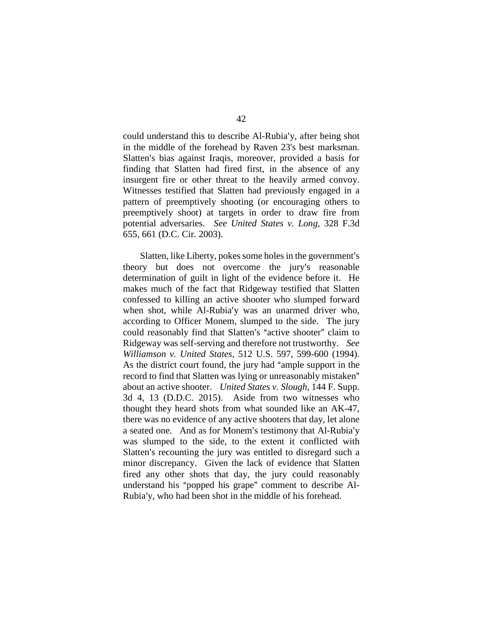could understand this to describe Al-Rubia'y, after being shot in the middle of the forehead by Raven 23's best marksman. Slatten's bias against Iraqis, moreover, provided a basis for finding that Slatten had fired first, in the absence of any insurgent fire or other threat to the heavily armed convoy. Witnesses testified that Slatten had previously engaged in a pattern of preemptively shooting (or encouraging others to preemptively shoot) at targets in order to draw fire from potential adversaries. *See United States v. Long*, 328 F.3d 655, 661 (D.C. Cir. 2003).

Slatten, like Liberty, pokes some holes in the government's theory but does not overcome the jury's reasonable determination of guilt in light of the evidence before it. He makes much of the fact that Ridgeway testified that Slatten confessed to killing an active shooter who slumped forward when shot, while Al-Rubia'y was an unarmed driver who, according to Officer Monem, slumped to the side. The jury could reasonably find that Slatten's "active shooter" claim to Ridgeway was self-serving and therefore not trustworthy. *See Williamson v. United States*, 512 U.S. 597, 599-600 (1994). As the district court found, the jury had "ample support in the record to find that Slatten was lying or unreasonably mistaken" about an active shooter. *United States v. Slough*, 144 F. Supp. 3d 4, 13 (D.D.C. 2015). Aside from two witnesses who thought they heard shots from what sounded like an AK-47, there was no evidence of any active shooters that day, let alone a seated one. And as for Monem's testimony that Al-Rubia'y was slumped to the side, to the extent it conflicted with Slatten's recounting the jury was entitled to disregard such a minor discrepancy. Given the lack of evidence that Slatten fired any other shots that day, the jury could reasonably understand his "popped his grape" comment to describe Al-Rubia'y, who had been shot in the middle of his forehead.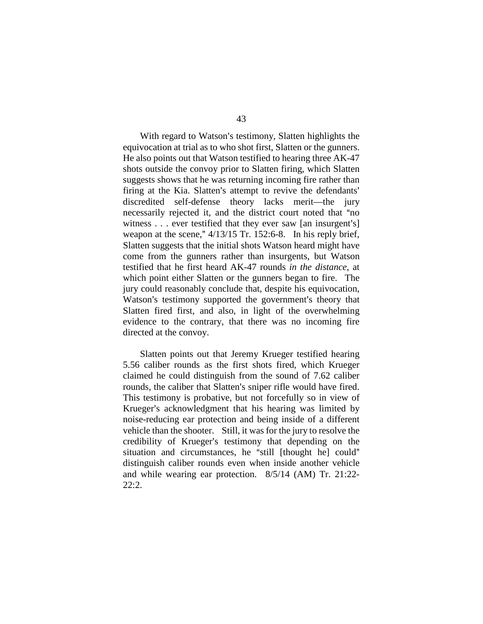With regard to Watson's testimony, Slatten highlights the equivocation at trial as to who shot first, Slatten or the gunners. He also points out that Watson testified to hearing three AK-47 shots outside the convoy prior to Slatten firing, which Slatten suggests shows that he was returning incoming fire rather than firing at the Kia. Slatten's attempt to revive the defendants' discredited self-defense theory lacks merit—the jury necessarily rejected it, and the district court noted that "no witness  $\dots$  ever testified that they ever saw [an insurgent's] weapon at the scene,"  $4/13/15$  Tr. 152:6-8. In his reply brief, Slatten suggests that the initial shots Watson heard might have come from the gunners rather than insurgents, but Watson testified that he first heard AK-47 rounds *in the distance*, at which point either Slatten or the gunners began to fire. The jury could reasonably conclude that, despite his equivocation, Watson's testimony supported the government's theory that Slatten fired first, and also, in light of the overwhelming evidence to the contrary, that there was no incoming fire directed at the convoy.

Slatten points out that Jeremy Krueger testified hearing 5.56 caliber rounds as the first shots fired, which Krueger claimed he could distinguish from the sound of 7.62 caliber rounds, the caliber that Slatten's sniper rifle would have fired. This testimony is probative, but not forcefully so in view of Krueger's acknowledgment that his hearing was limited by noise-reducing ear protection and being inside of a different vehicle than the shooter. Still, it was for the jury to resolve the credibility of Krueger's testimony that depending on the situation and circumstances, he "still [thought he] could" distinguish caliber rounds even when inside another vehicle and while wearing ear protection. 8/5/14 (AM) Tr. 21:22- 22:2.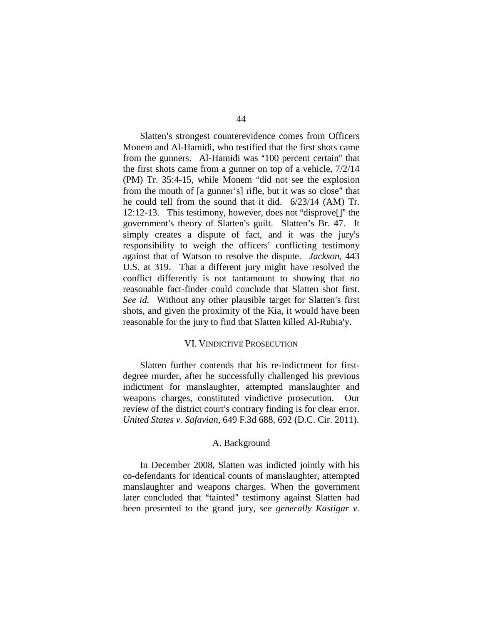Slatten's strongest counterevidence comes from Officers Monem and Al-Hamidi, who testified that the first shots came from the gunners. Al-Hamidi was "100 percent certain" that the first shots came from a gunner on top of a vehicle, 7/2/14  $(PM)$  Tr. 35:4-15, while Monem "did not see the explosion" from the mouth of [a gunner's] rifle, but it was so close" that he could tell from the sound that it did. 6/23/14 (AM) Tr. 12:12-13. This testimony, however, does not "disprove $[]$ " the government's theory of Slatten's guilt. Slatten's Br. 47. It simply creates a dispute of fact, and it was the jury's responsibility to weigh the officers' conflicting testimony against that of Watson to resolve the dispute. *Jackson*, 443 U.S. at 319. That a different jury might have resolved the conflict differently is not tantamount to showing that *no*  reasonable fact-finder could conclude that Slatten shot first. *See id.* Without any other plausible target for Slatten's first shots, and given the proximity of the Kia, it would have been reasonable for the jury to find that Slatten killed Al-Rubia'y.

### VI. VINDICTIVE PROSECUTION

Slatten further contends that his re-indictment for firstdegree murder, after he successfully challenged his previous indictment for manslaughter, attempted manslaughter and weapons charges, constituted vindictive prosecution. Our review of the district court's contrary finding is for clear error. *United States v. Safavian*, 649 F.3d 688, 692 (D.C. Cir. 2011).

#### A. Background

In December 2008, Slatten was indicted jointly with his co-defendants for identical counts of manslaughter, attempted manslaughter and weapons charges. When the government later concluded that "tainted" testimony against Slatten had been presented to the grand jury, *see generally Kastigar v.*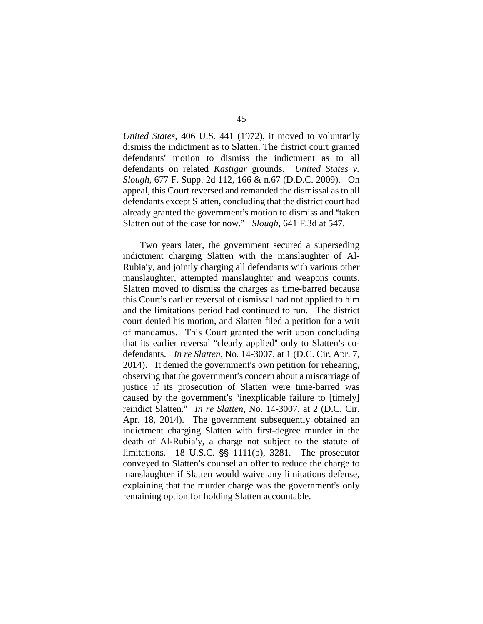*United States*, 406 U.S. 441 (1972), it moved to voluntarily dismiss the indictment as to Slatten. The district court granted defendants' motion to dismiss the indictment as to all defendants on related *Kastigar* grounds. *United States v. Slough*, 677 F. Supp. 2d 112, 166 & n.67 (D.D.C. 2009). On appeal, this Court reversed and remanded the dismissal as to all defendants except Slatten, concluding that the district court had already granted the government's motion to dismiss and "taken" Slatten out of the case for now." *Slough*, 641 F.3d at 547.

Two years later, the government secured a superseding indictment charging Slatten with the manslaughter of Al-Rubia'y, and jointly charging all defendants with various other manslaughter, attempted manslaughter and weapons counts. Slatten moved to dismiss the charges as time-barred because this Court's earlier reversal of dismissal had not applied to him and the limitations period had continued to run. The district court denied his motion, and Slatten filed a petition for a writ of mandamus. This Court granted the writ upon concluding that its earlier reversal "clearly applied" only to Slatten's codefendants. *In re Slatten*, No. 14-3007, at 1 (D.C. Cir. Apr. 7,  $2014$ ). It denied the government's own petition for rehearing, observing that the government's concern about a miscarriage of justice if its prosecution of Slatten were time-barred was caused by the government's "inexplicable failure to [timely] reindict Slatten." *In re Slatten*, No. 14-3007, at 2 (D.C. Cir. Apr. 18, 2014). The government subsequently obtained an indictment charging Slatten with first-degree murder in the death of Al-Rubia'y, a charge not subject to the statute of limitations. 18 U.S.C.  $\S$  1111(b), 3281. The prosecutor conveyed to Slatten's counsel an offer to reduce the charge to manslaughter if Slatten would waive any limitations defense, explaining that the murder charge was the government's only remaining option for holding Slatten accountable.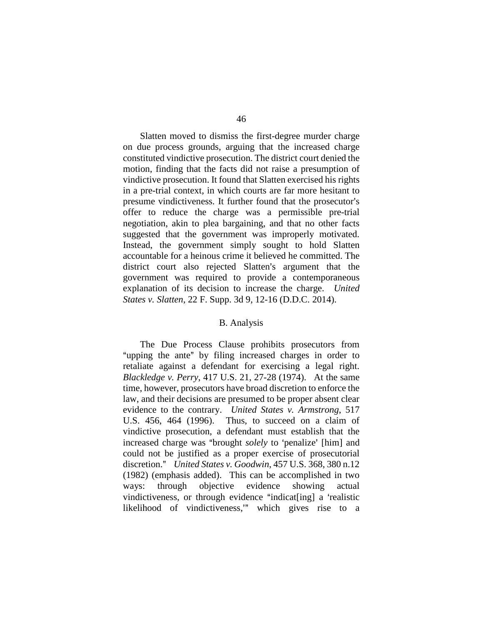Slatten moved to dismiss the first-degree murder charge on due process grounds, arguing that the increased charge constituted vindictive prosecution. The district court denied the motion, finding that the facts did not raise a presumption of vindictive prosecution. It found that Slatten exercised his rights in a pre-trial context, in which courts are far more hesitant to presume vindictiveness. It further found that the prosecutor's offer to reduce the charge was a permissible pre-trial negotiation, akin to plea bargaining, and that no other facts suggested that the government was improperly motivated. Instead, the government simply sought to hold Slatten accountable for a heinous crime it believed he committed. The district court also rejected Slatten's argument that the government was required to provide a contemporaneous explanation of its decision to increase the charge. *United States v. Slatten*, 22 F. Supp. 3d 9, 12-16 (D.D.C. 2014).

#### B. Analysis

The Due Process Clause prohibits prosecutors from "upping the ante" by filing increased charges in order to retaliate against a defendant for exercising a legal right. *Blackledge v. Perry*, 417 U.S. 21, 27-28 (1974). At the same time, however, prosecutors have broad discretion to enforce the law, and their decisions are presumed to be proper absent clear evidence to the contrary. *United States v. Armstrong*, 517 U.S. 456, 464 (1996). Thus, to succeed on a claim of vindictive prosecution, a defendant must establish that the increased charge was "brought *solely* to 'penalize' [him] and could not be justified as a proper exercise of prosecutorial discretion." *United States v. Goodwin*, 457 U.S. 368, 380 n.12 (1982) (emphasis added). This can be accomplished in two ways: through objective evidence showing actual vindictiveness, or through evidence "indicat[ing] a 'realistic likelihood of vindictiveness," which gives rise to a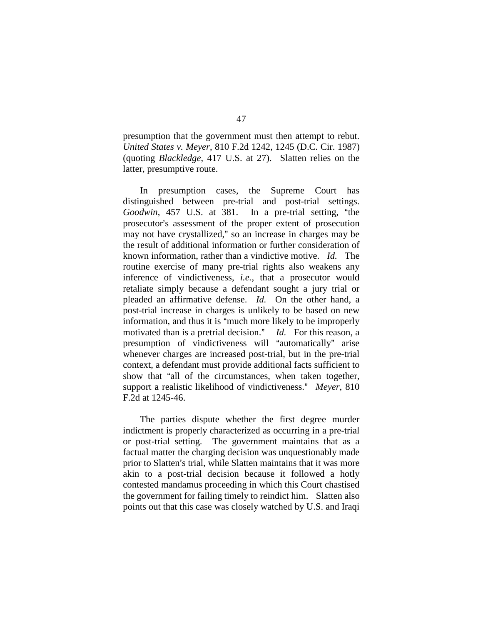presumption that the government must then attempt to rebut. *United States v. Meyer*, 810 F.2d 1242, 1245 (D.C. Cir. 1987) (quoting *Blackledge*, 417 U.S. at 27). Slatten relies on the latter, presumptive route.

In presumption cases, the Supreme Court has distinguished between pre-trial and post-trial settings. *Goodwin*, 457 U.S. at 381. In a pre-trial setting, "the prosecutor's assessment of the proper extent of prosecution may not have crystallized," so an increase in charges may be the result of additional information or further consideration of known information, rather than a vindictive motive. *Id.* The routine exercise of many pre-trial rights also weakens any inference of vindictiveness, *i.e.*, that a prosecutor would retaliate simply because a defendant sought a jury trial or pleaded an affirmative defense. *Id.* On the other hand, a post-trial increase in charges is unlikely to be based on new information, and thus it is "much more likely to be improperly motivated than is a pretrial decision." *Id.* For this reason, a presumption of vindictiveness will "automatically" arise whenever charges are increased post-trial, but in the pre-trial context, a defendant must provide additional facts sufficient to show that "all of the circumstances, when taken together, support a realistic likelihood of vindictiveness." Meyer, 810 F.2d at 1245-46.

The parties dispute whether the first degree murder indictment is properly characterized as occurring in a pre-trial or post-trial setting. The government maintains that as a factual matter the charging decision was unquestionably made prior to Slatten's trial, while Slatten maintains that it was more akin to a post-trial decision because it followed a hotly contested mandamus proceeding in which this Court chastised the government for failing timely to reindict him. Slatten also points out that this case was closely watched by U.S. and Iraqi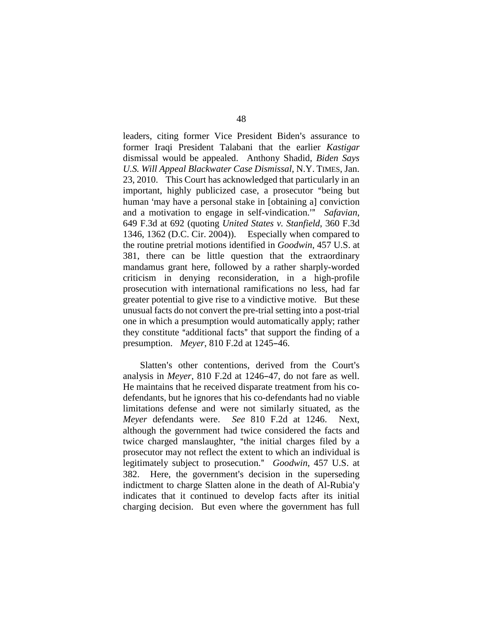leaders, citing former Vice President Biden's assurance to former Iraqi President Talabani that the earlier *Kastigar*  dismissal would be appealed. Anthony Shadid, *Biden Says U.S. Will Appeal Blackwater Case Dismissal*, N.Y. TIMES, Jan. 23, 2010. This Court has acknowledged that particularly in an important, highly publicized case, a prosecutor "being but human 'may have a personal stake in [obtaining a] conviction and a motivation to engage in self-vindication.<sup>39</sup> Safavian, 649 F.3d at 692 (quoting *United States v. Stanfield*, 360 F.3d 1346, 1362 (D.C. Cir. 2004)). Especially when compared to the routine pretrial motions identified in *Goodwin*, 457 U.S. at 381, there can be little question that the extraordinary mandamus grant here, followed by a rather sharply-worded criticism in denying reconsideration, in a high-profile prosecution with international ramifications no less, had far greater potential to give rise to a vindictive motive. But these unusual facts do not convert the pre-trial setting into a post-trial one in which a presumption would automatically apply; rather they constitute "additional facts" that support the finding of a presumption. *Meyer*, 810 F.2d at 1245-46.

Slatten's other contentions, derived from the Court's analysis in *Meyer*, 810 F.2d at 1246–47, do not fare as well. He maintains that he received disparate treatment from his codefendants, but he ignores that his co-defendants had no viable limitations defense and were not similarly situated, as the *Meyer* defendants were. *See* 810 F.2d at 1246. Next, although the government had twice considered the facts and twice charged manslaughter, "the initial charges filed by a prosecutor may not reflect the extent to which an individual is legitimately subject to prosecution." *Goodwin*, 457 U.S. at 382. Here, the government's decision in the superseding indictment to charge Slatten alone in the death of Al-Rubia'y indicates that it continued to develop facts after its initial charging decision. But even where the government has full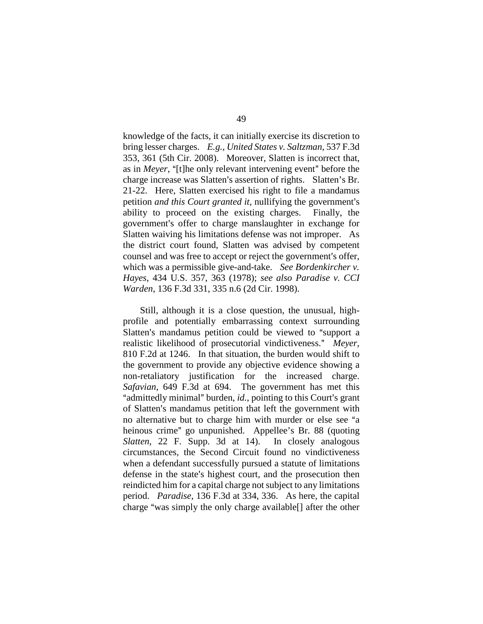knowledge of the facts, it can initially exercise its discretion to bring lesser charges. *E.g.*, *United States v. Saltzman*, 537 F.3d 353, 361 (5th Cir. 2008). Moreover, Slatten is incorrect that, as in *Meyer*, "[t]he only relevant intervening event" before the charge increase was Slatten's assertion of rights. Slatten's Br. 21-22. Here, Slatten exercised his right to file a mandamus petition *and this Court granted it*, nullifying the government's ability to proceed on the existing charges. Finally, the government's offer to charge manslaughter in exchange for Slatten waiving his limitations defense was not improper. As the district court found, Slatten was advised by competent counsel and was free to accept or reject the government's offer, which was a permissible give-and-take. *See Bordenkircher v. Hayes*, 434 U.S. 357, 363 (1978); *see also Paradise v. CCI Warden*, 136 F.3d 331, 335 n.6 (2d Cir. 1998).

Still, although it is a close question, the unusual, highprofile and potentially embarrassing context surrounding Slatten's mandamus petition could be viewed to "support a realistic likelihood of prosecutorial vindictiveness." Meyer, 810 F.2d at 1246. In that situation, the burden would shift to the government to provide any objective evidence showing a non-retaliatory justification for the increased charge. *Safavian*, 649 F.3d at 694. The government has met this "admittedly minimal" burden, *id.*, pointing to this Court's grant of Slatten's mandamus petition that left the government with no alternative but to charge him with murder or else see "a heinous crime" go unpunished. Appellee's Br. 88 (quoting *Slatten*, 22 F. Supp. 3d at 14). In closely analogous circumstances, the Second Circuit found no vindictiveness when a defendant successfully pursued a statute of limitations defense in the state's highest court, and the prosecution then reindicted him for a capital charge not subject to any limitations period. *Paradise*, 136 F.3d at 334, 336. As here, the capital charge "was simply the only charge available<sup>[]</sup> after the other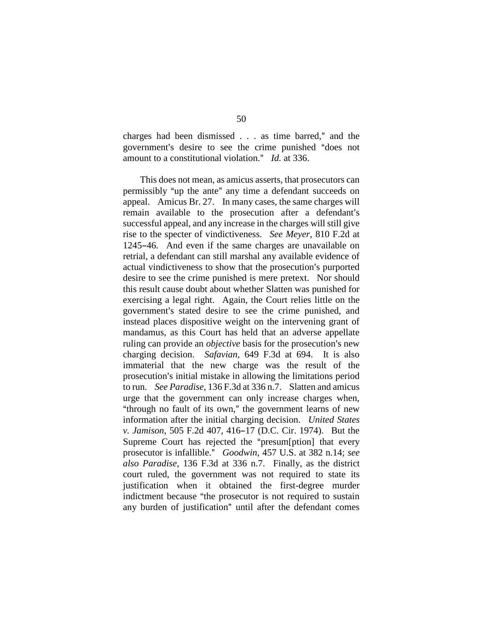charges had been dismissed  $\ldots$  as time barred," and the government's desire to see the crime punished "does not amount to a constitutional violation." *Id.* at 336.

This does not mean, as amicus asserts, that prosecutors can permissibly "up the ante" any time a defendant succeeds on appeal. Amicus Br. 27. In many cases, the same charges will remain available to the prosecution after a defendant's successful appeal, and any increase in the charges will still give rise to the specter of vindictiveness. *See Meyer*, 810 F.2d at 1245-46. And even if the same charges are unavailable on retrial, a defendant can still marshal any available evidence of actual vindictiveness to show that the prosecution's purported desire to see the crime punished is mere pretext. Nor should this result cause doubt about whether Slatten was punished for exercising a legal right. Again, the Court relies little on the government's stated desire to see the crime punished, and instead places dispositive weight on the intervening grant of mandamus, as this Court has held that an adverse appellate ruling can provide an *objective* basis for the prosecution's new charging decision. *Safavian*, 649 F.3d at 694. It is also immaterial that the new charge was the result of the prosecution's initial mistake in allowing the limitations period to run. *See Paradise*, 136 F.3d at 336 n.7. Slatten and amicus urge that the government can only increase charges when, "through no fault of its own," the government learns of new information after the initial charging decision. *United States v. Jamison*, 505 F.2d 407, 416-17 (D.C. Cir. 1974). But the Supreme Court has rejected the "presum[ption] that every prosecutor is infallible.@ *Goodwin*, 457 U.S. at 382 n.14; *see also Paradise*, 136 F.3d at 336 n.7. Finally, as the district court ruled, the government was not required to state its justification when it obtained the first-degree murder indictment because "the prosecutor is not required to sustain any burden of justification" until after the defendant comes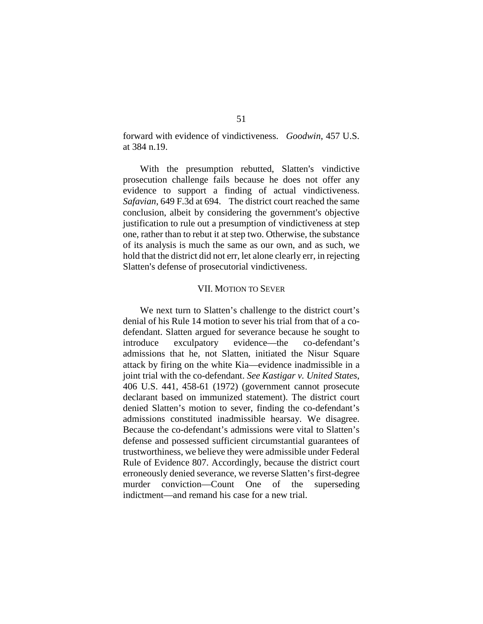forward with evidence of vindictiveness. *Goodwin*, 457 U.S. at 384 n.19.

With the presumption rebutted, Slatten's vindictive prosecution challenge fails because he does not offer any evidence to support a finding of actual vindictiveness. *Safavian*, 649 F.3d at 694.The district court reached the same conclusion, albeit by considering the government's objective justification to rule out a presumption of vindictiveness at step one, rather than to rebut it at step two. Otherwise, the substance of its analysis is much the same as our own, and as such, we hold that the district did not err, let alone clearly err, in rejecting Slatten's defense of prosecutorial vindictiveness.

#### VII. MOTION TO SEVER

We next turn to Slatten's challenge to the district court's denial of his Rule 14 motion to sever his trial from that of a codefendant. Slatten argued for severance because he sought to introduce exculpatory evidence—the co-defendant's admissions that he, not Slatten, initiated the Nisur Square attack by firing on the white Kia—evidence inadmissible in a joint trial with the co-defendant. *See Kastigar v. United States*, 406 U.S. 441, 458-61 (1972) (government cannot prosecute declarant based on immunized statement). The district court denied Slatten's motion to sever, finding the co-defendant's admissions constituted inadmissible hearsay. We disagree. Because the co-defendant's admissions were vital to Slatten's defense and possessed sufficient circumstantial guarantees of trustworthiness, we believe they were admissible under Federal Rule of Evidence 807. Accordingly, because the district court erroneously denied severance, we reverse Slatten's first-degree murder conviction—Count One of the superseding indictment—and remand his case for a new trial.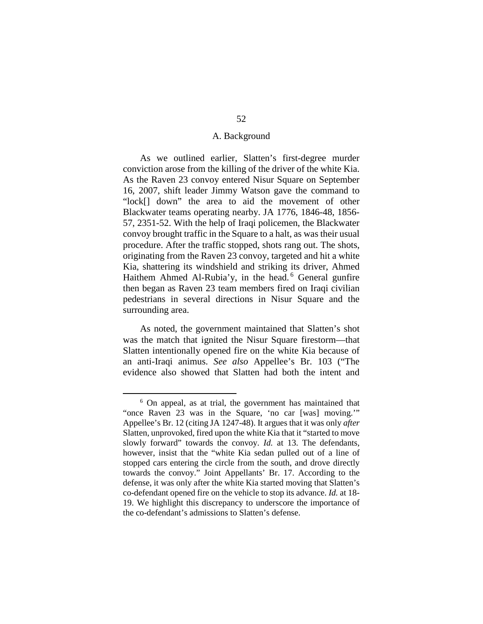# A. Background

As we outlined earlier, Slatten's first-degree murder conviction arose from the killing of the driver of the white Kia. As the Raven 23 convoy entered Nisur Square on September 16, 2007, shift leader Jimmy Watson gave the command to "lock[] down" the area to aid the movement of other Blackwater teams operating nearby. JA 1776, 1846-48, 1856- 57, 2351-52. With the help of Iraqi policemen, the Blackwater convoy brought traffic in the Square to a halt, as was their usual procedure. After the traffic stopped, shots rang out. The shots, originating from the Raven 23 convoy, targeted and hit a white Kia, shattering its windshield and striking its driver, Ahmed Haithem Ahmed Al-Rubia'y, in the head.<sup>[6](#page-51-0)</sup> General gunfire then began as Raven 23 team members fired on Iraqi civilian pedestrians in several directions in Nisur Square and the surrounding area.

As noted, the government maintained that Slatten's shot was the match that ignited the Nisur Square firestorm—that Slatten intentionally opened fire on the white Kia because of an anti-Iraqi animus. *See also* Appellee's Br. 103 ("The evidence also showed that Slatten had both the intent and

<span id="page-51-0"></span> <sup>6</sup> On appeal, as at trial, the government has maintained that "once Raven 23 was in the Square, 'no car [was] moving.'" Appellee's Br. 12 (citing JA 1247-48). It argues that it was only *after*  Slatten, unprovoked, fired upon the white Kia that it "started to move slowly forward" towards the convoy. *Id.* at 13. The defendants, however, insist that the "white Kia sedan pulled out of a line of stopped cars entering the circle from the south, and drove directly towards the convoy." Joint Appellants' Br. 17. According to the defense, it was only after the white Kia started moving that Slatten's co-defendant opened fire on the vehicle to stop its advance. *Id.* at 18- 19. We highlight this discrepancy to underscore the importance of the co-defendant's admissions to Slatten's defense.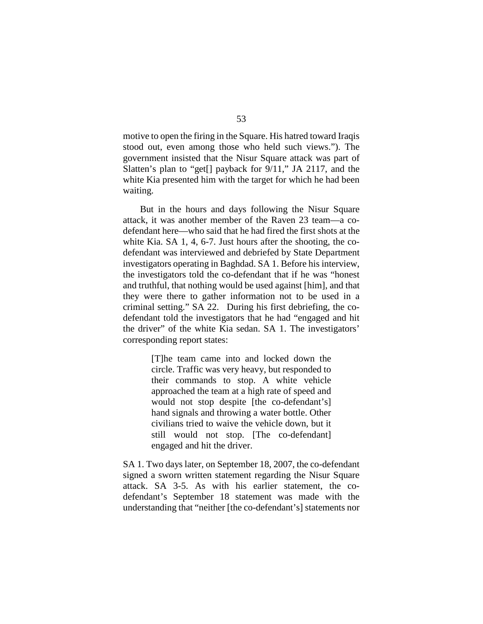motive to open the firing in the Square. His hatred toward Iraqis stood out, even among those who held such views."). The government insisted that the Nisur Square attack was part of Slatten's plan to "get[] payback for 9/11," JA 2117, and the white Kia presented him with the target for which he had been waiting.

But in the hours and days following the Nisur Square attack, it was another member of the Raven 23 team—a codefendant here—who said that he had fired the first shots at the white Kia. SA 1, 4, 6-7. Just hours after the shooting, the codefendant was interviewed and debriefed by State Department investigators operating in Baghdad. SA 1. Before his interview, the investigators told the co-defendant that if he was "honest and truthful, that nothing would be used against [him], and that they were there to gather information not to be used in a criminal setting." SA 22. During his first debriefing, the codefendant told the investigators that he had "engaged and hit the driver" of the white Kia sedan. SA 1. The investigators' corresponding report states:

> [T]he team came into and locked down the circle. Traffic was very heavy, but responded to their commands to stop. A white vehicle approached the team at a high rate of speed and would not stop despite [the co-defendant's] hand signals and throwing a water bottle. Other civilians tried to waive the vehicle down, but it still would not stop. [The co-defendant] engaged and hit the driver.

SA 1. Two days later, on September 18, 2007, the co-defendant signed a sworn written statement regarding the Nisur Square attack. SA 3-5. As with his earlier statement, the codefendant's September 18 statement was made with the understanding that "neither [the co-defendant's] statements nor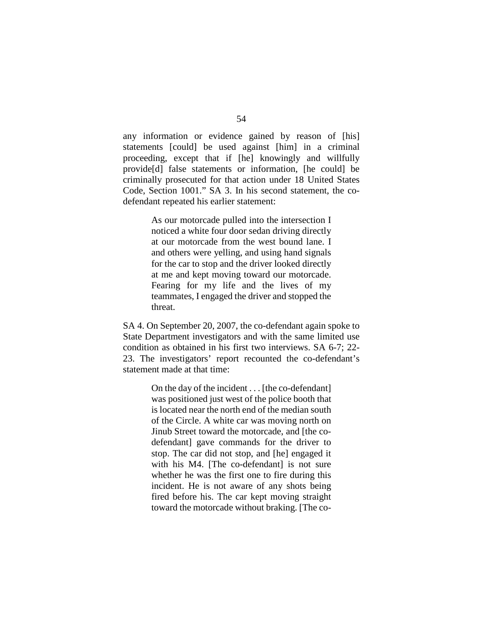any information or evidence gained by reason of [his] statements [could] be used against [him] in a criminal proceeding, except that if [he] knowingly and willfully provide[d] false statements or information, [he could] be criminally prosecuted for that action under 18 United States Code, Section 1001." SA 3. In his second statement, the codefendant repeated his earlier statement:

> As our motorcade pulled into the intersection I noticed a white four door sedan driving directly at our motorcade from the west bound lane. I and others were yelling, and using hand signals for the car to stop and the driver looked directly at me and kept moving toward our motorcade. Fearing for my life and the lives of my teammates, I engaged the driver and stopped the threat.

SA 4. On September 20, 2007, the co-defendant again spoke to State Department investigators and with the same limited use condition as obtained in his first two interviews. SA 6-7; 22- 23. The investigators' report recounted the co-defendant's statement made at that time:

> On the day of the incident . . . [the co-defendant] was positioned just west of the police booth that is located near the north end of the median south of the Circle. A white car was moving north on Jinub Street toward the motorcade, and [the codefendant] gave commands for the driver to stop. The car did not stop, and [he] engaged it with his M4. [The co-defendant] is not sure whether he was the first one to fire during this incident. He is not aware of any shots being fired before his. The car kept moving straight toward the motorcade without braking. [The co-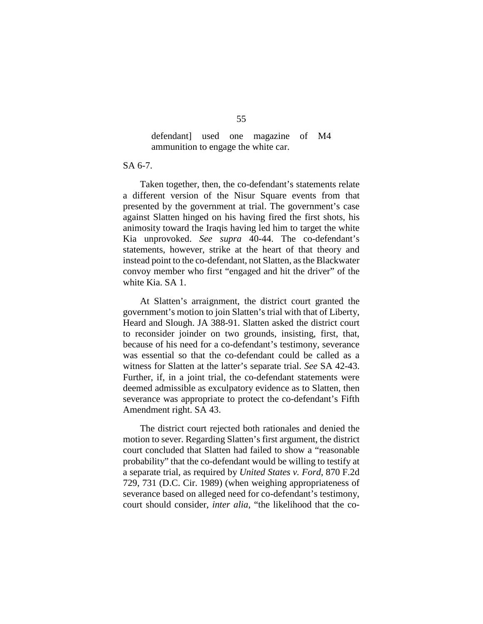# defendant] used one magazine of M4 ammunition to engage the white car.

# SA 6-7.

Taken together, then, the co-defendant's statements relate a different version of the Nisur Square events from that presented by the government at trial. The government's case against Slatten hinged on his having fired the first shots, his animosity toward the Iraqis having led him to target the white Kia unprovoked. *See supra* 40-44. The co-defendant's statements, however, strike at the heart of that theory and instead point to the co-defendant, not Slatten, as the Blackwater convoy member who first "engaged and hit the driver" of the white Kia. SA 1.

At Slatten's arraignment, the district court granted the government's motion to join Slatten's trial with that of Liberty, Heard and Slough. JA 388-91. Slatten asked the district court to reconsider joinder on two grounds, insisting, first, that, because of his need for a co-defendant's testimony, severance was essential so that the co-defendant could be called as a witness for Slatten at the latter's separate trial. *See* SA 42-43. Further, if, in a joint trial, the co-defendant statements were deemed admissible as exculpatory evidence as to Slatten, then severance was appropriate to protect the co-defendant's Fifth Amendment right. SA 43.

The district court rejected both rationales and denied the motion to sever. Regarding Slatten's first argument, the district court concluded that Slatten had failed to show a "reasonable probability" that the co-defendant would be willing to testify at a separate trial, as required by *United States v. Ford*, 870 F.2d 729, 731 (D.C. Cir. 1989) (when weighing appropriateness of severance based on alleged need for co-defendant's testimony, court should consider, *inter alia*, "the likelihood that the co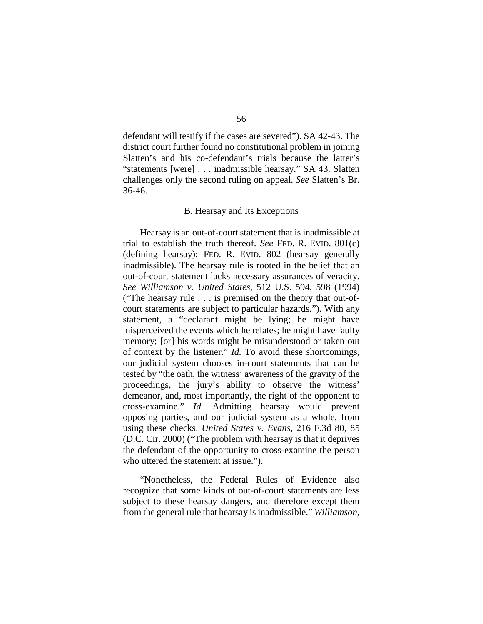defendant will testify if the cases are severed"). SA 42-43. The district court further found no constitutional problem in joining Slatten's and his co-defendant's trials because the latter's "statements [were] . . . inadmissible hearsay." SA 43. Slatten challenges only the second ruling on appeal. *See* Slatten's Br. 36-46.

### B. Hearsay and Its Exceptions

Hearsay is an out-of-court statement that is inadmissible at trial to establish the truth thereof. *See* FED. R. EVID. 801(c) (defining hearsay); FED. R. EVID. 802 (hearsay generally inadmissible). The hearsay rule is rooted in the belief that an out-of-court statement lacks necessary assurances of veracity. *See Williamson v. United States*, 512 U.S. 594, 598 (1994) ("The hearsay rule . . . is premised on the theory that out-ofcourt statements are subject to particular hazards."). With any statement, a "declarant might be lying; he might have misperceived the events which he relates; he might have faulty memory; [or] his words might be misunderstood or taken out of context by the listener." *Id.* To avoid these shortcomings, our judicial system chooses in-court statements that can be tested by "the oath, the witness' awareness of the gravity of the proceedings, the jury's ability to observe the witness' demeanor, and, most importantly, the right of the opponent to cross-examine." *Id.* Admitting hearsay would prevent opposing parties, and our judicial system as a whole, from using these checks. *United States v. Evans*, 216 F.3d 80, 85 (D.C. Cir. 2000) ("The problem with hearsay is that it deprives the defendant of the opportunity to cross-examine the person who uttered the statement at issue.").

"Nonetheless, the Federal Rules of Evidence also recognize that some kinds of out-of-court statements are less subject to these hearsay dangers, and therefore except them from the general rule that hearsay is inadmissible." *Williamson*,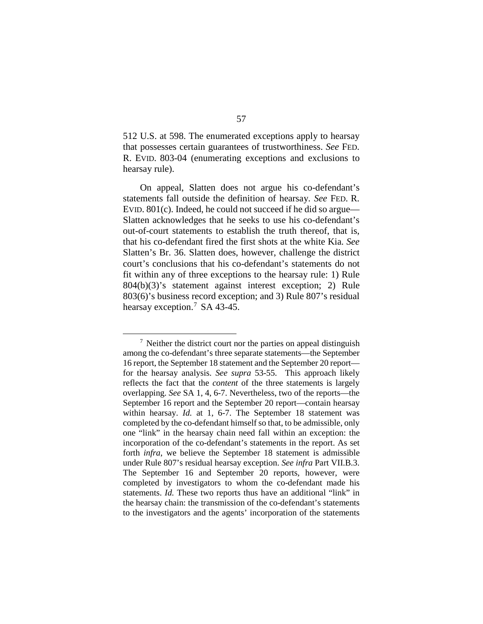512 U.S. at 598. The enumerated exceptions apply to hearsay that possesses certain guarantees of trustworthiness. *See* FED. R. EVID. 803-04 (enumerating exceptions and exclusions to hearsay rule).

On appeal, Slatten does not argue his co-defendant's statements fall outside the definition of hearsay. *See* FED. R. EVID. 801(c). Indeed, he could not succeed if he did so argue— Slatten acknowledges that he seeks to use his co-defendant's out-of-court statements to establish the truth thereof, that is, that his co-defendant fired the first shots at the white Kia. *See*  Slatten's Br. 36. Slatten does, however, challenge the district court's conclusions that his co-defendant's statements do not fit within any of three exceptions to the hearsay rule: 1) Rule 804(b)(3)'s statement against interest exception; 2) Rule 803(6)'s business record exception; and 3) Rule 807's residual hearsay exception.<sup>[7](#page-56-0)</sup> SA 43-45.

<span id="page-56-0"></span> $<sup>7</sup>$  Neither the district court nor the parties on appeal distinguish</sup> among the co-defendant's three separate statements—the September 16 report, the September 18 statement and the September 20 report for the hearsay analysis. *See supra* 53-55. This approach likely reflects the fact that the *content* of the three statements is largely overlapping. *See* SA 1, 4, 6-7. Nevertheless, two of the reports—the September 16 report and the September 20 report—contain hearsay within hearsay. *Id.* at 1, 6-7. The September 18 statement was completed by the co-defendant himself so that, to be admissible, only one "link" in the hearsay chain need fall within an exception: the incorporation of the co-defendant's statements in the report. As set forth *infra*, we believe the September 18 statement is admissible under Rule 807's residual hearsay exception. *See infra* Part VII.B.3. The September 16 and September 20 reports, however, were completed by investigators to whom the co-defendant made his statements. *Id.* These two reports thus have an additional "link" in the hearsay chain: the transmission of the co-defendant's statements to the investigators and the agents' incorporation of the statements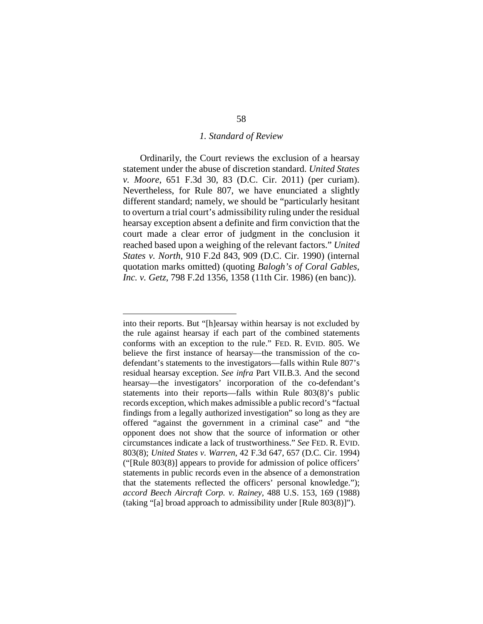#### *1. Standard of Review*

Ordinarily, the Court reviews the exclusion of a hearsay statement under the abuse of discretion standard. *United States v. Moore*, 651 F.3d 30, 83 (D.C. Cir. 2011) (per curiam). Nevertheless, for Rule 807, we have enunciated a slightly different standard; namely, we should be "particularly hesitant to overturn a trial court's admissibility ruling under the residual hearsay exception absent a definite and firm conviction that the court made a clear error of judgment in the conclusion it reached based upon a weighing of the relevant factors." *United States v. North*, 910 F.2d 843, 909 (D.C. Cir. 1990) (internal quotation marks omitted) (quoting *Balogh's of Coral Gables, Inc. v. Getz*, 798 F.2d 1356, 1358 (11th Cir. 1986) (en banc)).

 $\overline{a}$ 

into their reports. But "[h]earsay within hearsay is not excluded by the rule against hearsay if each part of the combined statements conforms with an exception to the rule." FED. R. EVID. 805. We believe the first instance of hearsay—the transmission of the codefendant's statements to the investigators—falls within Rule 807's residual hearsay exception. *See infra* Part VII.B.3. And the second hearsay—the investigators' incorporation of the co-defendant's statements into their reports—falls within Rule 803(8)'s public records exception, which makes admissible a public record's "factual findings from a legally authorized investigation" so long as they are offered "against the government in a criminal case" and "the opponent does not show that the source of information or other circumstances indicate a lack of trustworthiness." *See* FED. R. EVID. 803(8); *United States v. Warren*, 42 F.3d 647, 657 (D.C. Cir. 1994) ("[Rule 803(8)] appears to provide for admission of police officers' statements in public records even in the absence of a demonstration that the statements reflected the officers' personal knowledge."); *accord Beech Aircraft Corp. v. Rainey*, 488 U.S. 153, 169 (1988) (taking "[a] broad approach to admissibility under [Rule 803(8)]").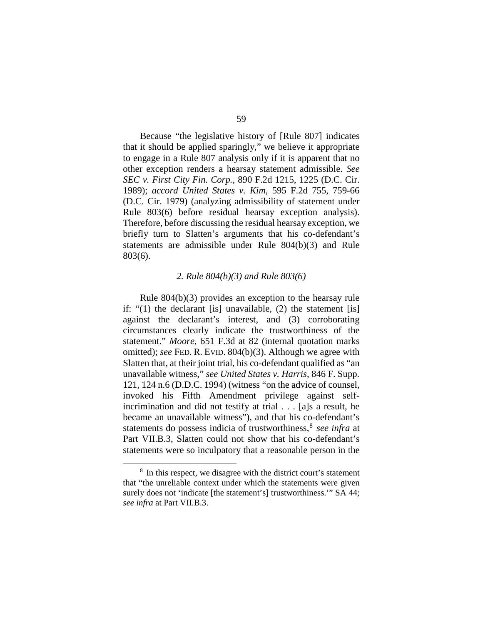Because "the legislative history of [Rule 807] indicates that it should be applied sparingly," we believe it appropriate to engage in a Rule 807 analysis only if it is apparent that no other exception renders a hearsay statement admissible. *See SEC v. First City Fin. Corp.*, 890 F.2d 1215, 1225 (D.C. Cir. 1989); *accord United States v. Kim*, 595 F.2d 755, 759-66 (D.C. Cir. 1979) (analyzing admissibility of statement under Rule 803(6) before residual hearsay exception analysis). Therefore, before discussing the residual hearsay exception, we briefly turn to Slatten's arguments that his co-defendant's statements are admissible under Rule 804(b)(3) and Rule 803(6).

#### *2. Rule 804(b)(3) and Rule 803(6)*

Rule 804(b)(3) provides an exception to the hearsay rule if: "(1) the declarant [is] unavailable, (2) the statement [is] against the declarant's interest, and (3) corroborating circumstances clearly indicate the trustworthiness of the statement." *Moore*, 651 F.3d at 82 (internal quotation marks omitted); *see* FED. R. EVID. 804(b)(3). Although we agree with Slatten that, at their joint trial, his co-defendant qualified as "an unavailable witness," *see United States v. Harris*, 846 F. Supp. 121, 124 n.6 (D.D.C. 1994) (witness "on the advice of counsel, invoked his Fifth Amendment privilege against selfincrimination and did not testify at trial . . . [a]s a result, he became an unavailable witness"), and that his co-defendant's statements do possess indicia of trustworthiness,<sup>[8](#page-58-0)</sup> see infra at Part VII.B.3, Slatten could not show that his co-defendant's statements were so inculpatory that a reasonable person in the

<span id="page-58-0"></span> <sup>8</sup> In this respect, we disagree with the district court's statement that "the unreliable context under which the statements were given surely does not 'indicate [the statement's] trustworthiness." SA 44; *see infra* at Part VII.B.3.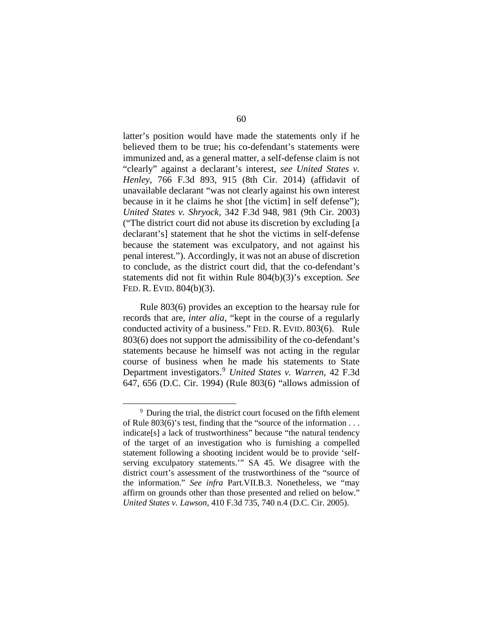latter's position would have made the statements only if he believed them to be true; his co-defendant's statements were immunized and, as a general matter, a self-defense claim is not "clearly" against a declarant's interest, *see United States v. Henley*, 766 F.3d 893, 915 (8th Cir. 2014) (affidavit of unavailable declarant "was not clearly against his own interest because in it he claims he shot [the victim] in self defense"); *United States v. Shryock*, 342 F.3d 948, 981 (9th Cir. 2003) ("The district court did not abuse its discretion by excluding [a declarant's] statement that he shot the victims in self-defense because the statement was exculpatory, and not against his penal interest."). Accordingly, it was not an abuse of discretion to conclude, as the district court did, that the co-defendant's statements did not fit within Rule 804(b)(3)'s exception. *See*  FED. R. EVID. 804(b)(3).

Rule 803(6) provides an exception to the hearsay rule for records that are, *inter alia*, "kept in the course of a regularly conducted activity of a business." FED. R. EVID. 803(6). Rule 803(6) does not support the admissibility of the co-defendant's statements because he himself was not acting in the regular course of business when he made his statements to State Department investigators.[9](#page-59-0) *United States v. Warren*, 42 F.3d 647, 656 (D.C. Cir. 1994) (Rule 803(6) "allows admission of

<span id="page-59-0"></span><sup>&</sup>lt;sup>9</sup> During the trial, the district court focused on the fifth element of Rule 803(6)'s test, finding that the "source of the information . . . indicate[s] a lack of trustworthiness" because "the natural tendency of the target of an investigation who is furnishing a compelled statement following a shooting incident would be to provide 'selfserving exculpatory statements.'" SA 45. We disagree with the district court's assessment of the trustworthiness of the "source of the information." *See infra* Part.VII.B.3. Nonetheless, we "may affirm on grounds other than those presented and relied on below." *United States v. Lawson*, 410 F.3d 735, 740 n.4 (D.C. Cir. 2005).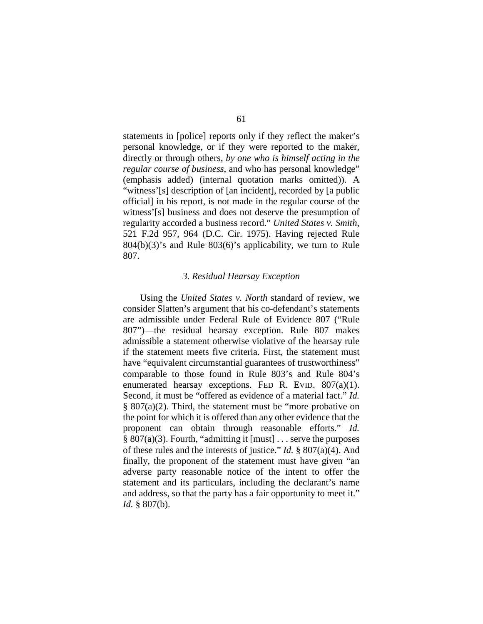statements in [police] reports only if they reflect the maker's personal knowledge, or if they were reported to the maker, directly or through others, *by one who is himself acting in the regular course of business*, and who has personal knowledge" (emphasis added) (internal quotation marks omitted)). A "witness'[s] description of [an incident], recorded by [a public official] in his report, is not made in the regular course of the witness'[s] business and does not deserve the presumption of regularity accorded a business record." *United States v. Smith*, 521 F.2d 957, 964 (D.C. Cir. 1975). Having rejected Rule 804(b)(3)'s and Rule 803(6)'s applicability, we turn to Rule 807.

#### *3. Residual Hearsay Exception*

Using the *United States v. North* standard of review, we consider Slatten's argument that his co-defendant's statements are admissible under Federal Rule of Evidence 807 ("Rule 807")—the residual hearsay exception. Rule 807 makes admissible a statement otherwise violative of the hearsay rule if the statement meets five criteria. First, the statement must have "equivalent circumstantial guarantees of trustworthiness" comparable to those found in Rule 803's and Rule 804's enumerated hearsay exceptions. FED R. EVID.  $807(a)(1)$ . Second, it must be "offered as evidence of a material fact." *Id.*   $§ 807(a)(2)$ . Third, the statement must be "more probative on the point for which it is offered than any other evidence that the proponent can obtain through reasonable efforts." *Id.*  § 807(a)(3). Fourth, "admitting it [must] . . . serve the purposes of these rules and the interests of justice." *Id.* § 807(a)(4). And finally, the proponent of the statement must have given "an adverse party reasonable notice of the intent to offer the statement and its particulars, including the declarant's name and address, so that the party has a fair opportunity to meet it." *Id.* § 807(b).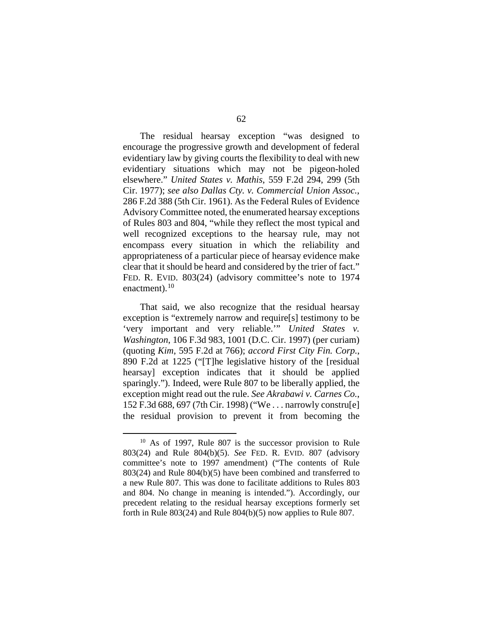The residual hearsay exception "was designed to encourage the progressive growth and development of federal evidentiary law by giving courts the flexibility to deal with new evidentiary situations which may not be pigeon-holed elsewhere." *United States v. Mathis*, 559 F.2d 294, 299 (5th Cir. 1977); *see also Dallas Cty. v. Commercial Union Assoc.*, 286 F.2d 388 (5th Cir. 1961). As the Federal Rules of Evidence Advisory Committee noted, the enumerated hearsay exceptions of Rules 803 and 804, "while they reflect the most typical and well recognized exceptions to the hearsay rule, may not encompass every situation in which the reliability and appropriateness of a particular piece of hearsay evidence make clear that it should be heard and considered by the trier of fact." FED. R. EVID. 803(24) (advisory committee's note to 1974 enactment). $10$ 

That said, we also recognize that the residual hearsay exception is "extremely narrow and require[s] testimony to be 'very important and very reliable.'" *United States v. Washington*, 106 F.3d 983, 1001 (D.C. Cir. 1997) (per curiam) (quoting *Kim*, 595 F.2d at 766); *accord First City Fin. Corp.*, 890 F.2d at 1225 ("[T]he legislative history of the [residual hearsay] exception indicates that it should be applied sparingly."). Indeed, were Rule 807 to be liberally applied, the exception might read out the rule. *See Akrabawi v. Carnes Co.*, 152 F.3d 688, 697 (7th Cir. 1998) ("We . . . narrowly constru[e] the residual provision to prevent it from becoming the

<span id="page-61-0"></span> $10$  As of 1997, Rule 807 is the successor provision to Rule 803(24) and Rule 804(b)(5). *See* FED. R. EVID. 807 (advisory committee's note to 1997 amendment) ("The contents of Rule 803(24) and Rule 804(b)(5) have been combined and transferred to a new Rule 807. This was done to facilitate additions to Rules 803 and 804. No change in meaning is intended."). Accordingly, our precedent relating to the residual hearsay exceptions formerly set forth in Rule 803(24) and Rule 804(b)(5) now applies to Rule 807.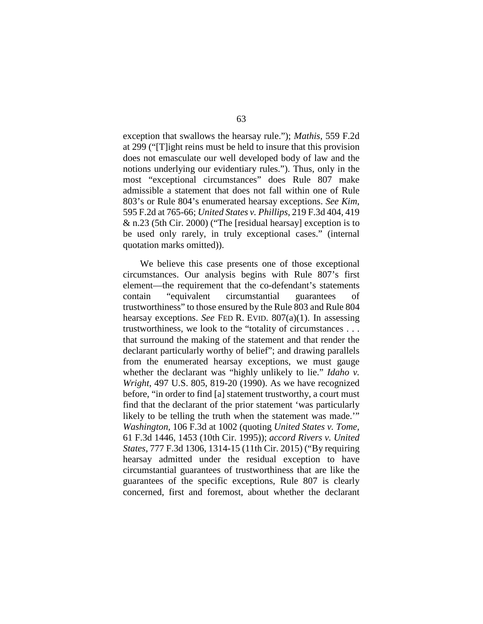exception that swallows the hearsay rule."); *Mathis*, 559 F.2d at 299 ("[T]ight reins must be held to insure that this provision does not emasculate our well developed body of law and the notions underlying our evidentiary rules."). Thus, only in the most "exceptional circumstances" does Rule 807 make admissible a statement that does not fall within one of Rule 803's or Rule 804's enumerated hearsay exceptions. *See Kim*, 595 F.2d at 765-66; *United States v. Phillips*, 219 F.3d 404, 419 & n.23 (5th Cir. 2000) ("The [residual hearsay] exception is to be used only rarely, in truly exceptional cases." (internal quotation marks omitted)).

We believe this case presents one of those exceptional circumstances. Our analysis begins with Rule 807's first element—the requirement that the co-defendant's statements contain "equivalent circumstantial guarantees of trustworthiness" to those ensured by the Rule 803 and Rule 804 hearsay exceptions. *See* FED R. EVID. 807(a)(1). In assessing trustworthiness, we look to the "totality of circumstances . . . that surround the making of the statement and that render the declarant particularly worthy of belief"; and drawing parallels from the enumerated hearsay exceptions, we must gauge whether the declarant was "highly unlikely to lie." *Idaho v. Wright*, 497 U.S. 805, 819-20 (1990). As we have recognized before, "in order to find [a] statement trustworthy, a court must find that the declarant of the prior statement 'was particularly likely to be telling the truth when the statement was made.'" *Washington*, 106 F.3d at 1002 (quoting *United States v. Tome,* 61 F.3d 1446, 1453 (10th Cir. 1995)); *accord Rivers v. United States*, 777 F.3d 1306, 1314-15 (11th Cir. 2015) ("By requiring hearsay admitted under the residual exception to have circumstantial guarantees of trustworthiness that are like the guarantees of the specific exceptions, Rule 807 is clearly concerned, first and foremost, about whether the declarant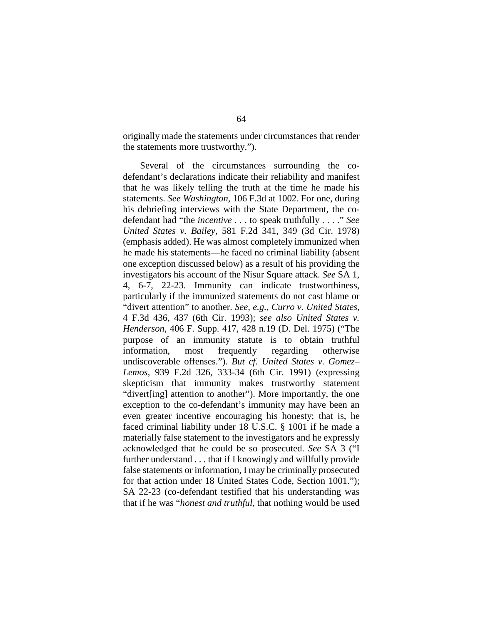originally made the statements under circumstances that render the statements more trustworthy.").

Several of the circumstances surrounding the codefendant's declarations indicate their reliability and manifest that he was likely telling the truth at the time he made his statements. *See Washington*, 106 F.3d at 1002. For one, during his debriefing interviews with the State Department, the codefendant had "the *incentive* . . . to speak truthfully . . . ." *See United States v. Bailey*, 581 F.2d 341, 349 (3d Cir. 1978) (emphasis added). He was almost completely immunized when he made his statements—he faced no criminal liability (absent one exception discussed below) as a result of his providing the investigators his account of the Nisur Square attack. *See* SA 1, 4, 6-7, 22-23. Immunity can indicate trustworthiness, particularly if the immunized statements do not cast blame or "divert attention" to another. *See, e.g.*, *Curro v. United States*, 4 F.3d 436, 437 (6th Cir. 1993); *see also United States v. Henderson*, 406 F. Supp. 417, 428 n.19 (D. Del. 1975) ("The purpose of an immunity statute is to obtain truthful information, most frequently regarding otherwise undiscoverable offenses."). *But cf. United States v. Gomez– Lemos*, 939 F.2d 326, 333-34 (6th Cir. 1991) (expressing skepticism that immunity makes trustworthy statement "divert[ing] attention to another"). More importantly, the one exception to the co-defendant's immunity may have been an even greater incentive encouraging his honesty; that is, he faced criminal liability under 18 U.S.C. § 1001 if he made a materially false statement to the investigators and he expressly acknowledged that he could be so prosecuted. *See* SA 3 ("I further understand . . . that if I knowingly and willfully provide false statements or information, I may be criminally prosecuted for that action under 18 United States Code, Section 1001."); SA 22-23 (co-defendant testified that his understanding was that if he was "*honest and truthful*, that nothing would be used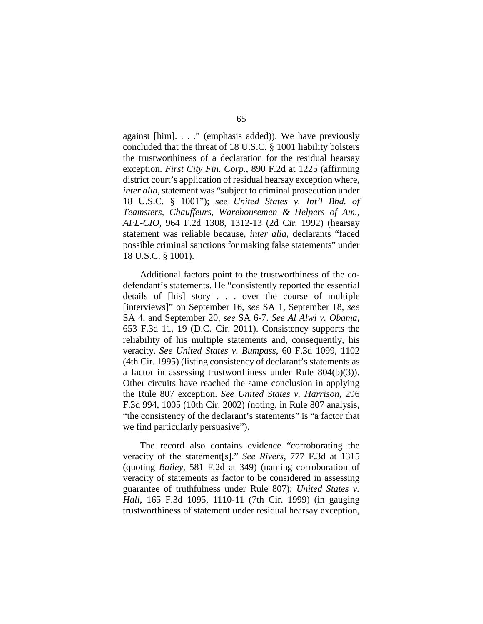against [him]. . . ." (emphasis added)). We have previously concluded that the threat of 18 U.S.C. § 1001 liability bolsters the trustworthiness of a declaration for the residual hearsay exception. *First City Fin. Corp.*, 890 F.2d at 1225 (affirming district court's application of residual hearsay exception where, *inter alia*, statement was "subject to criminal prosecution under 18 U.S.C. § 1001"); *see United States v. Int'l Bhd. of Teamsters, Chauffeurs, Warehousemen & Helpers of Am., AFL-CIO*, 964 F.2d 1308, 1312-13 (2d Cir. 1992) (hearsay statement was reliable because, *inter alia*, declarants "faced possible criminal sanctions for making false statements" under 18 U.S.C. § 1001).

Additional factors point to the trustworthiness of the codefendant's statements. He "consistently reported the essential details of [his] story . . . over the course of multiple [interviews]" on September 16, *see* SA 1, September 18, *see*  SA 4, and September 20, *see* SA 6-7. *See Al Alwi v. Obama*, 653 F.3d 11, 19 (D.C. Cir. 2011). Consistency supports the reliability of his multiple statements and, consequently, his veracity. *See United States v. Bumpass*, 60 F.3d 1099, 1102 (4th Cir. 1995) (listing consistency of declarant's statements as a factor in assessing trustworthiness under Rule 804(b)(3)). Other circuits have reached the same conclusion in applying the Rule 807 exception. *See United States v. Harrison*, 296 F.3d 994, 1005 (10th Cir. 2002) (noting, in Rule 807 analysis, "the consistency of the declarant's statements" is "a factor that we find particularly persuasive").

The record also contains evidence "corroborating the veracity of the statement[s]." *See Rivers*, 777 F.3d at 1315 (quoting *Bailey*, 581 F.2d at 349) (naming corroboration of veracity of statements as factor to be considered in assessing guarantee of truthfulness under Rule 807); *United States v. Hall*, 165 F.3d 1095, 1110-11 (7th Cir. 1999) (in gauging trustworthiness of statement under residual hearsay exception,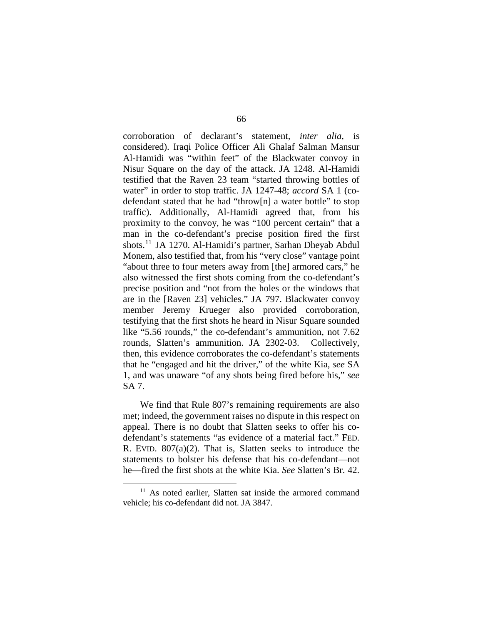corroboration of declarant's statement, *inter alia*, is considered). Iraqi Police Officer Ali Ghalaf Salman Mansur Al-Hamidi was "within feet" of the Blackwater convoy in Nisur Square on the day of the attack. JA 1248. Al-Hamidi testified that the Raven 23 team "started throwing bottles of water" in order to stop traffic. JA 1247-48; *accord* SA 1 (codefendant stated that he had "throw[n] a water bottle" to stop traffic). Additionally, Al-Hamidi agreed that, from his proximity to the convoy, he was "100 percent certain" that a man in the co-defendant's precise position fired the first shots.[11](#page-65-0) JA 1270. Al-Hamidi's partner, Sarhan Dheyab Abdul Monem, also testified that, from his "very close" vantage point "about three to four meters away from [the] armored cars," he also witnessed the first shots coming from the co-defendant's precise position and "not from the holes or the windows that are in the [Raven 23] vehicles." JA 797. Blackwater convoy member Jeremy Krueger also provided corroboration, testifying that the first shots he heard in Nisur Square sounded like "5.56 rounds," the co-defendant's ammunition, not 7.62 rounds, Slatten's ammunition. JA 2302-03. Collectively, then, this evidence corroborates the co-defendant's statements that he "engaged and hit the driver," of the white Kia, *see* SA 1, and was unaware "of any shots being fired before his," *see*  SA 7.

We find that Rule 807's remaining requirements are also met; indeed, the government raises no dispute in this respect on appeal. There is no doubt that Slatten seeks to offer his codefendant's statements "as evidence of a material fact." FED. R. EVID. 807(a)(2). That is, Slatten seeks to introduce the statements to bolster his defense that his co-defendant—not he—fired the first shots at the white Kia. *See* Slatten's Br. 42.

<span id="page-65-0"></span><sup>&</sup>lt;sup>11</sup> As noted earlier, Slatten sat inside the armored command vehicle; his co-defendant did not. JA 3847.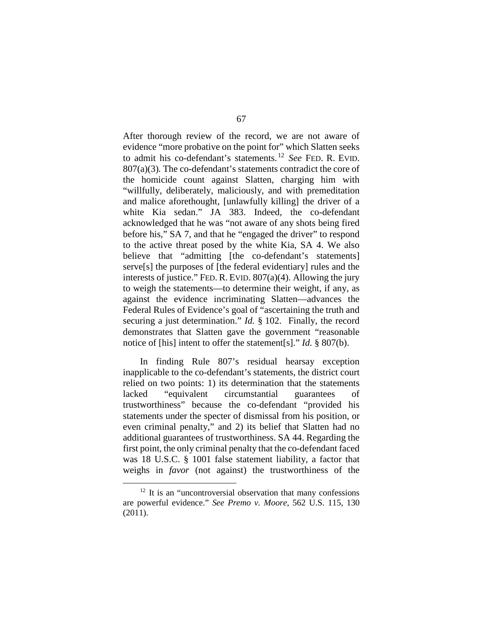After thorough review of the record, we are not aware of evidence "more probative on the point for" which Slatten seeks to admit his co-defendant's statements. [12](#page-66-0) *See* FED. R. EVID. 807(a)(3)*.* The co-defendant's statements contradict the core of the homicide count against Slatten, charging him with "willfully, deliberately, maliciously, and with premeditation and malice aforethought, [unlawfully killing] the driver of a white Kia sedan." JA 383. Indeed, the co-defendant acknowledged that he was "not aware of any shots being fired before his," SA 7, and that he "engaged the driver" to respond to the active threat posed by the white Kia, SA 4. We also believe that "admitting [the co-defendant's statements] serve[s] the purposes of [the federal evidentiary] rules and the interests of justice." FED. R. EVID. 807(a)(4). Allowing the jury to weigh the statements—to determine their weight, if any, as against the evidence incriminating Slatten—advances the Federal Rules of Evidence's goal of "ascertaining the truth and securing a just determination." *Id.* § 102. Finally, the record demonstrates that Slatten gave the government "reasonable notice of [his] intent to offer the statement[s]." *Id.* § 807(b).

In finding Rule 807's residual hearsay exception inapplicable to the co-defendant's statements, the district court relied on two points: 1) its determination that the statements lacked "equivalent circumstantial guarantees of trustworthiness" because the co-defendant "provided his statements under the specter of dismissal from his position, or even criminal penalty," and 2) its belief that Slatten had no additional guarantees of trustworthiness. SA 44. Regarding the first point, the only criminal penalty that the co-defendant faced was 18 U.S.C. § 1001 false statement liability, a factor that weighs in *favor* (not against) the trustworthiness of the

<span id="page-66-0"></span><sup>&</sup>lt;sup>12</sup> It is an "uncontroversial observation that many confessions are powerful evidence." *See Premo v. Moore*, 562 U.S. 115, 130 (2011).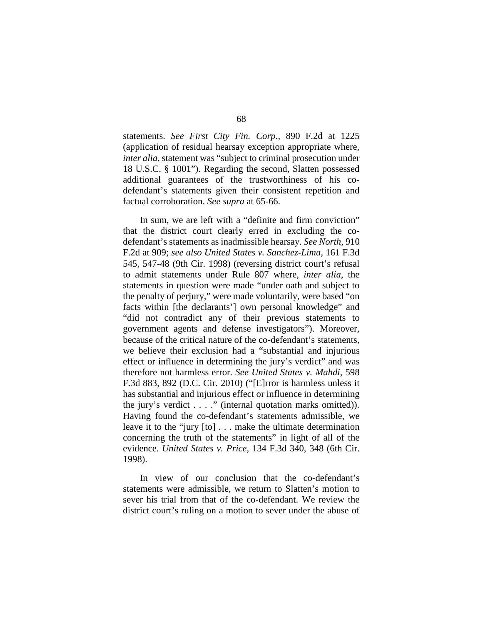statements. *See First City Fin. Corp.*, 890 F.2d at 1225 (application of residual hearsay exception appropriate where, *inter alia*, statement was "subject to criminal prosecution under 18 U.S.C. § 1001"). Regarding the second, Slatten possessed additional guarantees of the trustworthiness of his codefendant's statements given their consistent repetition and factual corroboration. *See supra* at 65-66.

In sum, we are left with a "definite and firm conviction" that the district court clearly erred in excluding the codefendant's statements as inadmissible hearsay. *See North*, 910 F.2d at 909; *see also United States v. Sanchez-Lima*, 161 F.3d 545, 547-48 (9th Cir. 1998) (reversing district court's refusal to admit statements under Rule 807 where, *inter alia*, the statements in question were made "under oath and subject to the penalty of perjury," were made voluntarily, were based "on facts within [the declarants'] own personal knowledge" and "did not contradict any of their previous statements to government agents and defense investigators"). Moreover, because of the critical nature of the co-defendant's statements, we believe their exclusion had a "substantial and injurious effect or influence in determining the jury's verdict" and was therefore not harmless error. *See United States v. Mahdi*, 598 F.3d 883, 892 (D.C. Cir. 2010) ("[E]rror is harmless unless it has substantial and injurious effect or influence in determining the jury's verdict . . . ." (internal quotation marks omitted)). Having found the co-defendant's statements admissible, we leave it to the "jury [to] . . . make the ultimate determination concerning the truth of the statements" in light of all of the evidence. *United States v. Price*, 134 F.3d 340, 348 (6th Cir. 1998).

In view of our conclusion that the co-defendant's statements were admissible, we return to Slatten's motion to sever his trial from that of the co-defendant. We review the district court's ruling on a motion to sever under the abuse of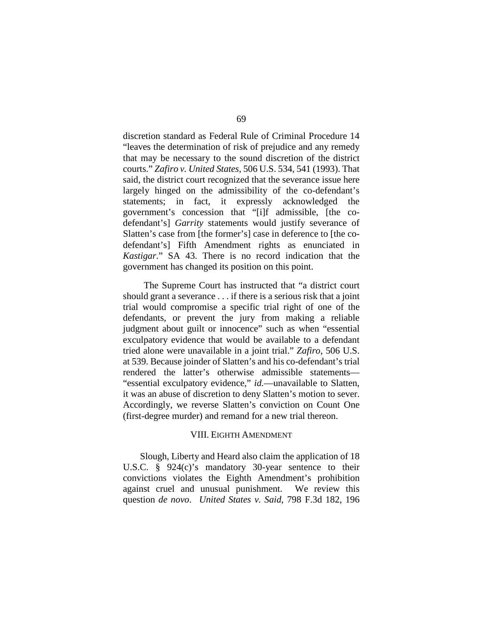discretion standard as Federal Rule of Criminal Procedure 14 "leaves the determination of risk of prejudice and any remedy that may be necessary to the sound discretion of the district courts." *Zafiro v. United States*, 506 U.S. 534, 541 (1993). That said, the district court recognized that the severance issue here largely hinged on the admissibility of the co-defendant's statements; in fact, it expressly acknowledged the government's concession that "[i]f admissible, [the codefendant's] *Garrity* statements would justify severance of Slatten's case from [the former's] case in deference to [the codefendant's] Fifth Amendment rights as enunciated in *Kastigar*." SA 43. There is no record indication that the government has changed its position on this point.

The Supreme Court has instructed that "a district court should grant a severance . . . if there is a serious risk that a joint trial would compromise a specific trial right of one of the defendants, or prevent the jury from making a reliable judgment about guilt or innocence" such as when "essential exculpatory evidence that would be available to a defendant tried alone were unavailable in a joint trial." *Zafiro*, 506 U.S. at 539. Because joinder of Slatten's and his co-defendant's trial rendered the latter's otherwise admissible statements— "essential exculpatory evidence," *id.*—unavailable to Slatten, it was an abuse of discretion to deny Slatten's motion to sever. Accordingly, we reverse Slatten's conviction on Count One (first-degree murder) and remand for a new trial thereon.

#### VIII. EIGHTH AMENDMENT

Slough, Liberty and Heard also claim the application of 18 U.S.C. § 924(c)'s mandatory 30-year sentence to their convictions violates the Eighth Amendment's prohibition against cruel and unusual punishment. We review this question *de novo*. *United States v. Said*, 798 F.3d 182, 196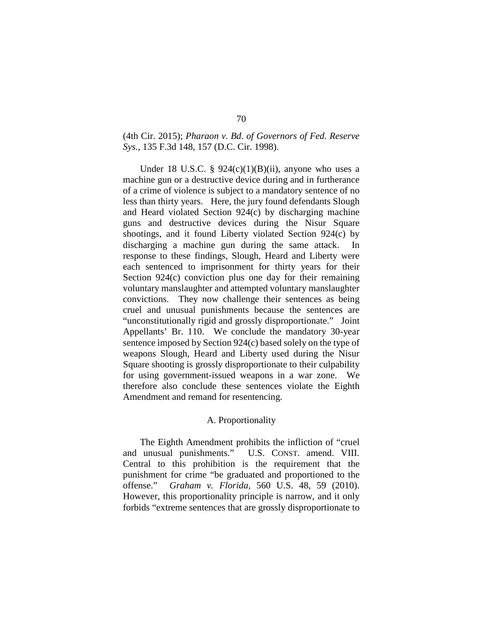# (4th Cir. 2015); *Pharaon v. Bd. of Governors of Fed. Reserve Sys.*, 135 F.3d 148, 157 (D.C. Cir. 1998).

Under 18 U.S.C. §  $924(c)(1)(B)(ii)$ , anyone who uses a machine gun or a destructive device during and in furtherance of a crime of violence is subject to a mandatory sentence of no less than thirty years. Here, the jury found defendants Slough and Heard violated Section 924(c) by discharging machine guns and destructive devices during the Nisur Square shootings, and it found Liberty violated Section 924(c) by discharging a machine gun during the same attack. In response to these findings, Slough, Heard and Liberty were each sentenced to imprisonment for thirty years for their Section 924(c) conviction plus one day for their remaining voluntary manslaughter and attempted voluntary manslaughter convictions. They now challenge their sentences as being cruel and unusual punishments because the sentences are "unconstitutionally rigid and grossly disproportionate." Joint Appellants' Br. 110. We conclude the mandatory 30-year sentence imposed by Section 924(c) based solely on the type of weapons Slough, Heard and Liberty used during the Nisur Square shooting is grossly disproportionate to their culpability for using government-issued weapons in a war zone. We therefore also conclude these sentences violate the Eighth Amendment and remand for resentencing.

# A. Proportionality

The Eighth Amendment prohibits the infliction of "cruel and unusual punishments." U.S. CONST. amend. VIII. Central to this prohibition is the requirement that the punishment for crime "be graduated and proportioned to the offense." *Graham v. Florida*, 560 U.S. 48, 59 (2010). However, this proportionality principle is narrow, and it only forbids "extreme sentences that are grossly disproportionate to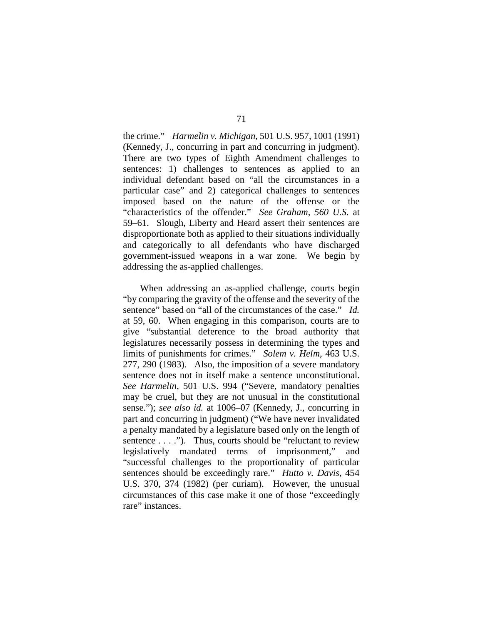the crime." *Harmelin v. Michigan*, 501 U.S. 957, 1001 (1991) (Kennedy, J., concurring in part and concurring in judgment). There are two types of Eighth Amendment challenges to sentences: 1) challenges to sentences as applied to an individual defendant based on "all the circumstances in a particular case" and 2) categorical challenges to sentences imposed based on the nature of the offense or the "characteristics of the offender." *See Graham*, *560 U.S.* at 59–61. Slough, Liberty and Heard assert their sentences are disproportionate both as applied to their situations individually and categorically to all defendants who have discharged government-issued weapons in a war zone. We begin by addressing the as-applied challenges.

When addressing an as-applied challenge, courts begin "by comparing the gravity of the offense and the severity of the sentence" based on "all of the circumstances of the case." *Id.* at 59, 60. When engaging in this comparison, courts are to give "substantial deference to the broad authority that legislatures necessarily possess in determining the types and limits of punishments for crimes." *Solem v. Helm*, 463 U.S. 277, 290 (1983). Also, the imposition of a severe mandatory sentence does not in itself make a sentence unconstitutional. *See Harmelin*, 501 U.S. 994 ("Severe, mandatory penalties may be cruel, but they are not unusual in the constitutional sense."); *see also id.* at 1006–07 (Kennedy, J., concurring in part and concurring in judgment) ("We have never invalidated a penalty mandated by a legislature based only on the length of sentence . . . ."). Thus, courts should be "reluctant to review legislatively mandated terms of imprisonment," and "successful challenges to the proportionality of particular sentences should be exceedingly rare." *Hutto v. Davis*, 454 U.S. 370, 374 (1982) (per curiam). However, the unusual circumstances of this case make it one of those "exceedingly rare" instances.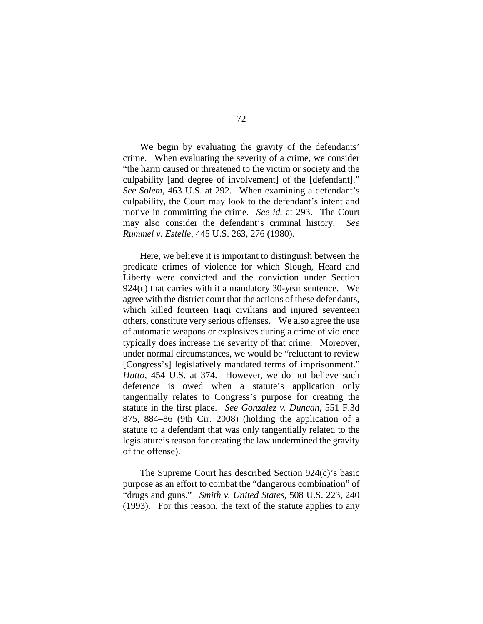We begin by evaluating the gravity of the defendants' crime. When evaluating the severity of a crime, we consider "the harm caused or threatened to the victim or society and the culpability [and degree of involvement] of the [defendant]." *See Solem*, 463 U.S. at 292. When examining a defendant's culpability, the Court may look to the defendant's intent and motive in committing the crime. *See id.* at 293. The Court may also consider the defendant's criminal history. *See Rummel v. Estelle*, 445 U.S. 263, 276 (1980).

Here, we believe it is important to distinguish between the predicate crimes of violence for which Slough, Heard and Liberty were convicted and the conviction under Section 924(c) that carries with it a mandatory 30-year sentence. We agree with the district court that the actions of these defendants, which killed fourteen Iraqi civilians and injured seventeen others, constitute very serious offenses. We also agree the use of automatic weapons or explosives during a crime of violence typically does increase the severity of that crime. Moreover, under normal circumstances, we would be "reluctant to review [Congress's] legislatively mandated terms of imprisonment." *Hutto*, 454 U.S. at 374. However, we do not believe such deference is owed when a statute's application only tangentially relates to Congress's purpose for creating the statute in the first place. *See Gonzalez v. Duncan*, 551 F.3d 875, 884–86 (9th Cir. 2008) (holding the application of a statute to a defendant that was only tangentially related to the legislature's reason for creating the law undermined the gravity of the offense).

The Supreme Court has described Section 924(c)'s basic purpose as an effort to combat the "dangerous combination" of "drugs and guns." *Smith v. United States*, 508 U.S. 223, 240 (1993). For this reason, the text of the statute applies to any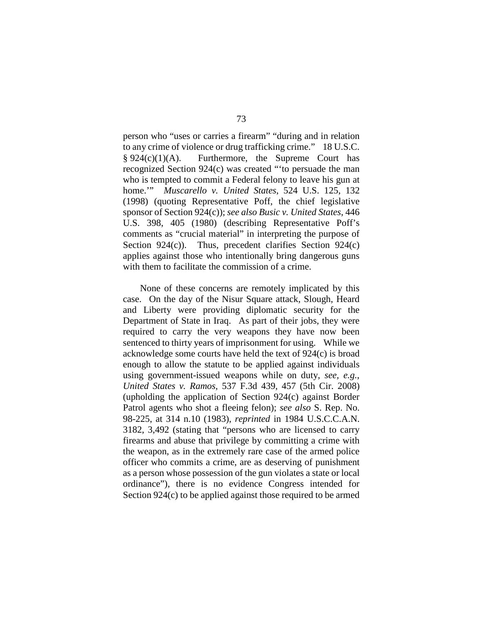person who "uses or carries a firearm" "during and in relation to any crime of violence or drug trafficking crime." 18 U.S.C.  $§ 924(c)(1)(A)$ . Furthermore, the Supreme Court has recognized Section 924(c) was created "'to persuade the man who is tempted to commit a Federal felony to leave his gun at home.'" *Muscarello v. United States*, 524 U.S. 125, 132 (1998) (quoting Representative Poff, the chief legislative sponsor of Section 924(c)); *see also Busic v. United States*, 446 U.S. 398, 405 (1980) (describing Representative Poff's comments as "crucial material" in interpreting the purpose of Section 924(c)). Thus, precedent clarifies Section 924(c) applies against those who intentionally bring dangerous guns with them to facilitate the commission of a crime.

None of these concerns are remotely implicated by this case. On the day of the Nisur Square attack, Slough, Heard and Liberty were providing diplomatic security for the Department of State in Iraq. As part of their jobs, they were required to carry the very weapons they have now been sentenced to thirty years of imprisonment for using. While we acknowledge some courts have held the text of 924(c) is broad enough to allow the statute to be applied against individuals using government-issued weapons while on duty, *see, e.g.*, *United States v. Ramos*, 537 F.3d 439, 457 (5th Cir. 2008) (upholding the application of Section 924(c) against Border Patrol agents who shot a fleeing felon); *see also* S. Rep. No. 98-225, at 314 n.10 (1983), *reprinted* in 1984 U.S.C.C.A.N. 3182, 3,492 (stating that "persons who are licensed to carry firearms and abuse that privilege by committing a crime with the weapon, as in the extremely rare case of the armed police officer who commits a crime, are as deserving of punishment as a person whose possession of the gun violates a state or local ordinance"), there is no evidence Congress intended for Section 924(c) to be applied against those required to be armed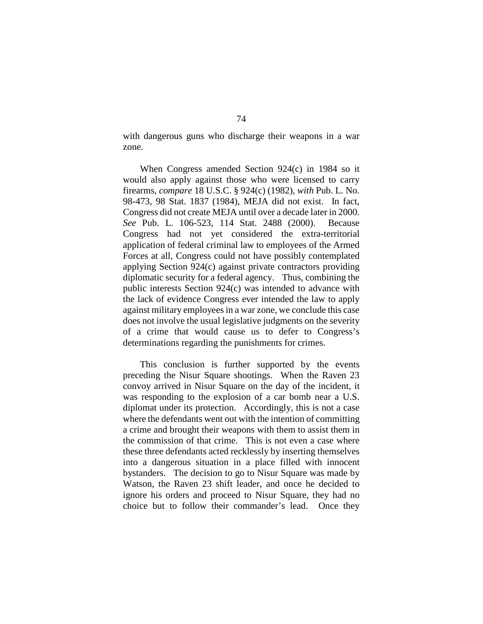with dangerous guns who discharge their weapons in a war zone.

When Congress amended Section 924(c) in 1984 so it would also apply against those who were licensed to carry firearms, *compare* 18 U.S.C. § 924(c) (1982), *with* Pub. L. No. 98-473, 98 Stat. 1837 (1984), MEJA did not exist. In fact, Congress did not create MEJA until over a decade later in 2000. *See* Pub. L. 106-523, 114 Stat. 2488 (2000). Because Congress had not yet considered the extra-territorial application of federal criminal law to employees of the Armed Forces at all, Congress could not have possibly contemplated applying Section 924(c) against private contractors providing diplomatic security for a federal agency. Thus, combining the public interests Section 924(c) was intended to advance with the lack of evidence Congress ever intended the law to apply against military employees in a war zone, we conclude this case does not involve the usual legislative judgments on the severity of a crime that would cause us to defer to Congress's determinations regarding the punishments for crimes.

This conclusion is further supported by the events preceding the Nisur Square shootings. When the Raven 23 convoy arrived in Nisur Square on the day of the incident, it was responding to the explosion of a car bomb near a U.S. diplomat under its protection. Accordingly, this is not a case where the defendants went out with the intention of committing a crime and brought their weapons with them to assist them in the commission of that crime. This is not even a case where these three defendants acted recklessly by inserting themselves into a dangerous situation in a place filled with innocent bystanders. The decision to go to Nisur Square was made by Watson, the Raven 23 shift leader, and once he decided to ignore his orders and proceed to Nisur Square, they had no choice but to follow their commander's lead. Once they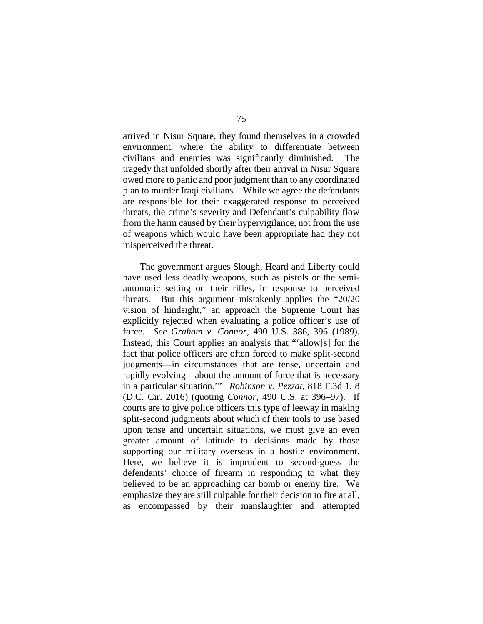arrived in Nisur Square, they found themselves in a crowded environment, where the ability to differentiate between civilians and enemies was significantly diminished. The tragedy that unfolded shortly after their arrival in Nisur Square owed more to panic and poor judgment than to any coordinated plan to murder Iraqi civilians. While we agree the defendants are responsible for their exaggerated response to perceived threats, the crime's severity and Defendant's culpability flow from the harm caused by their hypervigilance, not from the use of weapons which would have been appropriate had they not misperceived the threat.

The government argues Slough, Heard and Liberty could have used less deadly weapons, such as pistols or the semiautomatic setting on their rifles, in response to perceived threats. But this argument mistakenly applies the "20/20 vision of hindsight," an approach the Supreme Court has explicitly rejected when evaluating a police officer's use of force. *See Graham v. Connor*, 490 U.S. 386, 396 (1989). Instead, this Court applies an analysis that "'allow[s] for the fact that police officers are often forced to make split-second judgments—in circumstances that are tense, uncertain and rapidly evolving—about the amount of force that is necessary in a particular situation.'" *Robinson v. Pezzat*, 818 F.3d 1, 8 (D.C. Cir. 2016) (quoting *Connor*, 490 U.S. at 396–97). If courts are to give police officers this type of leeway in making split-second judgments about which of their tools to use based upon tense and uncertain situations, we must give an even greater amount of latitude to decisions made by those supporting our military overseas in a hostile environment. Here, we believe it is imprudent to second-guess the defendants' choice of firearm in responding to what they believed to be an approaching car bomb or enemy fire. We emphasize they are still culpable for their decision to fire at all, as encompassed by their manslaughter and attempted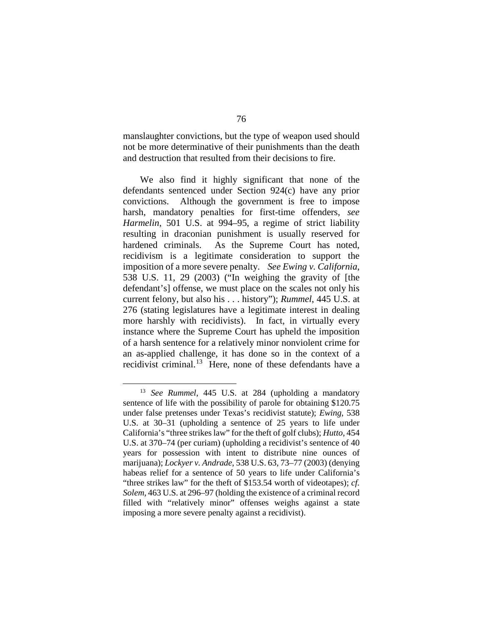manslaughter convictions, but the type of weapon used should not be more determinative of their punishments than the death and destruction that resulted from their decisions to fire.

We also find it highly significant that none of the defendants sentenced under Section 924(c) have any prior convictions. Although the government is free to impose harsh, mandatory penalties for first-time offenders, *see Harmelin*, 501 U.S. at 994–95, a regime of strict liability resulting in draconian punishment is usually reserved for hardened criminals. As the Supreme Court has noted, recidivism is a legitimate consideration to support the imposition of a more severe penalty. *See Ewing v. California*, 538 U.S. 11, 29 (2003) ("In weighing the gravity of [the defendant's] offense, we must place on the scales not only his current felony, but also his . . . history"); *Rummel*, 445 U.S. at 276 (stating legislatures have a legitimate interest in dealing more harshly with recidivists). In fact, in virtually every instance where the Supreme Court has upheld the imposition of a harsh sentence for a relatively minor nonviolent crime for an as-applied challenge, it has done so in the context of a recidivist criminal.<sup>[13](#page-75-0)</sup> Here, none of these defendants have a

<span id="page-75-0"></span> <sup>13</sup> *See Rummel*, <sup>445</sup> U.S. at 284 (upholding a mandatory sentence of life with the possibility of parole for obtaining \$120.75 under false pretenses under Texas's recidivist statute); *Ewing*, 538 U.S. at 30–31 (upholding a sentence of 25 years to life under California's "three strikes law" for the theft of golf clubs); *Hutto*, 454 U.S. at 370–74 (per curiam) (upholding a recidivist's sentence of 40 years for possession with intent to distribute nine ounces of marijuana); *Lockyer v. Andrade*, 538 U.S. 63, 73–77 (2003) (denying habeas relief for a sentence of 50 years to life under California's "three strikes law" for the theft of \$153.54 worth of videotapes); *cf. Solem*, 463 U.S. at 296–97 (holding the existence of a criminal record filled with "relatively minor" offenses weighs against a state imposing a more severe penalty against a recidivist).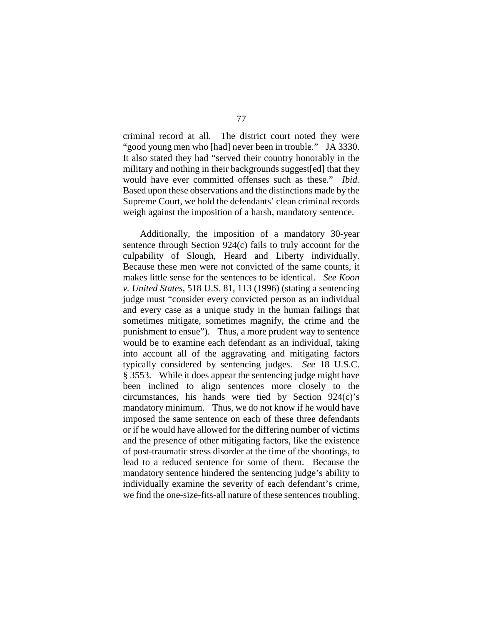criminal record at all. The district court noted they were "good young men who [had] never been in trouble." JA 3330. It also stated they had "served their country honorably in the military and nothing in their backgrounds suggest[ed] that they would have ever committed offenses such as these." *Ibid.* Based upon these observations and the distinctions made by the Supreme Court, we hold the defendants' clean criminal records weigh against the imposition of a harsh, mandatory sentence.

Additionally, the imposition of a mandatory 30-year sentence through Section 924(c) fails to truly account for the culpability of Slough, Heard and Liberty individually. Because these men were not convicted of the same counts, it makes little sense for the sentences to be identical. *See Koon v. United States*, 518 U.S. 81, 113 (1996) (stating a sentencing judge must "consider every convicted person as an individual and every case as a unique study in the human failings that sometimes mitigate, sometimes magnify, the crime and the punishment to ensue"). Thus, a more prudent way to sentence would be to examine each defendant as an individual, taking into account all of the aggravating and mitigating factors typically considered by sentencing judges. *See* 18 U.S.C. § 3553. While it does appear the sentencing judge might have been inclined to align sentences more closely to the circumstances, his hands were tied by Section 924(c)'s mandatory minimum. Thus, we do not know if he would have imposed the same sentence on each of these three defendants or if he would have allowed for the differing number of victims and the presence of other mitigating factors, like the existence of post-traumatic stress disorder at the time of the shootings, to lead to a reduced sentence for some of them. Because the mandatory sentence hindered the sentencing judge's ability to individually examine the severity of each defendant's crime, we find the one-size-fits-all nature of these sentences troubling.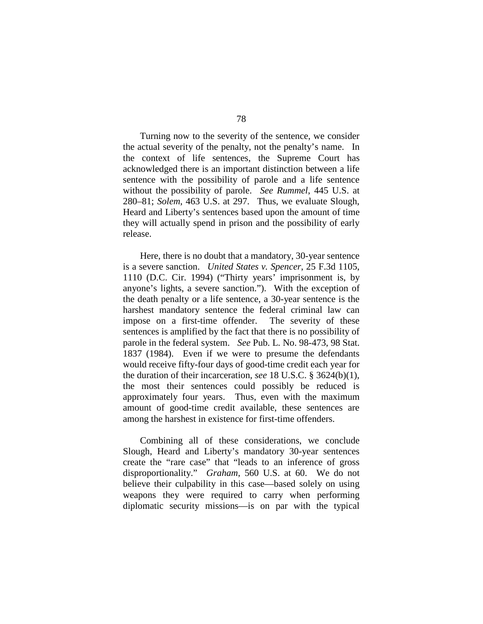Turning now to the severity of the sentence, we consider the actual severity of the penalty, not the penalty's name. In the context of life sentences, the Supreme Court has acknowledged there is an important distinction between a life sentence with the possibility of parole and a life sentence without the possibility of parole. *See Rummel*, 445 U.S. at 280–81; *Solem*, 463 U.S. at 297. Thus, we evaluate Slough, Heard and Liberty's sentences based upon the amount of time they will actually spend in prison and the possibility of early release.

Here, there is no doubt that a mandatory, 30-year sentence is a severe sanction. *United States v. Spencer*, 25 F.3d 1105, 1110 (D.C. Cir. 1994) ("Thirty years' imprisonment is, by anyone's lights, a severe sanction."). With the exception of the death penalty or a life sentence, a 30-year sentence is the harshest mandatory sentence the federal criminal law can impose on a first-time offender. The severity of these sentences is amplified by the fact that there is no possibility of parole in the federal system. *See* Pub. L. No. 98-473, 98 Stat. 1837 (1984). Even if we were to presume the defendants would receive fifty-four days of good-time credit each year for the duration of their incarceration, *see* 18 U.S.C. § 3624(b)(1), the most their sentences could possibly be reduced is approximately four years. Thus, even with the maximum amount of good-time credit available, these sentences are among the harshest in existence for first-time offenders.

Combining all of these considerations, we conclude Slough, Heard and Liberty's mandatory 30-year sentences create the "rare case" that "leads to an inference of gross disproportionality." *Graham*, 560 U.S. at 60. We do not believe their culpability in this case—based solely on using weapons they were required to carry when performing diplomatic security missions—is on par with the typical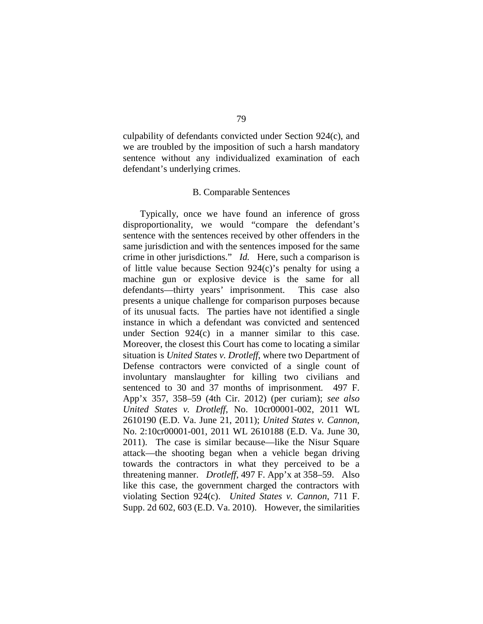culpability of defendants convicted under Section 924(c), and we are troubled by the imposition of such a harsh mandatory sentence without any individualized examination of each defendant's underlying crimes.

## B. Comparable Sentences

Typically, once we have found an inference of gross disproportionality, we would "compare the defendant's sentence with the sentences received by other offenders in the same jurisdiction and with the sentences imposed for the same crime in other jurisdictions." *Id.* Here, such a comparison is of little value because Section 924(c)'s penalty for using a machine gun or explosive device is the same for all defendants—thirty years' imprisonment. This case also presents a unique challenge for comparison purposes because of its unusual facts. The parties have not identified a single instance in which a defendant was convicted and sentenced under Section 924(c) in a manner similar to this case. Moreover, the closest this Court has come to locating a similar situation is *United States v. Drotleff*, where two Department of Defense contractors were convicted of a single count of involuntary manslaughter for killing two civilians and sentenced to 30 and 37 months of imprisonment*.* 497 F. App'x 357, 358–59 (4th Cir. 2012) (per curiam); *see also United States v. Drotleff*, No. 10cr00001-002, 2011 WL 2610190 (E.D. Va. June 21, 2011); *United States v. Cannon*, No. 2:10cr00001-001, 2011 WL 2610188 (E.D. Va. June 30, 2011). The case is similar because—like the Nisur Square attack—the shooting began when a vehicle began driving towards the contractors in what they perceived to be a threatening manner. *Drotleff*, 497 F. App'x at 358–59. Also like this case, the government charged the contractors with violating Section 924(c). *United States v. Cannon*, 711 F. Supp. 2d 602, 603 (E.D. Va. 2010). However, the similarities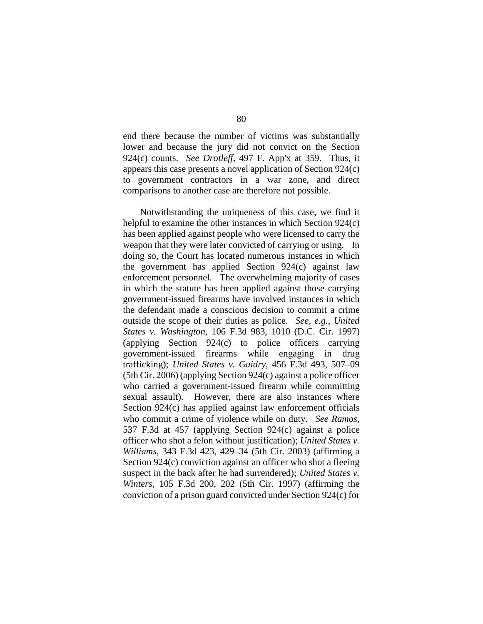end there because the number of victims was substantially lower and because the jury did not convict on the Section 924(c) counts. *See Drotleff*, 497 F. App'x at 359. Thus, it appears this case presents a novel application of Section 924(c) to government contractors in a war zone, and direct comparisons to another case are therefore not possible.

Notwithstanding the uniqueness of this case, we find it helpful to examine the other instances in which Section 924(c) has been applied against people who were licensed to carry the weapon that they were later convicted of carrying or using. In doing so, the Court has located numerous instances in which the government has applied Section 924(c) against law enforcement personnel. The overwhelming majority of cases in which the statute has been applied against those carrying government-issued firearms have involved instances in which the defendant made a conscious decision to commit a crime outside the scope of their duties as police. *See, e.g.*, *United States v. Washington*, 106 F.3d 983, 1010 (D.C. Cir. 1997) (applying Section 924(c) to police officers carrying government-issued firearms while engaging in drug trafficking); *United States v. Guidry*, 456 F.3d 493, 507–09 (5th Cir. 2006) (applying Section 924(c) against a police officer who carried a government-issued firearm while committing sexual assault). However, there are also instances where Section 924(c) has applied against law enforcement officials who commit a crime of violence while on duty. *See Ramos*, 537 F.3d at 457 (applying Section 924(c) against a police officer who shot a felon without justification); *United States v. Williams*, 343 F.3d 423, 429–34 (5th Cir. 2003) (affirming a Section 924(c) conviction against an officer who shot a fleeing suspect in the back after he had surrendered); *United States v. Winters*, 105 F.3d 200, 202 (5th Cir. 1997) (affirming the conviction of a prison guard convicted under Section 924(c) for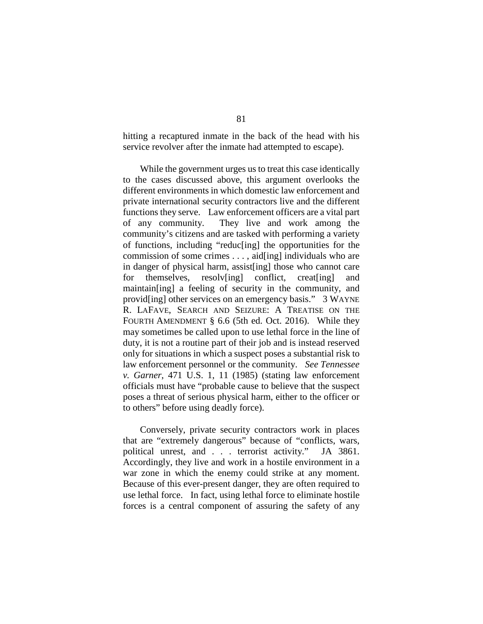hitting a recaptured inmate in the back of the head with his service revolver after the inmate had attempted to escape).

While the government urges us to treat this case identically to the cases discussed above, this argument overlooks the different environments in which domestic law enforcement and private international security contractors live and the different functions they serve. Law enforcement officers are a vital part of any community. They live and work among the community's citizens and are tasked with performing a variety of functions, including "reduc[ing] the opportunities for the commission of some crimes . . . , aid[ing] individuals who are in danger of physical harm, assist[ing] those who cannot care for themselves, resolv[ing] conflict, creat[ing] and maintain[ing] a feeling of security in the community, and provid[ing] other services on an emergency basis." 3 WAYNE R. LAFAVE, SEARCH AND SEIZURE: A TREATISE ON THE FOURTH AMENDMENT § 6.6 (5th ed. Oct. 2016). While they may sometimes be called upon to use lethal force in the line of duty, it is not a routine part of their job and is instead reserved only for situations in which a suspect poses a substantial risk to law enforcement personnel or the community. *See Tennessee v. Garner*, 471 U.S. 1, 11 (1985) (stating law enforcement officials must have "probable cause to believe that the suspect poses a threat of serious physical harm, either to the officer or to others" before using deadly force).

Conversely, private security contractors work in places that are "extremely dangerous" because of "conflicts, wars, political unrest, and . . . terrorist activity." JA 3861. Accordingly, they live and work in a hostile environment in a war zone in which the enemy could strike at any moment. Because of this ever-present danger, they are often required to use lethal force. In fact, using lethal force to eliminate hostile forces is a central component of assuring the safety of any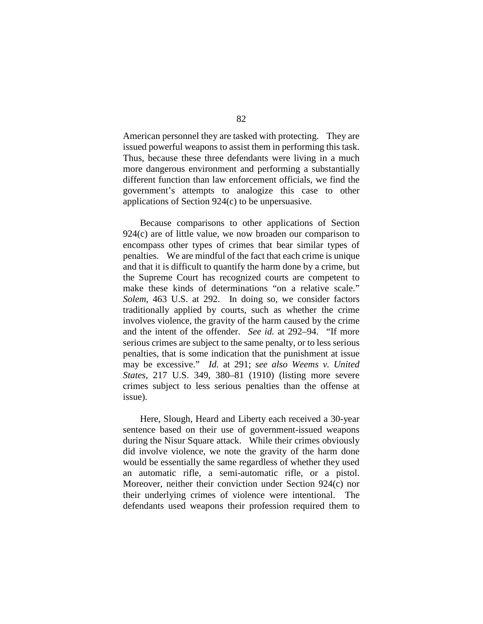American personnel they are tasked with protecting. They are issued powerful weapons to assist them in performing this task. Thus, because these three defendants were living in a much more dangerous environment and performing a substantially different function than law enforcement officials, we find the government's attempts to analogize this case to other applications of Section 924(c) to be unpersuasive.

Because comparisons to other applications of Section 924(c) are of little value, we now broaden our comparison to encompass other types of crimes that bear similar types of penalties. We are mindful of the fact that each crime is unique and that it is difficult to quantify the harm done by a crime, but the Supreme Court has recognized courts are competent to make these kinds of determinations "on a relative scale." *Solem*, 463 U.S. at 292. In doing so, we consider factors traditionally applied by courts, such as whether the crime involves violence, the gravity of the harm caused by the crime and the intent of the offender. *See id.* at 292–94. "If more serious crimes are subject to the same penalty, or to less serious penalties, that is some indication that the punishment at issue may be excessive." *Id.* at 291; *see also Weems v. United States*, 217 U.S. 349, 380–81 (1910) (listing more severe crimes subject to less serious penalties than the offense at issue).

Here, Slough, Heard and Liberty each received a 30-year sentence based on their use of government-issued weapons during the Nisur Square attack. While their crimes obviously did involve violence, we note the gravity of the harm done would be essentially the same regardless of whether they used an automatic rifle, a semi-automatic rifle, or a pistol. Moreover, neither their conviction under Section 924(c) nor their underlying crimes of violence were intentional. The defendants used weapons their profession required them to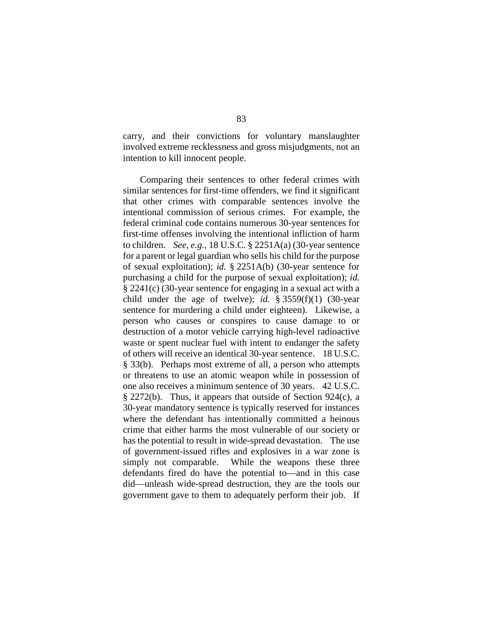carry, and their convictions for voluntary manslaughter involved extreme recklessness and gross misjudgments, not an intention to kill innocent people.

Comparing their sentences to other federal crimes with similar sentences for first-time offenders, we find it significant that other crimes with comparable sentences involve the intentional commission of serious crimes. For example, the federal criminal code contains numerous 30-year sentences for first-time offenses involving the intentional infliction of harm to children. *See, e.g.*, 18 U.S.C. § 2251A(a) (30-year sentence for a parent or legal guardian who sells his child for the purpose of sexual exploitation); *id.* § 2251A(b) (30-year sentence for purchasing a child for the purpose of sexual exploitation); *id.*  § 2241(c) (30-year sentence for engaging in a sexual act with a child under the age of twelve); *id.*  $\frac{8}{3559(f)(1)}$  (30-year) sentence for murdering a child under eighteen). Likewise, a person who causes or conspires to cause damage to or destruction of a motor vehicle carrying high-level radioactive waste or spent nuclear fuel with intent to endanger the safety of others will receive an identical 30-year sentence. 18 U.S.C. § 33(b). Perhaps most extreme of all, a person who attempts or threatens to use an atomic weapon while in possession of one also receives a minimum sentence of 30 years. 42 U.S.C. § 2272(b). Thus, it appears that outside of Section 924(c), a 30-year mandatory sentence is typically reserved for instances where the defendant has intentionally committed a heinous crime that either harms the most vulnerable of our society or has the potential to result in wide-spread devastation. The use of government-issued rifles and explosives in a war zone is simply not comparable. While the weapons these three defendants fired do have the potential to—and in this case did—unleash wide-spread destruction, they are the tools our government gave to them to adequately perform their job. If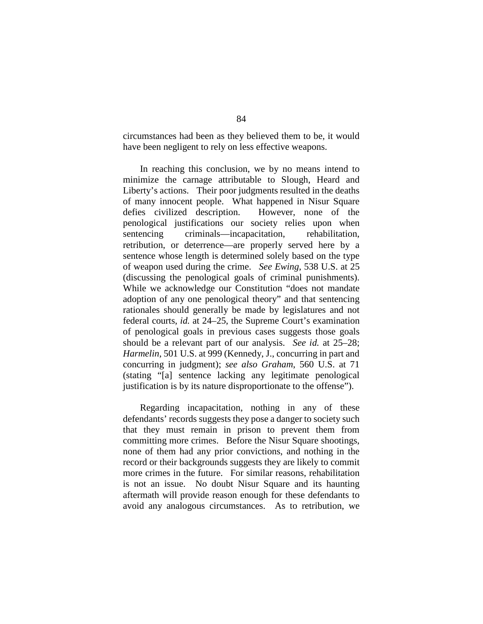circumstances had been as they believed them to be, it would have been negligent to rely on less effective weapons.

In reaching this conclusion, we by no means intend to minimize the carnage attributable to Slough, Heard and Liberty's actions. Their poor judgments resulted in the deaths of many innocent people. What happened in Nisur Square defies civilized description. However, none of the penological justifications our society relies upon when sentencing criminals—incapacitation, rehabilitation, retribution, or deterrence—are properly served here by a sentence whose length is determined solely based on the type of weapon used during the crime. *See Ewing*, 538 U.S. at 25 (discussing the penological goals of criminal punishments). While we acknowledge our Constitution "does not mandate adoption of any one penological theory" and that sentencing rationales should generally be made by legislatures and not federal courts, *id.* at 24–25, the Supreme Court's examination of penological goals in previous cases suggests those goals should be a relevant part of our analysis. *See id.* at 25–28; *Harmelin*, 501 U.S. at 999 (Kennedy, J., concurring in part and concurring in judgment); *see also Graham*, 560 U.S. at 71 (stating "[a] sentence lacking any legitimate penological justification is by its nature disproportionate to the offense").

Regarding incapacitation, nothing in any of these defendants' records suggests they pose a danger to society such that they must remain in prison to prevent them from committing more crimes. Before the Nisur Square shootings, none of them had any prior convictions, and nothing in the record or their backgrounds suggests they are likely to commit more crimes in the future. For similar reasons, rehabilitation is not an issue. No doubt Nisur Square and its haunting aftermath will provide reason enough for these defendants to avoid any analogous circumstances. As to retribution, we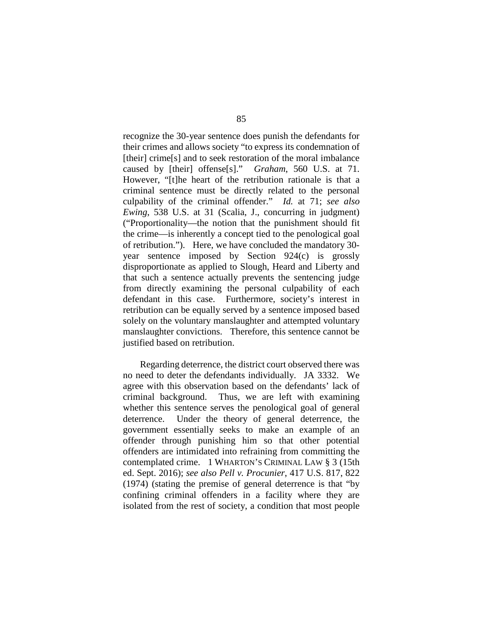recognize the 30-year sentence does punish the defendants for their crimes and allows society "to express its condemnation of [their] crime[s] and to seek restoration of the moral imbalance caused by [their] offense[s]." *Graham*, 560 U.S. at 71. However, "[t]he heart of the retribution rationale is that a criminal sentence must be directly related to the personal culpability of the criminal offender." *Id.* at 71; *see also Ewing*, 538 U.S. at 31 (Scalia, J., concurring in judgment) ("Proportionality—the notion that the punishment should fit the crime—is inherently a concept tied to the penological goal of retribution."). Here, we have concluded the mandatory 30 year sentence imposed by Section 924(c) is grossly disproportionate as applied to Slough, Heard and Liberty and that such a sentence actually prevents the sentencing judge from directly examining the personal culpability of each defendant in this case. Furthermore, society's interest in retribution can be equally served by a sentence imposed based solely on the voluntary manslaughter and attempted voluntary manslaughter convictions. Therefore, this sentence cannot be justified based on retribution.

Regarding deterrence, the district court observed there was no need to deter the defendants individually. JA 3332. We agree with this observation based on the defendants' lack of criminal background. Thus, we are left with examining whether this sentence serves the penological goal of general deterrence. Under the theory of general deterrence, the government essentially seeks to make an example of an offender through punishing him so that other potential offenders are intimidated into refraining from committing the contemplated crime. 1 WHARTON'S CRIMINAL LAW § 3 (15th ed. Sept. 2016); *see also Pell v. Procunier*, 417 U.S. 817, 822 (1974) (stating the premise of general deterrence is that "by confining criminal offenders in a facility where they are isolated from the rest of society, a condition that most people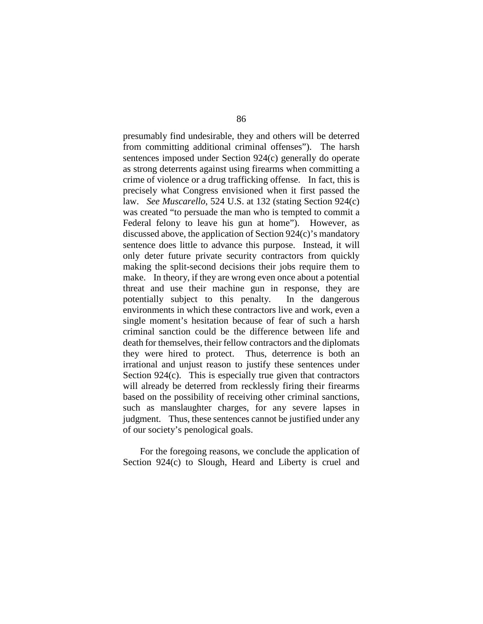presumably find undesirable, they and others will be deterred from committing additional criminal offenses"). The harsh sentences imposed under Section 924(c) generally do operate as strong deterrents against using firearms when committing a crime of violence or a drug trafficking offense. In fact, this is precisely what Congress envisioned when it first passed the law. *See Muscarello*, 524 U.S. at 132 (stating Section 924(c) was created "to persuade the man who is tempted to commit a Federal felony to leave his gun at home"). However, as discussed above, the application of Section 924(c)'s mandatory sentence does little to advance this purpose. Instead, it will only deter future private security contractors from quickly making the split-second decisions their jobs require them to make. In theory, if they are wrong even once about a potential threat and use their machine gun in response, they are potentially subject to this penalty. In the dangerous environments in which these contractors live and work, even a single moment's hesitation because of fear of such a harsh criminal sanction could be the difference between life and death for themselves, their fellow contractors and the diplomats they were hired to protect. Thus, deterrence is both an irrational and unjust reason to justify these sentences under Section 924(c). This is especially true given that contractors will already be deterred from recklessly firing their firearms based on the possibility of receiving other criminal sanctions, such as manslaughter charges, for any severe lapses in judgment. Thus, these sentences cannot be justified under any of our society's penological goals.

For the foregoing reasons, we conclude the application of Section 924(c) to Slough, Heard and Liberty is cruel and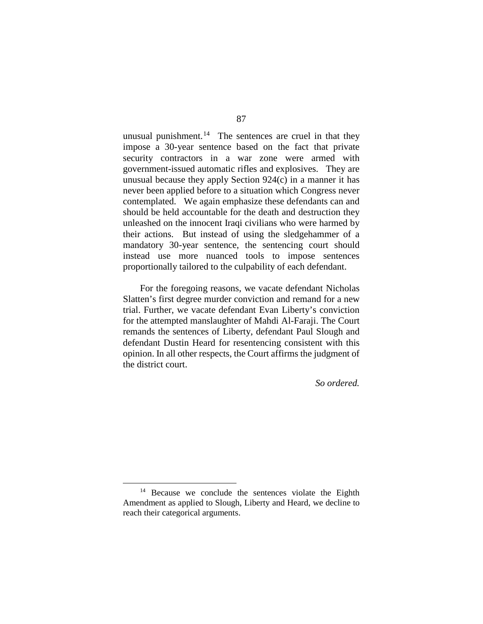unusual punishment.<sup>[14](#page-86-0)</sup> The sentences are cruel in that they impose a 30-year sentence based on the fact that private security contractors in a war zone were armed with government-issued automatic rifles and explosives. They are unusual because they apply Section 924(c) in a manner it has never been applied before to a situation which Congress never contemplated. We again emphasize these defendants can and should be held accountable for the death and destruction they unleashed on the innocent Iraqi civilians who were harmed by their actions. But instead of using the sledgehammer of a mandatory 30-year sentence, the sentencing court should instead use more nuanced tools to impose sentences proportionally tailored to the culpability of each defendant.

For the foregoing reasons, we vacate defendant Nicholas Slatten's first degree murder conviction and remand for a new trial. Further, we vacate defendant Evan Liberty's conviction for the attempted manslaughter of Mahdi Al-Faraji. The Court remands the sentences of Liberty, defendant Paul Slough and defendant Dustin Heard for resentencing consistent with this opinion. In all other respects, the Court affirms the judgment of the district court.

*So ordered.*

<span id="page-86-0"></span><sup>&</sup>lt;sup>14</sup> Because we conclude the sentences violate the Eighth Amendment as applied to Slough, Liberty and Heard, we decline to reach their categorical arguments.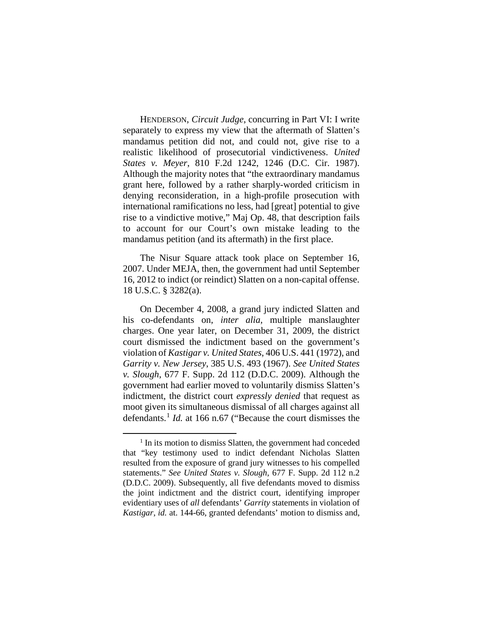HENDERSON, *Circuit Judge*, concurring in Part VI: I write separately to express my view that the aftermath of Slatten's mandamus petition did not, and could not, give rise to a realistic likelihood of prosecutorial vindictiveness. *United States v. Meyer*, 810 F.2d 1242, 1246 (D.C. Cir. 1987). Although the majority notes that "the extraordinary mandamus grant here, followed by a rather sharply-worded criticism in denying reconsideration, in a high-profile prosecution with international ramifications no less, had [great] potential to give rise to a vindictive motive," Maj Op. 48, that description fails to account for our Court's own mistake leading to the mandamus petition (and its aftermath) in the first place.

The Nisur Square attack took place on September 16, 2007. Under MEJA, then, the government had until September 16, 2012 to indict (or reindict) Slatten on a non-capital offense. 18 U.S.C. § 3282(a).

On December 4, 2008, a grand jury indicted Slatten and his co-defendants on, *inter alia*, multiple manslaughter charges. One year later, on December 31, 2009, the district court dismissed the indictment based on the government's violation of *Kastigar v. United States*, 406 U.S. 441 (1972), and *Garrity v. New Jersey*, 385 U.S. 493 (1967). *See United States v. Slough*, 677 F. Supp. 2d 112 (D.D.C. 2009). Although the government had earlier moved to voluntarily dismiss Slatten's indictment, the district court *expressly denied* that request as moot given its simultaneous dismissal of all charges against all defendants. [1](#page-87-0) *Id.* at 166 n.67 ("Because the court dismisses the

<span id="page-87-0"></span><sup>&</sup>lt;sup>1</sup> In its motion to dismiss Slatten, the government had conceded that "key testimony used to indict defendant Nicholas Slatten resulted from the exposure of grand jury witnesses to his compelled statements." *See United States v. Slough*, 677 F. Supp. 2d 112 n.2 (D.D.C. 2009). Subsequently, all five defendants moved to dismiss the joint indictment and the district court, identifying improper evidentiary uses of *all* defendants' *Garrity* statements in violation of *Kastigar*, *id.* at. 144-66, granted defendants' motion to dismiss and,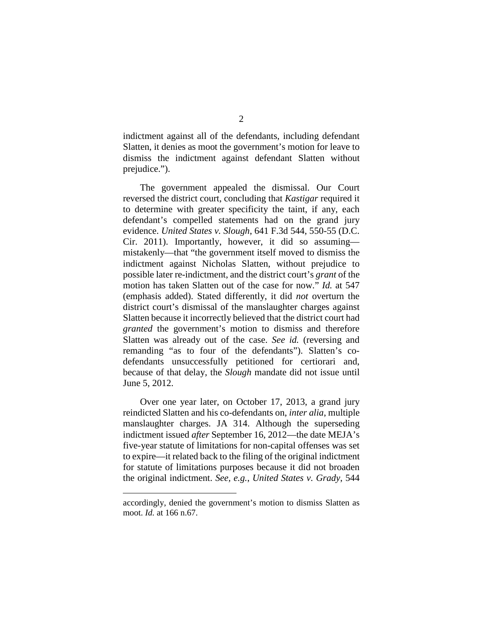indictment against all of the defendants, including defendant Slatten, it denies as moot the government's motion for leave to dismiss the indictment against defendant Slatten without prejudice.").

The government appealed the dismissal. Our Court reversed the district court, concluding that *Kastigar* required it to determine with greater specificity the taint, if any, each defendant's compelled statements had on the grand jury evidence. *United States v. Slough*, 641 F.3d 544, 550-55 (D.C. Cir. 2011). Importantly, however, it did so assuming mistakenly—that "the government itself moved to dismiss the indictment against Nicholas Slatten, without prejudice to possible later re-indictment, and the district court's *grant* of the motion has taken Slatten out of the case for now." *Id.* at 547 (emphasis added). Stated differently, it did *not* overturn the district court's dismissal of the manslaughter charges against Slatten because it incorrectly believed that the district court had *granted* the government's motion to dismiss and therefore Slatten was already out of the case. *See id.* (reversing and remanding "as to four of the defendants"). Slatten's codefendants unsuccessfully petitioned for certiorari and, because of that delay, the *Slough* mandate did not issue until June 5, 2012.

Over one year later, on October 17, 2013, a grand jury reindicted Slatten and his co-defendants on, *inter alia*, multiple manslaughter charges. JA 314. Although the superseding indictment issued *after* September 16, 2012—the date MEJA's five-year statute of limitations for non-capital offenses was set to expire—it related back to the filing of the original indictment for statute of limitations purposes because it did not broaden the original indictment. *See, e.g.*, *United States v. Grady*, 544

 $\overline{a}$ 

accordingly, denied the government's motion to dismiss Slatten as moot. *Id.* at 166 n.67.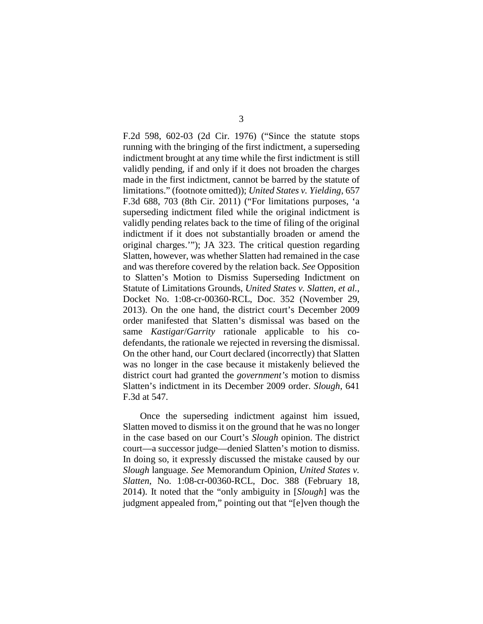F.2d 598, 602-03 (2d Cir. 1976) ("Since the statute stops running with the bringing of the first indictment, a superseding indictment brought at any time while the first indictment is still validly pending, if and only if it does not broaden the charges made in the first indictment, cannot be barred by the statute of limitations." (footnote omitted)); *United States v. Yielding*, 657 F.3d 688, 703 (8th Cir. 2011) ("For limitations purposes, 'a superseding indictment filed while the original indictment is validly pending relates back to the time of filing of the original indictment if it does not substantially broaden or amend the original charges.'"); JA 323. The critical question regarding Slatten, however, was whether Slatten had remained in the case and was therefore covered by the relation back. *See* Opposition to Slatten's Motion to Dismiss Superseding Indictment on Statute of Limitations Grounds, *United States v. Slatten, et al.*, Docket No. 1:08-cr-00360-RCL, Doc. 352 (November 29, 2013). On the one hand, the district court's December 2009 order manifested that Slatten's dismissal was based on the same *Kastigar*/*Garrity* rationale applicable to his codefendants, the rationale we rejected in reversing the dismissal. On the other hand, our Court declared (incorrectly) that Slatten was no longer in the case because it mistakenly believed the district court had granted the *government's* motion to dismiss Slatten's indictment in its December 2009 order. *Slough*, 641 F.3d at 547.

Once the superseding indictment against him issued, Slatten moved to dismiss it on the ground that he was no longer in the case based on our Court's *Slough* opinion. The district court—a successor judge—denied Slatten's motion to dismiss. In doing so, it expressly discussed the mistake caused by our *Slough* language. *See* Memorandum Opinion, *United States v. Slatten*, No. 1:08-cr-00360-RCL, Doc. 388 (February 18, 2014). It noted that the "only ambiguity in [*Slough*] was the judgment appealed from," pointing out that "[e]ven though the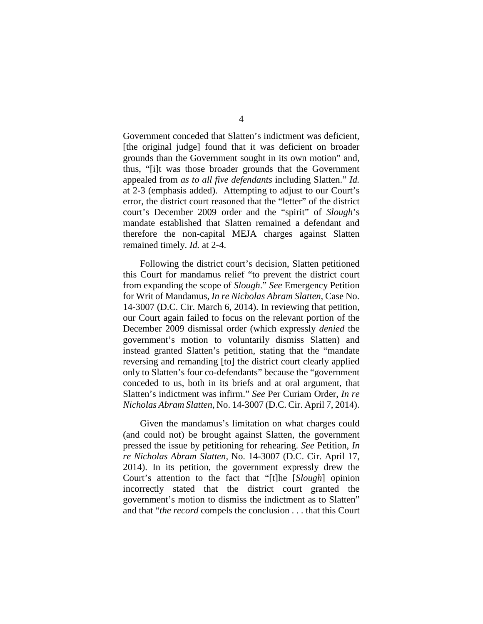Government conceded that Slatten's indictment was deficient, [the original judge] found that it was deficient on broader grounds than the Government sought in its own motion" and, thus, "[i]t was those broader grounds that the Government appealed from *as to all five defendants* including Slatten." *Id.*  at 2-3 (emphasis added). Attempting to adjust to our Court's error, the district court reasoned that the "letter" of the district court's December 2009 order and the "spirit" of *Slough*'s mandate established that Slatten remained a defendant and therefore the non-capital MEJA charges against Slatten remained timely. *Id.* at 2-4.

Following the district court's decision, Slatten petitioned this Court for mandamus relief "to prevent the district court from expanding the scope of *Slough*." *See* Emergency Petition for Writ of Mandamus, *In re Nicholas Abram Slatten*, Case No. 14-3007 (D.C. Cir. March 6, 2014). In reviewing that petition, our Court again failed to focus on the relevant portion of the December 2009 dismissal order (which expressly *denied* the government's motion to voluntarily dismiss Slatten) and instead granted Slatten's petition, stating that the "mandate reversing and remanding [to] the district court clearly applied only to Slatten's four co-defendants" because the "government conceded to us, both in its briefs and at oral argument, that Slatten's indictment was infirm." *See* Per Curiam Order, *In re Nicholas Abram Slatten*, No. 14-3007 (D.C. Cir. April 7, 2014).

Given the mandamus's limitation on what charges could (and could not) be brought against Slatten, the government pressed the issue by petitioning for rehearing. *See* Petition, *In re Nicholas Abram Slatten*, No. 14-3007 (D.C. Cir. April 17, 2014). In its petition, the government expressly drew the Court's attention to the fact that "[t]he [*Slough*] opinion incorrectly stated that the district court granted the government's motion to dismiss the indictment as to Slatten" and that "*the record* compels the conclusion . . . that this Court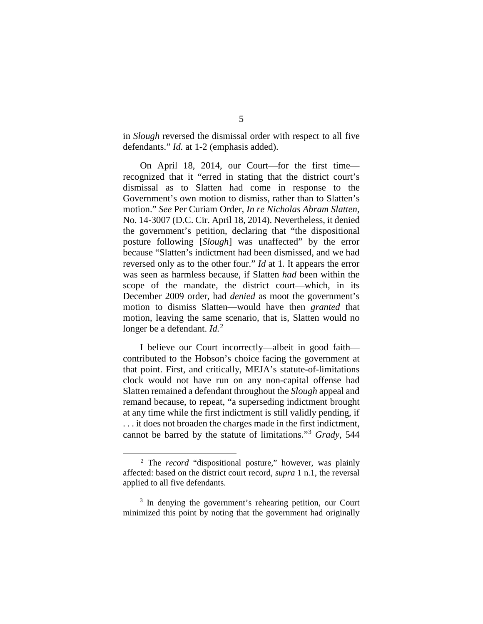in *Slough* reversed the dismissal order with respect to all five defendants." *Id.* at 1-2 (emphasis added).

On April 18, 2014, our Court—for the first time recognized that it "erred in stating that the district court's dismissal as to Slatten had come in response to the Government's own motion to dismiss, rather than to Slatten's motion." *See* Per Curiam Order, *In re Nicholas Abram Slatten*, No. 14-3007 (D.C. Cir. April 18, 2014). Nevertheless, it denied the government's petition, declaring that "the dispositional posture following [*Slough*] was unaffected" by the error because "Slatten's indictment had been dismissed, and we had reversed only as to the other four." *Id* at 1*.* It appears the error was seen as harmless because, if Slatten *had* been within the scope of the mandate, the district court—which, in its December 2009 order, had *denied* as moot the government's motion to dismiss Slatten—would have then *granted* that motion, leaving the same scenario, that is, Slatten would no longer be a defendant. *Id.*<sup>[2](#page-91-0)</sup>

I believe our Court incorrectly—albeit in good faith contributed to the Hobson's choice facing the government at that point. First, and critically, MEJA's statute-of-limitations clock would not have run on any non-capital offense had Slatten remained a defendant throughout the *Slough* appeal and remand because, to repeat, "a superseding indictment brought at any time while the first indictment is still validly pending, if . . . it does not broaden the charges made in the first indictment, cannot be barred by the statute of limitations."[3](#page-91-1) *Grady*, 544

<span id="page-91-0"></span> <sup>2</sup> The *record* "dispositional posture," however, was plainly affected: based on the district court record, *supra* 1 n.1, the reversal applied to all five defendants.

<span id="page-91-1"></span><sup>&</sup>lt;sup>3</sup> In denying the government's rehearing petition, our Court minimized this point by noting that the government had originally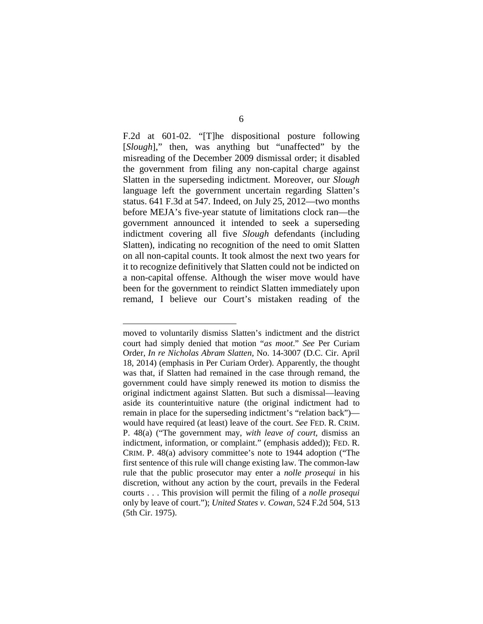F.2d at 601-02. "[T]he dispositional posture following [*Slough*]," then, was anything but "unaffected" by the misreading of the December 2009 dismissal order; it disabled the government from filing any non-capital charge against Slatten in the superseding indictment. Moreover, our *Slough* language left the government uncertain regarding Slatten's status. 641 F.3d at 547. Indeed, on July 25, 2012—two months before MEJA's five-year statute of limitations clock ran—the government announced it intended to seek a superseding indictment covering all five *Slough* defendants (including Slatten), indicating no recognition of the need to omit Slatten on all non-capital counts. It took almost the next two years for it to recognize definitively that Slatten could not be indicted on a non-capital offense. Although the wiser move would have been for the government to reindict Slatten immediately upon remand, I believe our Court's mistaken reading of the

 $\overline{a}$ 

moved to voluntarily dismiss Slatten's indictment and the district court had simply denied that motion "*as moot*." *See* Per Curiam Order, *In re Nicholas Abram Slatten*, No. 14-3007 (D.C. Cir. April 18, 2014) (emphasis in Per Curiam Order). Apparently, the thought was that, if Slatten had remained in the case through remand, the government could have simply renewed its motion to dismiss the original indictment against Slatten. But such a dismissal—leaving aside its counterintuitive nature (the original indictment had to remain in place for the superseding indictment's "relation back") would have required (at least) leave of the court. *See* FED. R. CRIM. P. 48(a) ("The government may, *with leave of court*, dismiss an indictment, information, or complaint." (emphasis added)); FED. R. CRIM. P. 48(a) advisory committee's note to 1944 adoption ("The first sentence of this rule will change existing law. The common-law rule that the public prosecutor may enter a *nolle prosequi* in his discretion, without any action by the court, prevails in the Federal courts . . . This provision will permit the filing of a *nolle prosequi*  only by leave of court."); *United States v. Cowan*, 524 F.2d 504, 513 (5th Cir. 1975).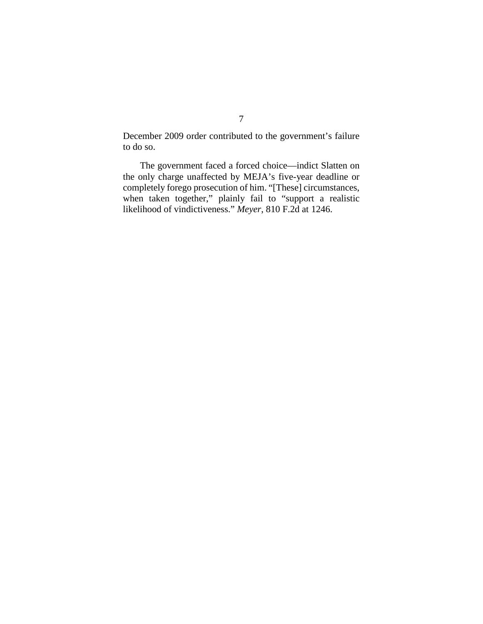December 2009 order contributed to the government's failure to do so.

The government faced a forced choice—indict Slatten on the only charge unaffected by MEJA's five-year deadline or completely forego prosecution of him. "[These] circumstances, when taken together," plainly fail to "support a realistic likelihood of vindictiveness." *Meyer*, 810 F.2d at 1246.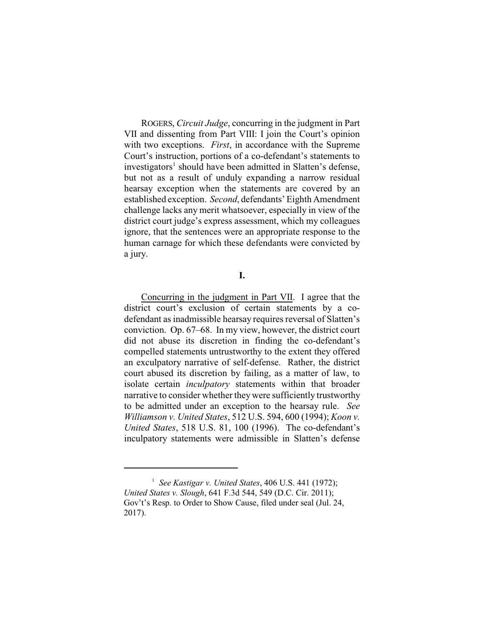ROGERS, *Circuit Judge*, concurring in the judgment in Part VII and dissenting from Part VIII: I join the Court's opinion with two exceptions. *First*, in accordance with the Supreme Court's instruction, portions of a co-defendant's statements to investigators<sup>1</sup> should have been admitted in Slatten's defense, but not as a result of unduly expanding a narrow residual hearsay exception when the statements are covered by an established exception. *Second*, defendants' Eighth Amendment challenge lacks any merit whatsoever, especially in view of the district court judge's express assessment, which my colleagues ignore, that the sentences were an appropriate response to the human carnage for which these defendants were convicted by a jury.

### **I.**

Concurring in the judgment in Part VII. I agree that the district court's exclusion of certain statements by a codefendant as inadmissible hearsay requires reversal of Slatten's conviction. Op. 67–68. In my view, however, the district court did not abuse its discretion in finding the co-defendant's compelled statements untrustworthy to the extent they offered an exculpatory narrative of self-defense. Rather, the district court abused its discretion by failing, as a matter of law, to isolate certain *inculpatory* statements within that broader narrative to consider whether they were sufficiently trustworthy to be admitted under an exception to the hearsay rule. *See Williamson v. United States*, 512 U.S. 594, 600 (1994); *Koon v. United States*, 518 U.S. 81, 100 (1996). The co-defendant's inculpatory statements were admissible in Slatten's defense

<sup>&</sup>lt;sup>1</sup> See Kastigar v. United States, 406 U.S. 441 (1972); *United States v. Slough*, 641 F.3d 544, 549 (D.C. Cir. 2011); Gov't's Resp. to Order to Show Cause, filed under seal (Jul. 24, 2017).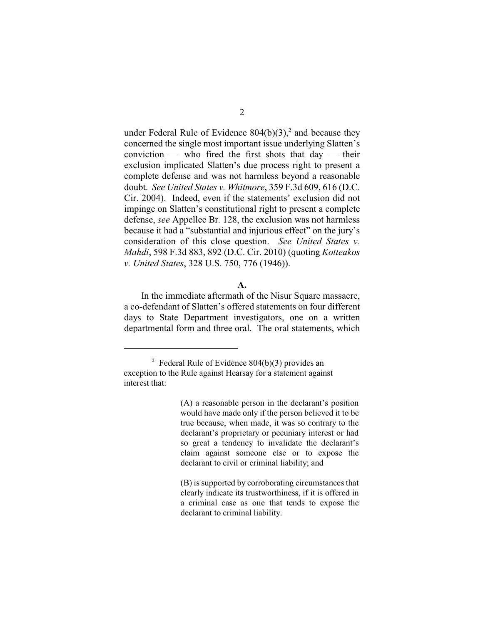under Federal Rule of Evidence  $804(b)(3)$ , and because they concerned the single most important issue underlying Slatten's conviction — who fired the first shots that  $day$  — their exclusion implicated Slatten's due process right to present a complete defense and was not harmless beyond a reasonable doubt. *See United States v. Whitmore*, 359 F.3d 609, 616 (D.C. Cir. 2004). Indeed, even if the statements' exclusion did not impinge on Slatten's constitutional right to present a complete defense, *see* Appellee Br. 128, the exclusion was not harmless because it had a "substantial and injurious effect" on the jury's consideration of this close question. *See United States v. Mahdi*, 598 F.3d 883, 892 (D.C. Cir. 2010) (quoting *Kotteakos v. United States*, 328 U.S. 750, 776 (1946)).

## **A.**

In the immediate aftermath of the Nisur Square massacre, a co-defendant of Slatten's offered statements on four different days to State Department investigators, one on a written departmental form and three oral. The oral statements, which

(A) a reasonable person in the declarant's position would have made only if the person believed it to be true because, when made, it was so contrary to the declarant's proprietary or pecuniary interest or had so great a tendency to invalidate the declarant's claim against someone else or to expose the declarant to civil or criminal liability; and

(B) is supported by corroborating circumstances that clearly indicate its trustworthiness, if it is offered in a criminal case as one that tends to expose the declarant to criminal liability.

<sup>&</sup>lt;sup>2</sup> Federal Rule of Evidence  $804(b)(3)$  provides an exception to the Rule against Hearsay for a statement against interest that: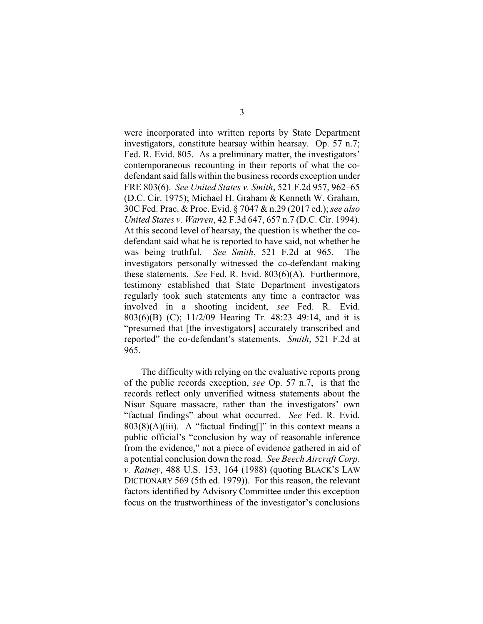were incorporated into written reports by State Department investigators, constitute hearsay within hearsay. Op. 57 n.7; Fed. R. Evid. 805. As a preliminary matter, the investigators' contemporaneous recounting in their reports of what the codefendant said falls within the business records exception under FRE 803(6). *See United States v. Smith*, 521 F.2d 957, 962–65 (D.C. Cir. 1975); Michael H. Graham & Kenneth W. Graham, 30C Fed. Prac. & Proc. Evid. § 7047 & n.29 (2017 ed.); *see also United States v. Warren*, 42 F.3d 647, 657 n.7 (D.C. Cir. 1994). At this second level of hearsay, the question is whether the codefendant said what he is reported to have said, not whether he was being truthful. *See Smith*, 521 F.2d at 965. The investigators personally witnessed the co-defendant making these statements. *See* Fed. R. Evid. 803(6)(A). Furthermore, testimony established that State Department investigators regularly took such statements any time a contractor was involved in a shooting incident, *see* Fed. R. Evid. 803(6)(B)–(C); 11/2/09 Hearing Tr. 48:23–49:14, and it is "presumed that [the investigators] accurately transcribed and reported" the co-defendant's statements. *Smith*, 521 F.2d at 965.

The difficulty with relying on the evaluative reports prong of the public records exception, *see* Op. 57 n.7, is that the records reflect only unverified witness statements about the Nisur Square massacre, rather than the investigators' own "factual findings" about what occurred. *See* Fed. R. Evid.  $803(8)(A)(iii)$ . A "factual finding[]" in this context means a public official's "conclusion by way of reasonable inference from the evidence," not a piece of evidence gathered in aid of a potential conclusion down the road. *See Beech Aircraft Corp. v. Rainey*, 488 U.S. 153, 164 (1988) (quoting BLACK'S LAW DICTIONARY 569 (5th ed. 1979)). For this reason, the relevant factors identified by Advisory Committee under this exception focus on the trustworthiness of the investigator's conclusions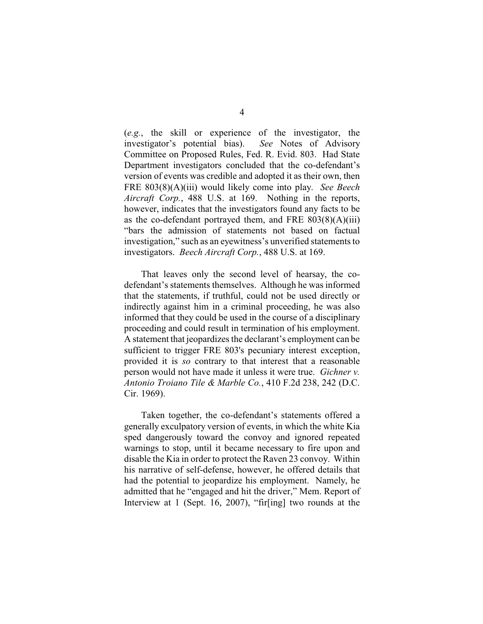(*e.g.*, the skill or experience of the investigator, the investigator's potential bias). *See* Notes of Advisory Committee on Proposed Rules, Fed. R. Evid. 803. Had State Department investigators concluded that the co-defendant's version of events was credible and adopted it as their own, then FRE 803(8)(A)(iii) would likely come into play. *See Beech Aircraft Corp.*, 488 U.S. at 169. Nothing in the reports, however, indicates that the investigators found any facts to be as the co-defendant portrayed them, and FRE 803(8)(A)(iii) "bars the admission of statements not based on factual investigation," such as an eyewitness's unverified statements to investigators. *Beech Aircraft Corp.*, 488 U.S. at 169.

That leaves only the second level of hearsay, the codefendant's statements themselves. Although he was informed that the statements, if truthful, could not be used directly or indirectly against him in a criminal proceeding, he was also informed that they could be used in the course of a disciplinary proceeding and could result in termination of his employment. A statement that jeopardizes the declarant's employment can be sufficient to trigger FRE 803's pecuniary interest exception, provided it is *so* contrary to that interest that a reasonable person would not have made it unless it were true. *Gichner v. Antonio Troiano Tile & Marble Co.*, 410 F.2d 238, 242 (D.C. Cir. 1969).

Taken together, the co-defendant's statements offered a generally exculpatory version of events, in which the white Kia sped dangerously toward the convoy and ignored repeated warnings to stop, until it became necessary to fire upon and disable the Kia in order to protect the Raven 23 convoy. Within his narrative of self-defense, however, he offered details that had the potential to jeopardize his employment. Namely, he admitted that he "engaged and hit the driver," Mem. Report of Interview at 1 (Sept. 16, 2007), "fir[ing] two rounds at the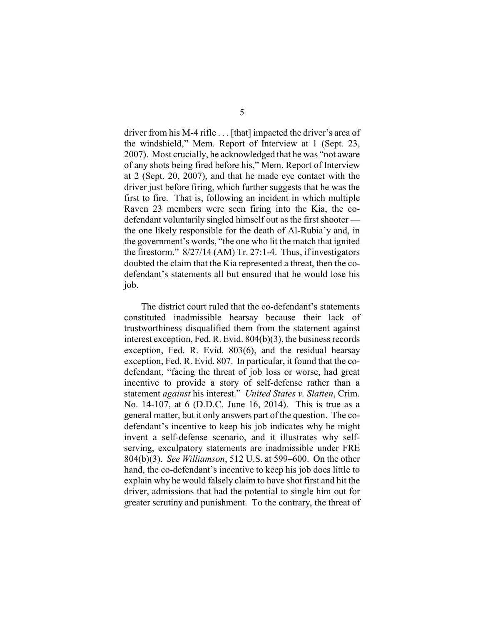driver from his M-4 rifle . . . [that] impacted the driver's area of the windshield," Mem. Report of Interview at 1 (Sept. 23, 2007). Most crucially, he acknowledged that he was "not aware of any shots being fired before his," Mem. Report of Interview at 2 (Sept. 20, 2007), and that he made eye contact with the driver just before firing, which further suggests that he was the first to fire. That is, following an incident in which multiple Raven 23 members were seen firing into the Kia, the codefendant voluntarily singled himself out as the first shooter the one likely responsible for the death of Al-Rubia'y and, in the government's words, "the one who lit the match that ignited the firestorm." 8/27/14 (AM) Tr. 27:1-4. Thus, if investigators doubted the claim that the Kia represented a threat, then the codefendant's statements all but ensured that he would lose his job.

The district court ruled that the co-defendant's statements constituted inadmissible hearsay because their lack of trustworthiness disqualified them from the statement against interest exception, Fed. R. Evid. 804(b)(3), the business records exception, Fed. R. Evid. 803(6), and the residual hearsay exception, Fed. R. Evid. 807. In particular, it found that the codefendant, "facing the threat of job loss or worse, had great incentive to provide a story of self-defense rather than a statement *against* his interest." *United States v. Slatten*, Crim. No. 14-107, at 6 (D.D.C. June 16, 2014). This is true as a general matter, but it only answers part of the question. The codefendant's incentive to keep his job indicates why he might invent a self-defense scenario, and it illustrates why selfserving, exculpatory statements are inadmissible under FRE 804(b)(3). *See Williamson*, 512 U.S. at 599–600. On the other hand, the co-defendant's incentive to keep his job does little to explain why he would falsely claim to have shot first and hit the driver, admissions that had the potential to single him out for greater scrutiny and punishment. To the contrary, the threat of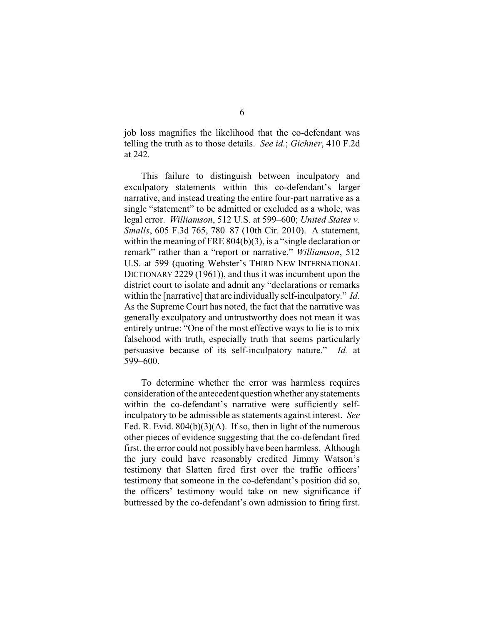job loss magnifies the likelihood that the co-defendant was telling the truth as to those details. *See id.*; *Gichner*, 410 F.2d at 242.

This failure to distinguish between inculpatory and exculpatory statements within this co-defendant's larger narrative, and instead treating the entire four-part narrative as a single "statement" to be admitted or excluded as a whole, was legal error. *Williamson*, 512 U.S. at 599–600; *United States v. Smalls*, 605 F.3d 765, 780–87 (10th Cir. 2010). A statement, within the meaning of FRE 804(b)(3), is a "single declaration or remark" rather than a "report or narrative," *Williamson*, 512 U.S. at 599 (quoting Webster's THIRD NEW INTERNATIONAL DICTIONARY 2229 (1961)), and thus it was incumbent upon the district court to isolate and admit any "declarations or remarks within the [narrative] that are individually self-inculpatory." *Id.*  As the Supreme Court has noted, the fact that the narrative was generally exculpatory and untrustworthy does not mean it was entirely untrue: "One of the most effective ways to lie is to mix falsehood with truth, especially truth that seems particularly persuasive because of its self-inculpatory nature." *Id.* at 599–600.

To determine whether the error was harmless requires consideration of the antecedent question whether anystatements within the co-defendant's narrative were sufficiently selfinculpatory to be admissible as statements against interest. *See* Fed. R. Evid.  $804(b)(3)(A)$ . If so, then in light of the numerous other pieces of evidence suggesting that the co-defendant fired first, the error could not possibly have been harmless. Although the jury could have reasonably credited Jimmy Watson's testimony that Slatten fired first over the traffic officers' testimony that someone in the co-defendant's position did so, the officers' testimony would take on new significance if buttressed by the co-defendant's own admission to firing first.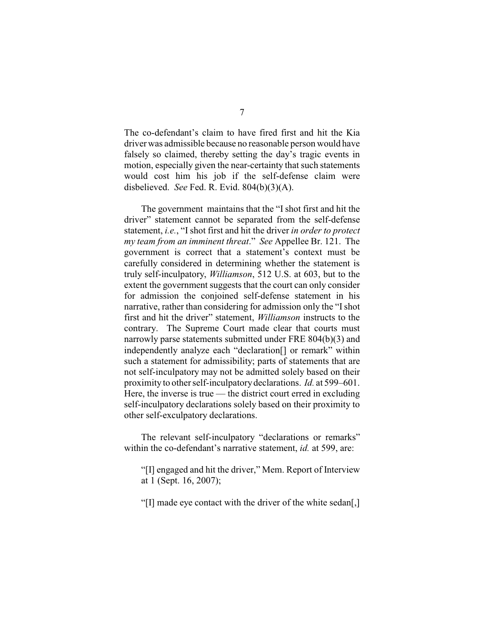The co-defendant's claim to have fired first and hit the Kia driver was admissible because no reasonable person would have falsely so claimed, thereby setting the day's tragic events in motion, especially given the near-certainty that such statements would cost him his job if the self-defense claim were disbelieved. *See* Fed. R. Evid. 804(b)(3)(A).

The government maintains that the "Ishot first and hit the driver" statement cannot be separated from the self-defense statement, *i.e.*, "Ishot first and hit the driver *in order to protect my team from an imminent threat*." *See* Appellee Br. 121. The government is correct that a statement's context must be carefully considered in determining whether the statement is truly self-inculpatory, *Williamson*, 512 U.S. at 603, but to the extent the government suggests that the court can only consider for admission the conjoined self-defense statement in his narrative, rather than considering for admission only the "I shot first and hit the driver" statement, *Williamson* instructs to the contrary. The Supreme Court made clear that courts must narrowly parse statements submitted under FRE 804(b)(3) and independently analyze each "declaration[] or remark" within such a statement for admissibility; parts of statements that are not self-inculpatory may not be admitted solely based on their proximity to other self-inculpatorydeclarations. *Id.* at 599–601. Here, the inverse is true — the district court erred in excluding self-inculpatory declarations solely based on their proximity to other self-exculpatory declarations.

The relevant self-inculpatory "declarations or remarks" within the co-defendant's narrative statement, *id.* at 599, are:

"[I] engaged and hit the driver," Mem. Report of Interview at 1 (Sept. 16, 2007);

"[I] made eye contact with the driver of the white sedan[,]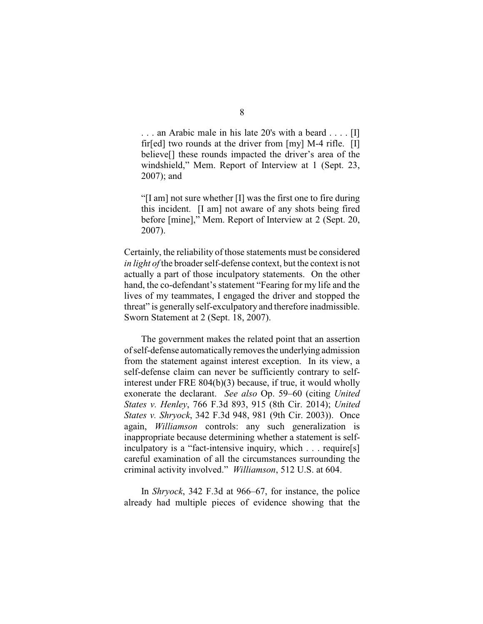. . . an Arabic male in his late 20's with a beard . . . . [I] fir[ed] two rounds at the driver from [my] M-4 rifle. [I] believe[] these rounds impacted the driver's area of the windshield," Mem. Report of Interview at 1 (Sept. 23, 2007); and

"[I am] not sure whether [I] was the first one to fire during this incident. [I am] not aware of any shots being fired before [mine]," Mem. Report of Interview at 2 (Sept. 20, 2007).

Certainly, the reliability of those statements must be considered *in light of* the broader self-defense context, but the context is not actually a part of those inculpatory statements. On the other hand, the co-defendant's statement "Fearing for my life and the lives of my teammates, I engaged the driver and stopped the threat" is generally self-exculpatory and therefore inadmissible. Sworn Statement at 2 (Sept. 18, 2007).

The government makes the related point that an assertion of self-defense automaticallyremoves the underlying admission from the statement against interest exception. In its view, a self-defense claim can never be sufficiently contrary to selfinterest under FRE 804(b)(3) because, if true, it would wholly exonerate the declarant. *See also* Op. 59–60 (citing *United States v. Henley*, 766 F.3d 893, 915 (8th Cir. 2014); *United States v. Shryock*, 342 F.3d 948, 981 (9th Cir. 2003)). Once again, *Williamson* controls: any such generalization is inappropriate because determining whether a statement is selfinculpatory is a "fact-intensive inquiry, which . . . require[s] careful examination of all the circumstances surrounding the criminal activity involved." *Williamson*, 512 U.S. at 604.

In *Shryock*, 342 F.3d at 966–67, for instance, the police already had multiple pieces of evidence showing that the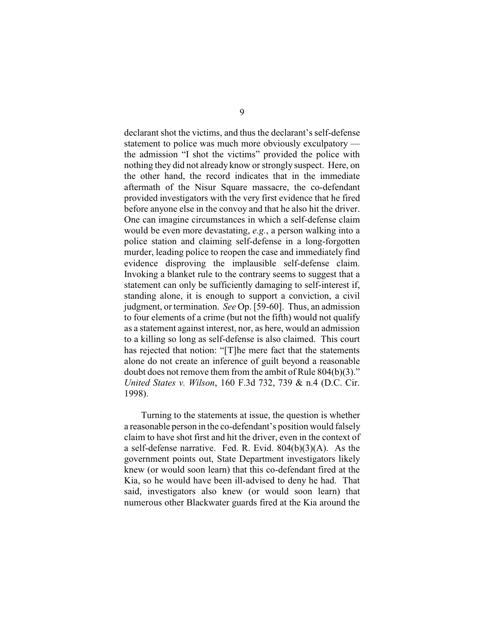declarant shot the victims, and thus the declarant's self-defense statement to police was much more obviously exculpatory the admission "I shot the victims" provided the police with nothing they did not already know or strongly suspect. Here, on the other hand, the record indicates that in the immediate aftermath of the Nisur Square massacre, the co-defendant provided investigators with the very first evidence that he fired before anyone else in the convoy and that he also hit the driver. One can imagine circumstances in which a self-defense claim would be even more devastating, *e.g.*, a person walking into a police station and claiming self-defense in a long-forgotten murder, leading police to reopen the case and immediately find evidence disproving the implausible self-defense claim. Invoking a blanket rule to the contrary seems to suggest that a statement can only be sufficiently damaging to self-interest if, standing alone, it is enough to support a conviction, a civil judgment, or termination. *See* Op. [59-60]. Thus, an admission to four elements of a crime (but not the fifth) would not qualify as a statement against interest, nor, as here, would an admission to a killing so long as self-defense is also claimed. This court has rejected that notion: "[T]he mere fact that the statements alone do not create an inference of guilt beyond a reasonable doubt does not remove them from the ambit of Rule 804(b)(3)." *United States v. Wilson*, 160 F.3d 732, 739 & n.4 (D.C. Cir. 1998).

Turning to the statements at issue, the question is whether a reasonable person in the co-defendant's position would falsely claim to have shot first and hit the driver, even in the context of a self-defense narrative. Fed. R. Evid. 804(b)(3)(A). As the government points out, State Department investigators likely knew (or would soon learn) that this co-defendant fired at the Kia, so he would have been ill-advised to deny he had. That said, investigators also knew (or would soon learn) that numerous other Blackwater guards fired at the Kia around the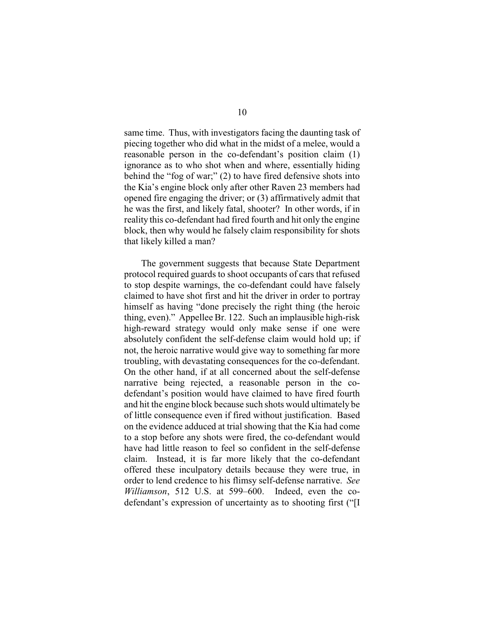same time. Thus, with investigators facing the daunting task of piecing together who did what in the midst of a melee, would a reasonable person in the co-defendant's position claim (1) ignorance as to who shot when and where, essentially hiding behind the "fog of war;" (2) to have fired defensive shots into the Kia's engine block only after other Raven 23 members had opened fire engaging the driver; or (3) affirmatively admit that he was the first, and likely fatal, shooter? In other words, if in reality this co-defendant had fired fourth and hit only the engine block, then why would he falsely claim responsibility for shots that likely killed a man?

The government suggests that because State Department protocol required guards to shoot occupants of cars that refused to stop despite warnings, the co-defendant could have falsely claimed to have shot first and hit the driver in order to portray himself as having "done precisely the right thing (the heroic thing, even)." Appellee Br. 122. Such an implausible high-risk high-reward strategy would only make sense if one were absolutely confident the self-defense claim would hold up; if not, the heroic narrative would give way to something far more troubling, with devastating consequences for the co-defendant. On the other hand, if at all concerned about the self-defense narrative being rejected, a reasonable person in the codefendant's position would have claimed to have fired fourth and hit the engine block because such shots would ultimately be of little consequence even if fired without justification. Based on the evidence adduced at trial showing that the Kia had come to a stop before any shots were fired, the co-defendant would have had little reason to feel so confident in the self-defense claim. Instead, it is far more likely that the co-defendant offered these inculpatory details because they were true, in order to lend credence to his flimsy self-defense narrative. *See Williamson*, 512 U.S. at 599–600. Indeed, even the codefendant's expression of uncertainty as to shooting first ("[I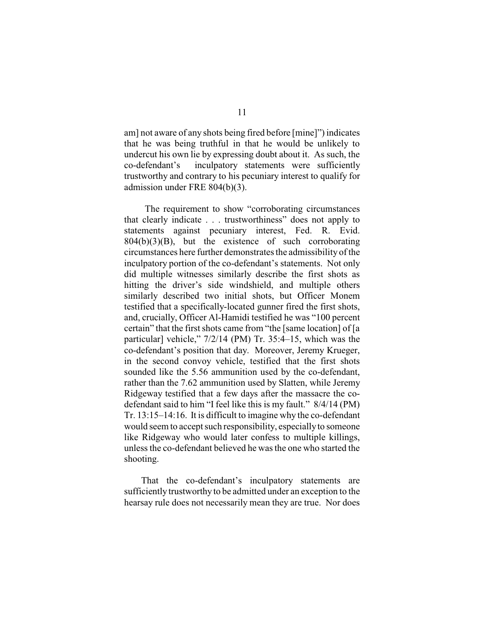am] not aware of any shots being fired before [mine]") indicates that he was being truthful in that he would be unlikely to undercut his own lie by expressing doubt about it. As such, the co-defendant's inculpatory statements were sufficiently trustworthy and contrary to his pecuniary interest to qualify for admission under FRE 804(b)(3).

The requirement to show "corroborating circumstances that clearly indicate . . . trustworthiness" does not apply to statements against pecuniary interest, Fed. R. Evid.  $804(b)(3)(B)$ , but the existence of such corroborating circumstances here further demonstrates the admissibility of the inculpatory portion of the co-defendant's statements. Not only did multiple witnesses similarly describe the first shots as hitting the driver's side windshield, and multiple others similarly described two initial shots, but Officer Monem testified that a specifically-located gunner fired the first shots, and, crucially, Officer Al-Hamidi testified he was "100 percent certain" that the first shots came from "the [same location] of [a particular] vehicle," 7/2/14 (PM) Tr. 35:4–15, which was the co-defendant's position that day. Moreover, Jeremy Krueger, in the second convoy vehicle, testified that the first shots sounded like the 5.56 ammunition used by the co-defendant, rather than the 7.62 ammunition used by Slatten, while Jeremy Ridgeway testified that a few days after the massacre the codefendant said to him "I feel like this is my fault." 8/4/14 (PM) Tr. 13:15–14:16. It is difficult to imagine why the co-defendant would seem to accept such responsibility, especiallyto someone like Ridgeway who would later confess to multiple killings, unless the co-defendant believed he was the one who started the shooting.

That the co-defendant's inculpatory statements are sufficiently trustworthy to be admitted under an exception to the hearsay rule does not necessarily mean they are true. Nor does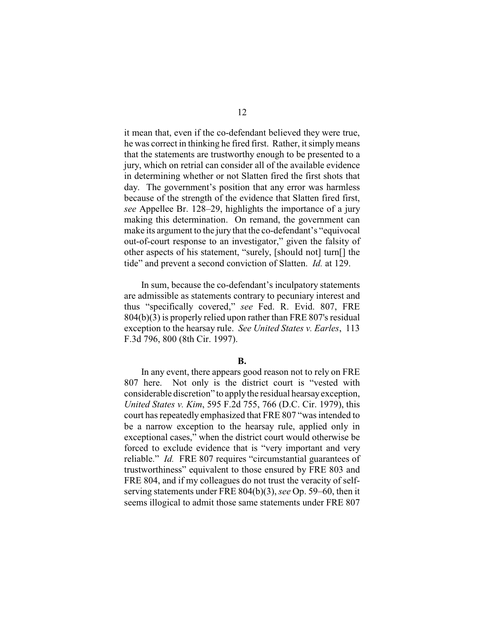it mean that, even if the co-defendant believed they were true, he was correct in thinking he fired first. Rather, it simplymeans that the statements are trustworthy enough to be presented to a jury, which on retrial can consider all of the available evidence in determining whether or not Slatten fired the first shots that day. The government's position that any error was harmless because of the strength of the evidence that Slatten fired first, *see* Appellee Br. 128–29, highlights the importance of a jury making this determination. On remand, the government can make its argument to the jury that the co-defendant's "equivocal out-of-court response to an investigator," given the falsity of other aspects of his statement, "surely, [should not] turn[] the tide" and prevent a second conviction of Slatten. *Id.* at 129.

In sum, because the co-defendant's inculpatory statements are admissible as statements contrary to pecuniary interest and thus "specifically covered," *see* Fed. R. Evid. 807, FRE 804(b)(3) is properly relied upon rather than FRE 807's residual exception to the hearsay rule. *See United States v. Earles*, 113 F.3d 796, 800 (8th Cir. 1997).

## **B.**

In any event, there appears good reason not to rely on FRE 807 here. Not only is the district court is "vested with considerable discretion" to applythe residual hearsayexception, *United States v. Kim*, 595 F.2d 755, 766 (D.C. Cir. 1979), this court has repeatedly emphasized that FRE 807 "was intended to be a narrow exception to the hearsay rule, applied only in exceptional cases," when the district court would otherwise be forced to exclude evidence that is "very important and very reliable." *Id.* FRE 807 requires "circumstantial guarantees of trustworthiness" equivalent to those ensured by FRE 803 and FRE 804, and if my colleagues do not trust the veracity of selfserving statements under FRE 804(b)(3), *see* Op. 59–60, then it seems illogical to admit those same statements under FRE 807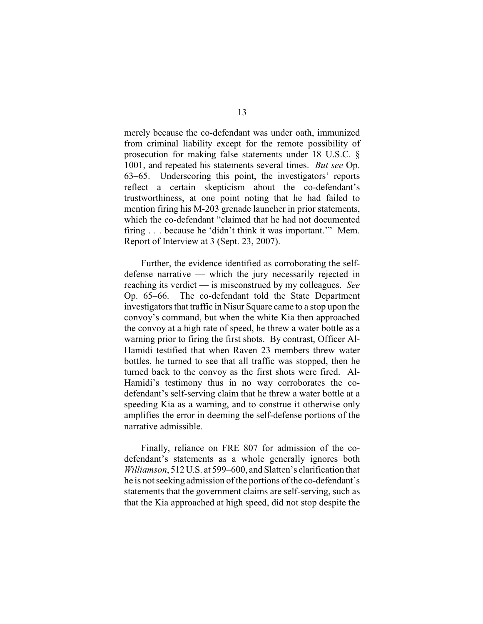merely because the co-defendant was under oath, immunized from criminal liability except for the remote possibility of prosecution for making false statements under 18 U.S.C. § 1001, and repeated his statements several times. *But see* Op. 63–65. Underscoring this point, the investigators' reports reflect a certain skepticism about the co-defendant's trustworthiness, at one point noting that he had failed to mention firing his M-203 grenade launcher in prior statements, which the co-defendant "claimed that he had not documented firing . . . because he 'didn't think it was important.'" Mem. Report of Interview at 3 (Sept. 23, 2007).

Further, the evidence identified as corroborating the selfdefense narrative — which the jury necessarily rejected in reaching its verdict — is misconstrued by my colleagues. *See* Op. 65–66. The co-defendant told the State Department investigators that traffic in Nisur Square came to a stop upon the convoy's command, but when the white Kia then approached the convoy at a high rate of speed, he threw a water bottle as a warning prior to firing the first shots. By contrast, Officer Al-Hamidi testified that when Raven 23 members threw water bottles, he turned to see that all traffic was stopped, then he turned back to the convoy as the first shots were fired. Al-Hamidi's testimony thus in no way corroborates the codefendant's self-serving claim that he threw a water bottle at a speeding Kia as a warning, and to construe it otherwise only amplifies the error in deeming the self-defense portions of the narrative admissible.

Finally, reliance on FRE 807 for admission of the codefendant's statements as a whole generally ignores both *Williamson*, 512U.S. at 599–600, and Slatten's clarification that he is not seeking admission of the portions of the co-defendant's statements that the government claims are self-serving, such as that the Kia approached at high speed, did not stop despite the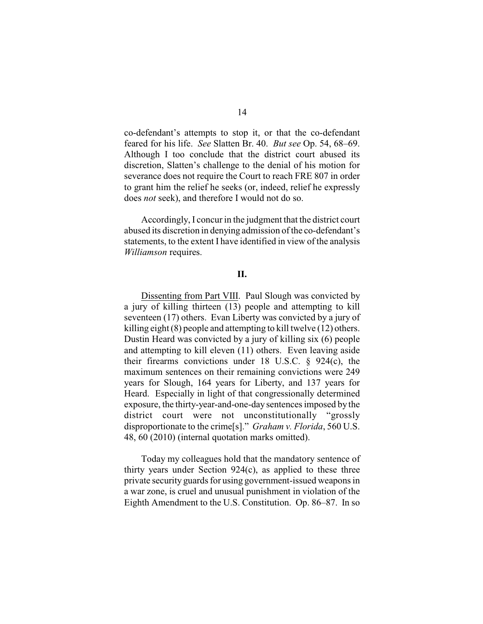co-defendant's attempts to stop it, or that the co-defendant feared for his life. *See* Slatten Br. 40. *But see* Op. 54, 68–69. Although I too conclude that the district court abused its discretion, Slatten's challenge to the denial of his motion for severance does not require the Court to reach FRE 807 in order to grant him the relief he seeks (or, indeed, relief he expressly does *not* seek), and therefore I would not do so.

Accordingly, I concur in the judgment that the district court abused its discretion in denying admission of the co-defendant's statements, to the extent I have identified in view of the analysis *Williamson* requires.

# **II.**

Dissenting from Part VIII. Paul Slough was convicted by a jury of killing thirteen (13) people and attempting to kill seventeen (17) others. Evan Liberty was convicted by a jury of killing eight (8) people and attempting to kill twelve (12) others. Dustin Heard was convicted by a jury of killing six (6) people and attempting to kill eleven (11) others. Even leaving aside their firearms convictions under 18 U.S.C.  $\S$  924(c), the maximum sentences on their remaining convictions were 249 years for Slough, 164 years for Liberty, and 137 years for Heard. Especially in light of that congressionally determined exposure, the thirty-year-and-one-day sentences imposed by the district court were not unconstitutionally "grossly disproportionate to the crime[s]." *Graham v. Florida*, 560 U.S. 48, 60 (2010) (internal quotation marks omitted).

Today my colleagues hold that the mandatory sentence of thirty years under Section 924(c), as applied to these three private security guards for using government-issued weapons in a war zone, is cruel and unusual punishment in violation of the Eighth Amendment to the U.S. Constitution. Op. 86–87. In so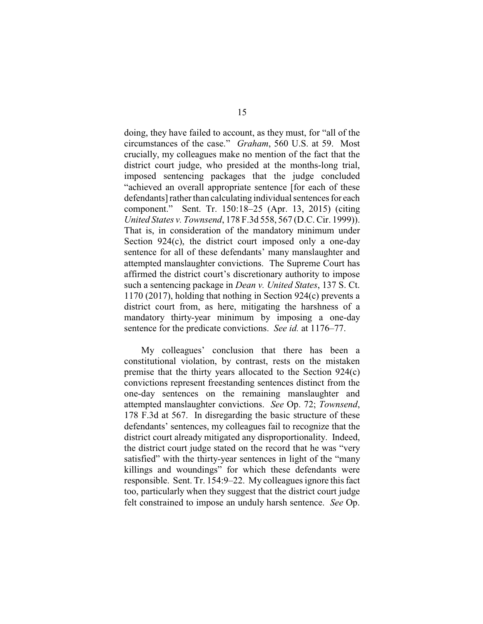doing, they have failed to account, as they must, for "all of the circumstances of the case." *Graham*, 560 U.S. at 59. Most crucially, my colleagues make no mention of the fact that the district court judge, who presided at the months-long trial, imposed sentencing packages that the judge concluded "achieved an overall appropriate sentence [for each of these defendants] rather than calculating individual sentences for each component." Sent. Tr. 150:18–25 (Apr. 13, 2015) (citing *United States v. Townsend*, 178 F.3d 558, 567 (D.C. Cir. 1999)). That is, in consideration of the mandatory minimum under Section  $924(c)$ , the district court imposed only a one-day sentence for all of these defendants' many manslaughter and attempted manslaughter convictions. The Supreme Court has affirmed the district court's discretionary authority to impose such a sentencing package in *Dean v. United States*, 137 S. Ct. 1170 (2017), holding that nothing in Section 924(c) prevents a district court from, as here, mitigating the harshness of a mandatory thirty-year minimum by imposing a one-day sentence for the predicate convictions. *See id.* at 1176–77.

My colleagues' conclusion that there has been a constitutional violation, by contrast, rests on the mistaken premise that the thirty years allocated to the Section 924(c) convictions represent freestanding sentences distinct from the one-day sentences on the remaining manslaughter and attempted manslaughter convictions. *See* Op. 72; *Townsend*, 178 F.3d at 567. In disregarding the basic structure of these defendants' sentences, my colleagues fail to recognize that the district court already mitigated any disproportionality. Indeed, the district court judge stated on the record that he was "very satisfied" with the thirty-year sentences in light of the "many killings and woundings" for which these defendants were responsible. Sent. Tr. 154:9–22. My colleagues ignore this fact too, particularly when they suggest that the district court judge felt constrained to impose an unduly harsh sentence. *See* Op.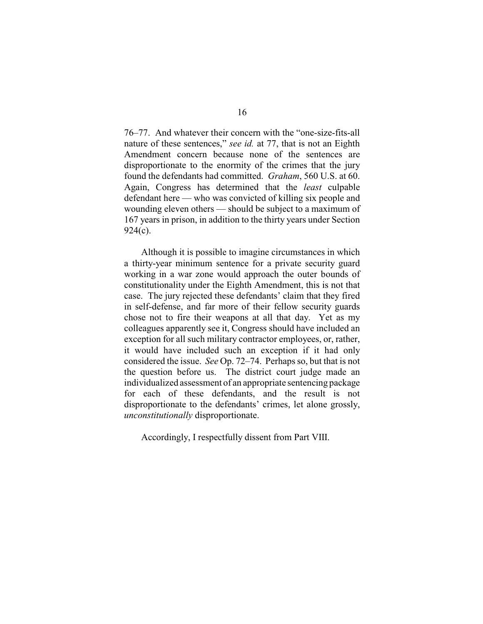76–77. And whatever their concern with the "one-size-fits-all nature of these sentences," *see id.* at 77, that is not an Eighth Amendment concern because none of the sentences are disproportionate to the enormity of the crimes that the jury found the defendants had committed. *Graham*, 560 U.S. at 60. Again, Congress has determined that the *least* culpable defendant here — who was convicted of killing six people and wounding eleven others — should be subject to a maximum of 167 years in prison, in addition to the thirty years under Section 924(c).

Although it is possible to imagine circumstances in which a thirty-year minimum sentence for a private security guard working in a war zone would approach the outer bounds of constitutionality under the Eighth Amendment, this is not that case. The jury rejected these defendants' claim that they fired in self-defense, and far more of their fellow security guards chose not to fire their weapons at all that day. Yet as my colleagues apparently see it, Congress should have included an exception for all such military contractor employees, or, rather, it would have included such an exception if it had only considered the issue. *See* Op. 72–74. Perhaps so, but that is not the question before us. The district court judge made an individualized assessment of an appropriate sentencing package for each of these defendants, and the result is not disproportionate to the defendants' crimes, let alone grossly, *unconstitutionally* disproportionate.

Accordingly, I respectfully dissent from Part VIII.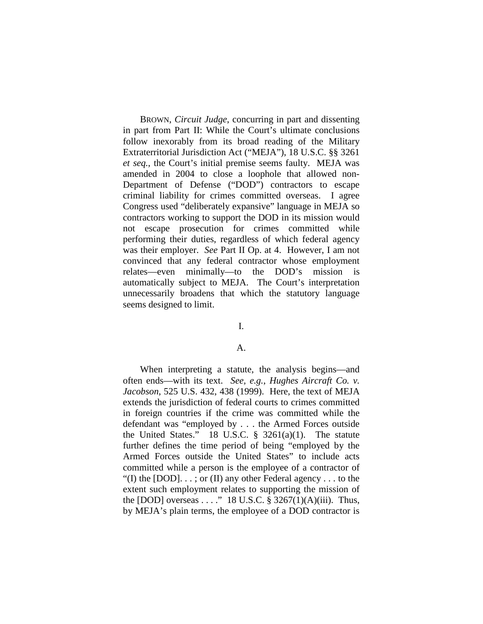BROWN, *Circuit Judge*, concurring in part and dissenting in part from Part II: While the Court's ultimate conclusions follow inexorably from its broad reading of the Military Extraterritorial Jurisdiction Act ("MEJA"), 18 U.S.C. §§ 3261 *et seq.*, the Court's initial premise seems faulty. MEJA was amended in 2004 to close a loophole that allowed non-Department of Defense ("DOD") contractors to escape criminal liability for crimes committed overseas. I agree Congress used "deliberately expansive" language in MEJA so contractors working to support the DOD in its mission would not escape prosecution for crimes committed while performing their duties, regardless of which federal agency was their employer. *See* Part II Op. at 4. However, I am not convinced that any federal contractor whose employment relates—even minimally—to the DOD's mission is automatically subject to MEJA. The Court's interpretation unnecessarily broadens that which the statutory language seems designed to limit.

## I.

## A.

When interpreting a statute, the analysis begins—and often ends—with its text. *See, e.g.*, *Hughes Aircraft Co. v. Jacobson*, 525 U.S. 432, 438 (1999). Here, the text of MEJA extends the jurisdiction of federal courts to crimes committed in foreign countries if the crime was committed while the defendant was "employed by . . . the Armed Forces outside the United States." 18 U.S.C. § 3261(a)(1). The statute further defines the time period of being "employed by the Armed Forces outside the United States" to include acts committed while a person is the employee of a contractor of "(I) the [DOD]...; or (II) any other Federal agency... to the extent such employment relates to supporting the mission of the [DOD] overseas . . . ." 18 U.S.C.  $\S$  3267(1)(A)(iii). Thus, by MEJA's plain terms, the employee of a DOD contractor is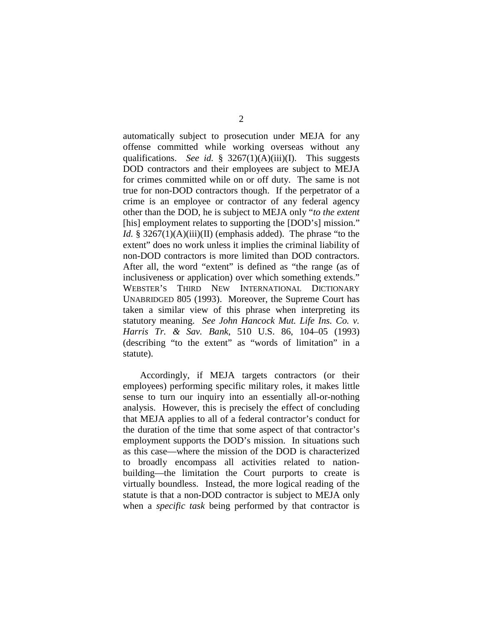automatically subject to prosecution under MEJA for any offense committed while working overseas without any qualifications. *See id.* § 3267(1)(A)(iii)(I). This suggests DOD contractors and their employees are subject to MEJA for crimes committed while on or off duty. The same is not true for non-DOD contractors though. If the perpetrator of a crime is an employee or contractor of any federal agency other than the DOD, he is subject to MEJA only "*to the extent* [his] employment relates to supporting the [DOD's] mission." *Id.* § 3267(1)(A)(iii)(II) (emphasis added). The phrase "to the extent" does no work unless it implies the criminal liability of non-DOD contractors is more limited than DOD contractors. After all, the word "extent" is defined as "the range (as of inclusiveness or application) over which something extends." WEBSTER'S THIRD NEW INTERNATIONAL DICTIONARY UNABRIDGED 805 (1993). Moreover, the Supreme Court has taken a similar view of this phrase when interpreting its statutory meaning. *See John Hancock Mut. Life Ins. Co. v. Harris Tr. & Sav. Bank*, 510 U.S. 86, 104–05 (1993) (describing "to the extent" as "words of limitation" in a statute).

Accordingly, if MEJA targets contractors (or their employees) performing specific military roles, it makes little sense to turn our inquiry into an essentially all-or-nothing analysis. However, this is precisely the effect of concluding that MEJA applies to all of a federal contractor's conduct for the duration of the time that some aspect of that contractor's employment supports the DOD's mission. In situations such as this case—where the mission of the DOD is characterized to broadly encompass all activities related to nationbuilding—the limitation the Court purports to create is virtually boundless. Instead, the more logical reading of the statute is that a non-DOD contractor is subject to MEJA only when a *specific task* being performed by that contractor is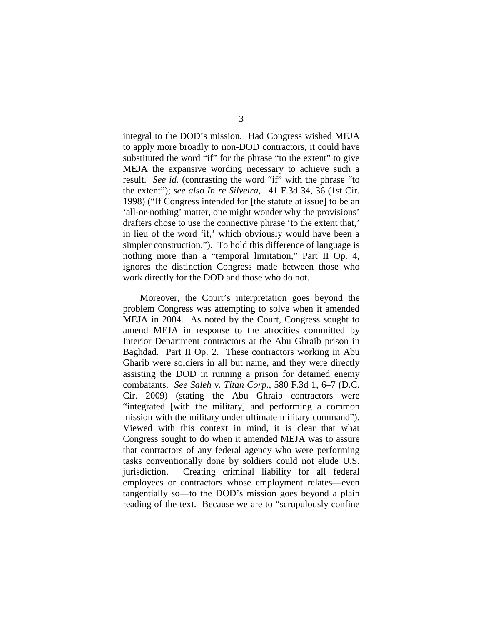integral to the DOD's mission. Had Congress wished MEJA to apply more broadly to non-DOD contractors, it could have substituted the word "if" for the phrase "to the extent" to give MEJA the expansive wording necessary to achieve such a result. *See id.* (contrasting the word "if" with the phrase "to the extent"); *see also In re Silveira*, 141 F.3d 34, 36 (1st Cir. 1998) ("If Congress intended for [the statute at issue] to be an 'all-or-nothing' matter, one might wonder why the provisions' drafters chose to use the connective phrase 'to the extent that,' in lieu of the word 'if,' which obviously would have been a simpler construction."). To hold this difference of language is nothing more than a "temporal limitation," Part II Op. 4, ignores the distinction Congress made between those who work directly for the DOD and those who do not.

Moreover, the Court's interpretation goes beyond the problem Congress was attempting to solve when it amended MEJA in 2004. As noted by the Court, Congress sought to amend MEJA in response to the atrocities committed by Interior Department contractors at the Abu Ghraib prison in Baghdad. Part II Op. 2. These contractors working in Abu Gharib were soldiers in all but name, and they were directly assisting the DOD in running a prison for detained enemy combatants. *See Saleh v. Titan Corp.*, 580 F.3d 1, 6–7 (D.C. Cir. 2009) (stating the Abu Ghraib contractors were "integrated [with the military] and performing a common mission with the military under ultimate military command"). Viewed with this context in mind, it is clear that what Congress sought to do when it amended MEJA was to assure that contractors of any federal agency who were performing tasks conventionally done by soldiers could not elude U.S. jurisdiction. Creating criminal liability for all federal employees or contractors whose employment relates—even tangentially so—to the DOD's mission goes beyond a plain reading of the text. Because we are to "scrupulously confine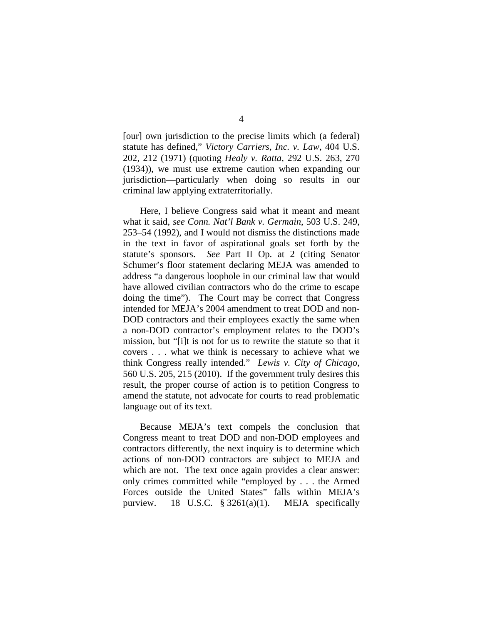[our] own jurisdiction to the precise limits which (a federal) statute has defined," *Victory Carriers, Inc. v. Law*, 404 U.S. 202, 212 (1971) (quoting *Healy v. Ratta*, 292 U.S. 263, 270 (1934)), we must use extreme caution when expanding our jurisdiction—particularly when doing so results in our criminal law applying extraterritorially.

Here, I believe Congress said what it meant and meant what it said, *see Conn. Nat'l Bank v. Germain*, 503 U.S. 249, 253–54 (1992), and I would not dismiss the distinctions made in the text in favor of aspirational goals set forth by the statute's sponsors. *See* Part II Op. at 2 (citing Senator Schumer's floor statement declaring MEJA was amended to address "a dangerous loophole in our criminal law that would have allowed civilian contractors who do the crime to escape doing the time"). The Court may be correct that Congress intended for MEJA's 2004 amendment to treat DOD and non-DOD contractors and their employees exactly the same when a non-DOD contractor's employment relates to the DOD's mission, but "[i]t is not for us to rewrite the statute so that it covers . . . what we think is necessary to achieve what we think Congress really intended." *Lewis v. City of Chicago*, 560 U.S. 205, 215 (2010). If the government truly desires this result, the proper course of action is to petition Congress to amend the statute, not advocate for courts to read problematic language out of its text.

Because MEJA's text compels the conclusion that Congress meant to treat DOD and non-DOD employees and contractors differently, the next inquiry is to determine which actions of non-DOD contractors are subject to MEJA and which are not. The text once again provides a clear answer: only crimes committed while "employed by . . . the Armed Forces outside the United States" falls within MEJA's purview. 18 U.S.C.  $\S$  3261(a)(1). MEJA specifically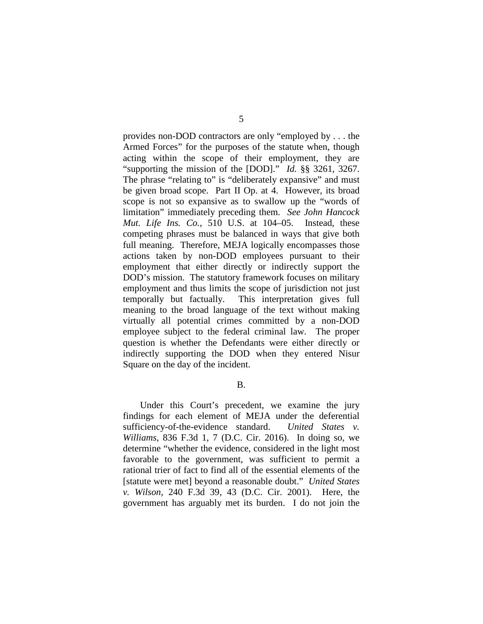provides non-DOD contractors are only "employed by . . . the Armed Forces" for the purposes of the statute when, though acting within the scope of their employment, they are "supporting the mission of the [DOD]." *Id.* §§ 3261, 3267. The phrase "relating to" is "deliberately expansive" and must be given broad scope. Part II Op. at 4. However, its broad scope is not so expansive as to swallow up the "words of limitation" immediately preceding them. *See John Hancock Mut. Life Ins. Co.*, 510 U.S. at 104–05. Instead, these competing phrases must be balanced in ways that give both full meaning. Therefore, MEJA logically encompasses those actions taken by non-DOD employees pursuant to their employment that either directly or indirectly support the DOD's mission. The statutory framework focuses on military employment and thus limits the scope of jurisdiction not just temporally but factually. This interpretation gives full meaning to the broad language of the text without making virtually all potential crimes committed by a non-DOD employee subject to the federal criminal law. The proper question is whether the Defendants were either directly or indirectly supporting the DOD when they entered Nisur Square on the day of the incident.

B.

Under this Court's precedent, we examine the jury findings for each element of MEJA under the deferential sufficiency-of-the-evidence standard. *United States v. Williams*, 836 F.3d 1, 7 (D.C. Cir. 2016). In doing so, we determine "whether the evidence, considered in the light most favorable to the government, was sufficient to permit a rational trier of fact to find all of the essential elements of the [statute were met] beyond a reasonable doubt." *United States v. Wilson*, 240 F.3d 39, 43 (D.C. Cir. 2001). Here, the government has arguably met its burden. I do not join the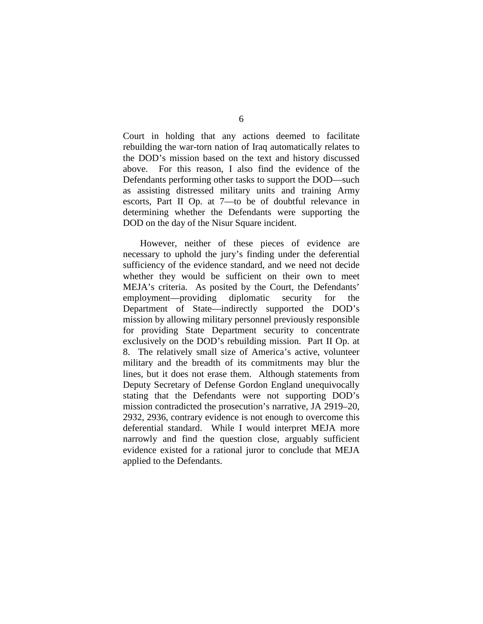Court in holding that any actions deemed to facilitate rebuilding the war-torn nation of Iraq automatically relates to the DOD's mission based on the text and history discussed above. For this reason, I also find the evidence of the Defendants performing other tasks to support the DOD—such as assisting distressed military units and training Army escorts, Part II Op. at 7—to be of doubtful relevance in determining whether the Defendants were supporting the DOD on the day of the Nisur Square incident.

However, neither of these pieces of evidence are necessary to uphold the jury's finding under the deferential sufficiency of the evidence standard, and we need not decide whether they would be sufficient on their own to meet MEJA's criteria. As posited by the Court, the Defendants' employment—providing diplomatic security for the Department of State—indirectly supported the DOD's mission by allowing military personnel previously responsible for providing State Department security to concentrate exclusively on the DOD's rebuilding mission. Part II Op. at 8. The relatively small size of America's active, volunteer military and the breadth of its commitments may blur the lines, but it does not erase them. Although statements from Deputy Secretary of Defense Gordon England unequivocally stating that the Defendants were not supporting DOD's mission contradicted the prosecution's narrative, JA 2919–20, 2932, 2936, contrary evidence is not enough to overcome this deferential standard. While I would interpret MEJA more narrowly and find the question close, arguably sufficient evidence existed for a rational juror to conclude that MEJA applied to the Defendants.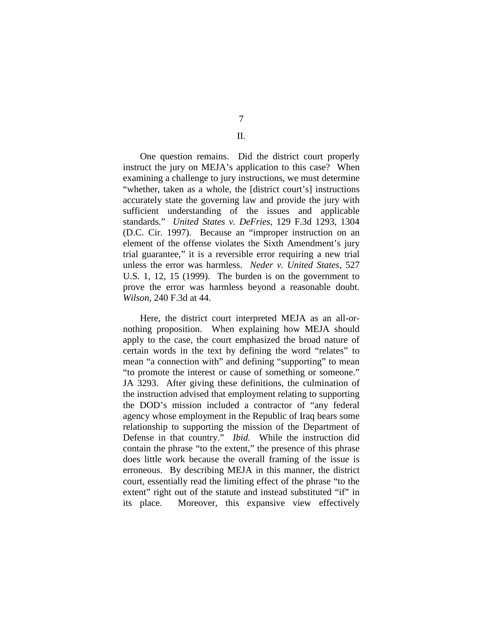7

## II.

One question remains. Did the district court properly instruct the jury on MEJA's application to this case? When examining a challenge to jury instructions, we must determine "whether, taken as a whole, the [district court's] instructions accurately state the governing law and provide the jury with sufficient understanding of the issues and applicable standards." *United States v. DeFries*, 129 F.3d 1293, 1304 (D.C. Cir. 1997). Because an "improper instruction on an element of the offense violates the Sixth Amendment's jury trial guarantee," it is a reversible error requiring a new trial unless the error was harmless. *Neder v. United States*, 527 U.S. 1, 12, 15 (1999). The burden is on the government to prove the error was harmless beyond a reasonable doubt. *Wilson*, 240 F.3d at 44.

Here, the district court interpreted MEJA as an all-ornothing proposition. When explaining how MEJA should apply to the case, the court emphasized the broad nature of certain words in the text by defining the word "relates" to mean "a connection with" and defining "supporting" to mean "to promote the interest or cause of something or someone." JA 3293. After giving these definitions, the culmination of the instruction advised that employment relating to supporting the DOD's mission included a contractor of "any federal agency whose employment in the Republic of Iraq bears some relationship to supporting the mission of the Department of Defense in that country." *Ibid.* While the instruction did contain the phrase "to the extent," the presence of this phrase does little work because the overall framing of the issue is erroneous. By describing MEJA in this manner, the district court, essentially read the limiting effect of the phrase "to the extent" right out of the statute and instead substituted "if" in its place. Moreover, this expansive view effectively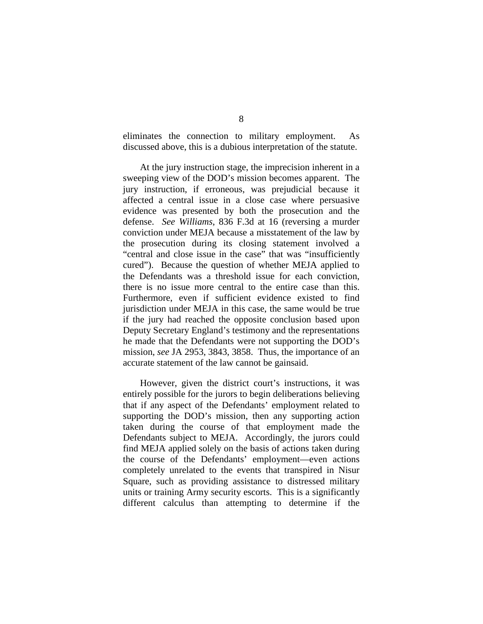eliminates the connection to military employment. As discussed above, this is a dubious interpretation of the statute.

At the jury instruction stage, the imprecision inherent in a sweeping view of the DOD's mission becomes apparent. The jury instruction, if erroneous, was prejudicial because it affected a central issue in a close case where persuasive evidence was presented by both the prosecution and the defense. *See Williams*, 836 F.3d at 16 (reversing a murder conviction under MEJA because a misstatement of the law by the prosecution during its closing statement involved a "central and close issue in the case" that was "insufficiently cured"). Because the question of whether MEJA applied to the Defendants was a threshold issue for each conviction, there is no issue more central to the entire case than this. Furthermore, even if sufficient evidence existed to find jurisdiction under MEJA in this case, the same would be true if the jury had reached the opposite conclusion based upon Deputy Secretary England's testimony and the representations he made that the Defendants were not supporting the DOD's mission, *see* JA 2953, 3843, 3858. Thus, the importance of an accurate statement of the law cannot be gainsaid.

However, given the district court's instructions, it was entirely possible for the jurors to begin deliberations believing that if any aspect of the Defendants' employment related to supporting the DOD's mission, then any supporting action taken during the course of that employment made the Defendants subject to MEJA. Accordingly, the jurors could find MEJA applied solely on the basis of actions taken during the course of the Defendants' employment—even actions completely unrelated to the events that transpired in Nisur Square, such as providing assistance to distressed military units or training Army security escorts. This is a significantly different calculus than attempting to determine if the